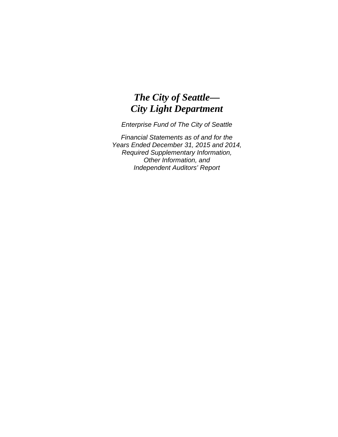# *The City of Seattle— City Light Department*

 *Enterprise Fund of The City of Seattle* 

*Financial Statements as of and for the Years Ended December 31, 2015 and 2014, Required Supplementary Information, Other Information, and Independent Auditors' Report*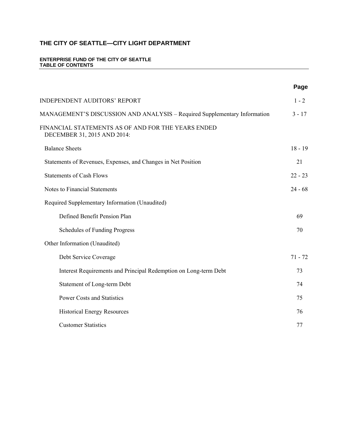#### **ENTERPRISE FUND OF THE CITY OF SEATTLE TABLE OF CONTENTS**

|                                                                                   | Page      |
|-----------------------------------------------------------------------------------|-----------|
| <b>INDEPENDENT AUDITORS' REPORT</b>                                               | $1 - 2$   |
| MANAGEMENT'S DISCUSSION AND ANALYSIS - Required Supplementary Information         | $3 - 17$  |
| FINANCIAL STATEMENTS AS OF AND FOR THE YEARS ENDED<br>DECEMBER 31, 2015 AND 2014: |           |
| <b>Balance Sheets</b>                                                             | $18 - 19$ |
| Statements of Revenues, Expenses, and Changes in Net Position                     | 21        |
| <b>Statements of Cash Flows</b>                                                   | $22 - 23$ |
| Notes to Financial Statements                                                     | $24 - 68$ |
| Required Supplementary Information (Unaudited)                                    |           |
| Defined Benefit Pension Plan                                                      | 69        |
| <b>Schedules of Funding Progress</b>                                              | 70        |
| Other Information (Unaudited)                                                     |           |
| Debt Service Coverage                                                             | $71 - 72$ |
| Interest Requirements and Principal Redemption on Long-term Debt                  | 73        |
| Statement of Long-term Debt                                                       | 74        |
| <b>Power Costs and Statistics</b>                                                 | 75        |
| <b>Historical Energy Resources</b>                                                | 76        |
| <b>Customer Statistics</b>                                                        | 77        |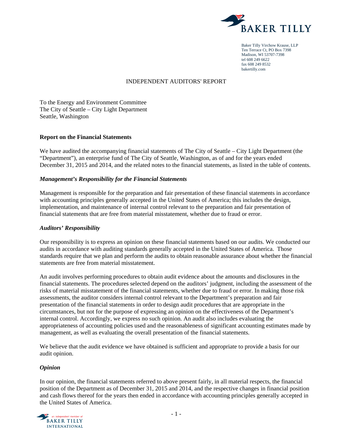

Baker Tilly Virchow Krause, LLP Ten Terrace Ct, PO Box 7398 Madison, WI 53707-7398 tel 608 249 6622 fax 608 249 8532 bakertilly.com

# INDEPENDENT AUDITORS' REPORT

To the Energy and Environment Committee The City of Seattle – City Light Department Seattle, Washington

### **Report on the Financial Statements**

We have audited the accompanying financial statements of The City of Seattle – City Light Department (the "Department"), an enterprise fund of The City of Seattle, Washington, as of and for the years ended December 31, 2015 and 2014, and the related notes to the financial statements, as listed in the table of contents.

# *Management's Responsibility for the Financial Statements*

Management is responsible for the preparation and fair presentation of these financial statements in accordance with accounting principles generally accepted in the United States of America; this includes the design, implementation, and maintenance of internal control relevant to the preparation and fair presentation of financial statements that are free from material misstatement, whether due to fraud or error.

# *Auditors' Responsibility*

Our responsibility is to express an opinion on these financial statements based on our audits. We conducted our audits in accordance with auditing standards generally accepted in the United States of America. Those standards require that we plan and perform the audits to obtain reasonable assurance about whether the financial statements are free from material misstatement.

An audit involves performing procedures to obtain audit evidence about the amounts and disclosures in the financial statements. The procedures selected depend on the auditors' judgment, including the assessment of the risks of material misstatement of the financial statements, whether due to fraud or error. In making those risk assessments, the auditor considers internal control relevant to the Department's preparation and fair presentation of the financial statements in order to design audit procedures that are appropriate in the circumstances, but not for the purpose of expressing an opinion on the effectiveness of the Department's internal control. Accordingly, we express no such opinion. An audit also includes evaluating the appropriateness of accounting policies used and the reasonableness of significant accounting estimates made by management, as well as evaluating the overall presentation of the financial statements.

We believe that the audit evidence we have obtained is sufficient and appropriate to provide a basis for our audit opinion.

#### *Opinion*

In our opinion, the financial statements referred to above present fairly, in all material respects, the financial position of the Department as of December 31, 2015 and 2014, and the respective changes in financial position and cash flows thereof for the years then ended in accordance with accounting principles generally accepted in the United States of America.

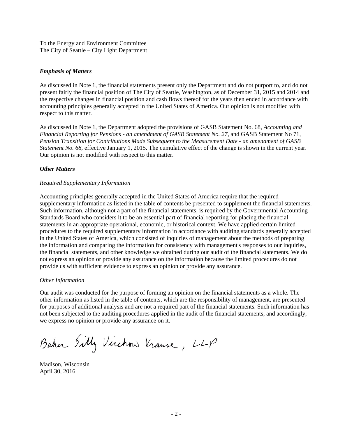To the Energy and Environment Committee The City of Seattle – City Light Department

# *Emphasis of Matters*

As discussed in Note 1, the financial statements present only the Department and do not purport to, and do not present fairly the financial position of The City of Seattle, Washington, as of December 31, 2015 and 2014 and the respective changes in financial position and cash flows thereof for the years then ended in accordance with accounting principles generally accepted in the United States of America. Our opinion is not modified with respect to this matter.

As discussed in Note 1, the Department adopted the provisions of GASB Statement No. 68, *Accounting and Financial Reporting for Pensions - an amendment of GASB Statement No. 27*, and GASB Statement No 71, *Pension Transition for Contributions Made Subsequent to the Measurement Date - an amendment of GASB Statement No. 68*, effective January 1, 2015. The cumulative effect of the change is shown in the current year. Our opinion is not modified with respect to this matter.

# *Other Matters*

# *Required Supplementary Information*

Accounting principles generally accepted in the United States of America require that the required supplementary information as listed in the table of contents be presented to supplement the financial statements. Such information, although not a part of the financial statements, is required by the Governmental Accounting Standards Board who considers it to be an essential part of financial reporting for placing the financial statements in an appropriate operational, economic, or historical context. We have applied certain limited procedures to the required supplementary information in accordance with auditing standards generally accepted in the United States of America, which consisted of inquiries of management about the methods of preparing the information and comparing the information for consistency with management's responses to our inquiries, the financial statements, and other knowledge we obtained during our audit of the financial statements. We do not express an opinion or provide any assurance on the information because the limited procedures do not provide us with sufficient evidence to express an opinion or provide any assurance.

# *Other Information*

Our audit was conducted for the purpose of forming an opinion on the financial statements as a whole. The other information as listed in the table of contents, which are the responsibility of management, are presented for purposes of additional analysis and are not a required part of the financial statements. Such information has not been subjected to the auditing procedures applied in the audit of the financial statements, and accordingly, we express no opinion or provide any assurance on it.

Bahar Gilly Virchow Krause, LLP

Madison, Wisconsin April 30, 2016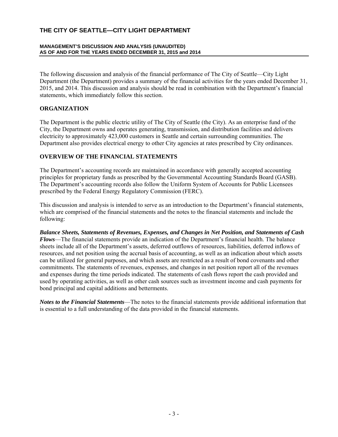#### **MANAGEMENT'S DISCUSSION AND ANALYSIS (UNAUDITED) AS OF AND FOR THE YEARS ENDED DECEMBER 31, 2015 and 2014**

The following discussion and analysis of the financial performance of The City of Seattle—City Light Department (the Department) provides a summary of the financial activities for the years ended December 31, 2015, and 2014. This discussion and analysis should be read in combination with the Department's financial statements, which immediately follow this section.

# **ORGANIZATION**

The Department is the public electric utility of The City of Seattle (the City). As an enterprise fund of the City, the Department owns and operates generating, transmission, and distribution facilities and delivers electricity to approximately 423,000 customers in Seattle and certain surrounding communities. The Department also provides electrical energy to other City agencies at rates prescribed by City ordinances.

# **OVERVIEW OF THE FINANCIAL STATEMENTS**

The Department's accounting records are maintained in accordance with generally accepted accounting principles for proprietary funds as prescribed by the Governmental Accounting Standards Board (GASB). The Department's accounting records also follow the Uniform System of Accounts for Public Licensees prescribed by the Federal Energy Regulatory Commission (FERC).

This discussion and analysis is intended to serve as an introduction to the Department's financial statements, which are comprised of the financial statements and the notes to the financial statements and include the following:

*Balance Sheets, Statements of Revenues, Expenses, and Changes in Net Position, and Statements of Cash Flows*—The financial statements provide an indication of the Department's financial health. The balance sheets include all of the Department's assets, deferred outflows of resources, liabilities, deferred inflows of resources, and net position using the accrual basis of accounting, as well as an indication about which assets can be utilized for general purposes, and which assets are restricted as a result of bond covenants and other commitments. The statements of revenues, expenses, and changes in net position report all of the revenues and expenses during the time periods indicated. The statements of cash flows report the cash provided and used by operating activities, as well as other cash sources such as investment income and cash payments for bond principal and capital additions and betterments.

*Notes to the Financial Statements*—The notes to the financial statements provide additional information that is essential to a full understanding of the data provided in the financial statements.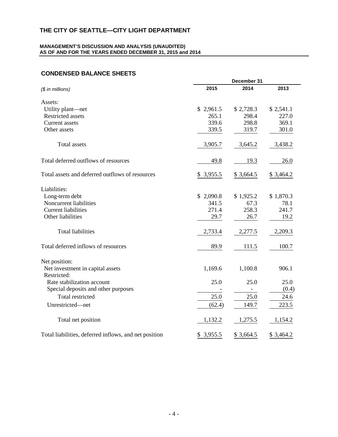#### **MANAGEMENT'S DISCUSSION AND ANALYSIS (UNAUDITED) AS OF AND FOR THE YEARS ENDED DECEMBER 31, 2015 and 2014**

# **CONDENSED BALANCE SHEETS**

|                                                       | December 31 |                          |            |  |  |  |  |  |
|-------------------------------------------------------|-------------|--------------------------|------------|--|--|--|--|--|
| $($$ in millions)                                     | 2015        | 2014                     | 2013       |  |  |  |  |  |
| Assets:                                               |             |                          |            |  |  |  |  |  |
| Utility plant-net                                     | \$2,961.5   | \$2,728.3                | \$2,541.1  |  |  |  |  |  |
| <b>Restricted assets</b>                              | 265.1       | 298.4                    | 227.0      |  |  |  |  |  |
| Current assets                                        | 339.6       | 298.8                    | 369.1      |  |  |  |  |  |
| Other assets                                          | 339.5       | 319.7                    | 301.0      |  |  |  |  |  |
| <b>Total</b> assets                                   | 3,905.7     | 3,645.2                  | 3,438.2    |  |  |  |  |  |
| Total deferred outflows of resources                  | 49.8        | 19.3                     | 26.0       |  |  |  |  |  |
| Total assets and deferred outflows of resources       | \$3,955.5   | \$ 3,664.5               | \$ 3,464.2 |  |  |  |  |  |
| Liabilities:                                          |             |                          |            |  |  |  |  |  |
| Long-term debt                                        | \$2,090.8   | \$1,925.2                | \$1,870.3  |  |  |  |  |  |
| Noncurrent liabilities                                | 341.5       | 67.3                     | 78.1       |  |  |  |  |  |
| <b>Current liabilities</b>                            | 271.4       | 258.3                    | 241.7      |  |  |  |  |  |
| Other liabilities                                     | 29.7        | 26.7                     | 19.2       |  |  |  |  |  |
| <b>Total liabilities</b>                              | 2,733.4     | 2,277.5                  | 2,209.3    |  |  |  |  |  |
| Total deferred inflows of resources                   | 89.9        | 111.5                    | 100.7      |  |  |  |  |  |
| Net position:                                         |             |                          |            |  |  |  |  |  |
| Net investment in capital assets                      | 1,169.6     | 1,100.8                  | 906.1      |  |  |  |  |  |
| Restricted:                                           |             |                          |            |  |  |  |  |  |
| Rate stabilization account                            | 25.0        | 25.0                     | 25.0       |  |  |  |  |  |
| Special deposits and other purposes                   |             | $\overline{\phantom{a}}$ | (0.4)      |  |  |  |  |  |
| Total restricted                                      | 25.0        | 25.0                     | 24.6       |  |  |  |  |  |
| Unrestricted-net                                      | (62.4)      | 149.7                    | 223.5      |  |  |  |  |  |
| Total net position                                    | 1,132.2     | 1,275.5                  | 1,154.2    |  |  |  |  |  |
| Total liabilities, deferred inflows, and net position | \$3,955.5   | \$3,664.5                | \$3,464.2  |  |  |  |  |  |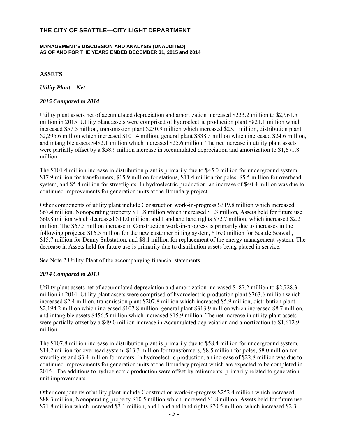#### **MANAGEMENT'S DISCUSSION AND ANALYSIS (UNAUDITED) AS OF AND FOR THE YEARS ENDED DECEMBER 31, 2015 and 2014**

### **ASSETS**

*Utility Plant*—*Net* 

### *2015 Compared to 2014*

Utility plant assets net of accumulated depreciation and amortization increased \$233.2 million to \$2,961.5 million in 2015. Utility plant assets were comprised of hydroelectric production plant \$821.1 million which increased \$57.5 million, transmission plant \$230.9 million which increased \$23.1 million, distribution plant \$2,295.6 million which increased \$101.4 million, general plant \$338.5 million which increased \$24.6 million, and intangible assets \$482.1 million which increased \$25.6 million. The net increase in utility plant assets were partially offset by a \$58.9 million increase in Accumulated depreciation and amortization to \$1,671.8 million.

The \$101.4 million increase in distribution plant is primarily due to \$45.0 million for underground system, \$17.9 million for transformers, \$15.9 million for stations, \$11.4 million for poles, \$5.5 million for overhead system, and \$5.4 million for streetlights. In hydroelectric production, an increase of \$40.4 million was due to continued improvements for generation units at the Boundary project.

Other components of utility plant include Construction work-in-progress \$319.8 million which increased \$67.4 million, Nonoperating property \$11.8 million which increased \$1.3 million, Assets held for future use \$60.8 million which decreased \$11.0 million, and Land and land rights \$72.7 million, which increased \$2.2 million. The \$67.5 million increase in Construction work-in-progress is primarily due to increases in the following projects: \$16.5 million for the new customer billing system, \$16.0 million for Seattle Seawall, \$15.7 million for Denny Substation, and \$8.1 million for replacement of the energy management system. The decrease in Assets held for future use is primarily due to distribution assets being placed in service.

See Note 2 Utility Plant of the accompanying financial statements.

# *2014 Compared to 2013*

Utility plant assets net of accumulated depreciation and amortization increased \$187.2 million to \$2,728.3 million in 2014. Utility plant assets were comprised of hydroelectric production plant \$763.6 million which increased \$2.4 million, transmission plant \$207.8 million which increased \$5.9 million, distribution plant \$2,194.2 million which increased \$107.8 million, general plant \$313.9 million which increased \$8.7 million, and intangible assets \$456.5 million which increased \$15.9 million. The net increase in utility plant assets were partially offset by a \$49.0 million increase in Accumulated depreciation and amortization to \$1,612.9 million.

The \$107.8 million increase in distribution plant is primarily due to \$58.4 million for underground system, \$14.2 million for overhead system, \$13.3 million for transformers, \$8.5 million for poles, \$8.0 million for streetlights and \$3.4 million for meters. In hydroelectric production, an increase of \$22.8 million was due to continued improvements for generation units at the Boundary project which are expected to be completed in 2015. The additions to hydroelectric production were offset by retirements, primarily related to generation unit improvements.

Other components of utility plant include Construction work-in-progress \$252.4 million which increased \$88.3 million, Nonoperating property \$10.5 million which increased \$1.8 million, Assets held for future use \$71.8 million which increased \$3.1 million, and Land and land rights \$70.5 million, which increased \$2.3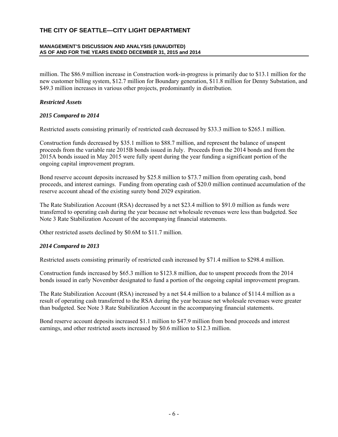#### **MANAGEMENT'S DISCUSSION AND ANALYSIS (UNAUDITED) AS OF AND FOR THE YEARS ENDED DECEMBER 31, 2015 and 2014**

million. The \$86.9 million increase in Construction work-in-progress is primarily due to \$13.1 million for the new customer billing system, \$12.7 million for Boundary generation, \$11.8 million for Denny Substation, and \$49.3 million increases in various other projects, predominantly in distribution.

# *Restricted Assets*

# *2015 Compared to 2014*

Restricted assets consisting primarily of restricted cash decreased by \$33.3 million to \$265.1 million.

Construction funds decreased by \$35.1 million to \$88.7 million, and represent the balance of unspent proceeds from the variable rate 2015B bonds issued in July. Proceeds from the 2014 bonds and from the 2015A bonds issued in May 2015 were fully spent during the year funding a significant portion of the ongoing capital improvement program.

Bond reserve account deposits increased by \$25.8 million to \$73.7 million from operating cash, bond proceeds, and interest earnings. Funding from operating cash of \$20.0 million continued accumulation of the reserve account ahead of the existing surety bond 2029 expiration.

The Rate Stabilization Account (RSA) decreased by a net \$23.4 million to \$91.0 million as funds were transferred to operating cash during the year because net wholesale revenues were less than budgeted. See Note 3 Rate Stabilization Account of the accompanying financial statements.

Other restricted assets declined by \$0.6M to \$11.7 million.

# *2014 Compared to 2013*

Restricted assets consisting primarily of restricted cash increased by \$71.4 million to \$298.4 million.

Construction funds increased by \$65.3 million to \$123.8 million, due to unspent proceeds from the 2014 bonds issued in early November designated to fund a portion of the ongoing capital improvement program.

The Rate Stabilization Account (RSA) increased by a net \$4.4 million to a balance of \$114.4 million as a result of operating cash transferred to the RSA during the year because net wholesale revenues were greater than budgeted. See Note 3 Rate Stabilization Account in the accompanying financial statements.

Bond reserve account deposits increased \$1.1 million to \$47.9 million from bond proceeds and interest earnings, and other restricted assets increased by \$0.6 million to \$12.3 million.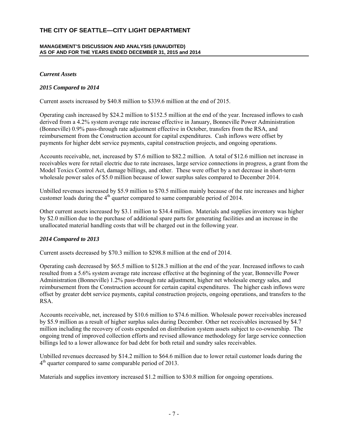#### **MANAGEMENT'S DISCUSSION AND ANALYSIS (UNAUDITED) AS OF AND FOR THE YEARS ENDED DECEMBER 31, 2015 and 2014**

### *Current Assets*

# *2015 Compared to 2014*

Current assets increased by \$40.8 million to \$339.6 million at the end of 2015.

Operating cash increased by \$24.2 million to \$152.5 million at the end of the year. Increased inflows to cash derived from a 4.2% system average rate increase effective in January, Bonneville Power Administration (Bonneville) 0.9% pass-through rate adjustment effective in October, transfers from the RSA, and reimbursement from the Construction account for capital expenditures. Cash inflows were offset by payments for higher debt service payments, capital construction projects, and ongoing operations.

Accounts receivable, net, increased by \$7.6 million to \$82.2 million. A total of \$12.6 million net increase in receivables were for retail electric due to rate increases, large service connections in progress, a grant from the Model Toxics Control Act, damage billings, and other. These were offset by a net decrease in short-term wholesale power sales of \$5.0 million because of lower surplus sales compared to December 2014.

Unbilled revenues increased by \$5.9 million to \$70.5 million mainly because of the rate increases and higher customer loads during the 4<sup>th</sup> quarter compared to same comparable period of 2014.

Other current assets increased by \$3.1 million to \$34.4 million. Materials and supplies inventory was higher by \$2.0 million due to the purchase of additional spare parts for generating facilities and an increase in the unallocated material handling costs that will be charged out in the following year.

# *2014 Compared to 2013*

Current assets decreased by \$70.3 million to \$298.8 million at the end of 2014.

Operating cash decreased by \$65.5 million to \$128.3 million at the end of the year. Increased inflows to cash resulted from a 5.6% system average rate increase effective at the beginning of the year, Bonneville Power Administration (Bonneville) 1.2% pass-through rate adjustment, higher net wholesale energy sales, and reimbursement from the Construction account for certain capital expenditures. The higher cash inflows were offset by greater debt service payments, capital construction projects, ongoing operations, and transfers to the RSA.

Accounts receivable, net, increased by \$10.6 million to \$74.6 million. Wholesale power receivables increased by \$5.9 million as a result of higher surplus sales during December. Other net receivables increased by \$4.7 million including the recovery of costs expended on distribution system assets subject to co-ownership. The ongoing trend of improved collection efforts and revised allowance methodology for large service connection billings led to a lower allowance for bad debt for both retail and sundry sales receivables.

Unbilled revenues decreased by \$14.2 million to \$64.6 million due to lower retail customer loads during the 4<sup>th</sup> quarter compared to same comparable period of 2013.

Materials and supplies inventory increased \$1.2 million to \$30.8 million for ongoing operations.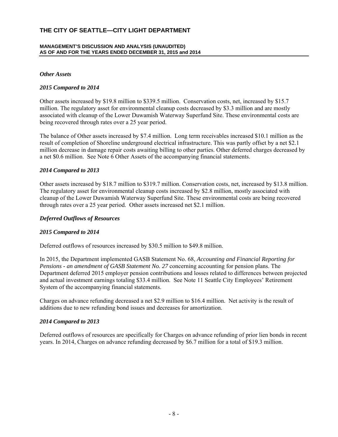#### **MANAGEMENT'S DISCUSSION AND ANALYSIS (UNAUDITED) AS OF AND FOR THE YEARS ENDED DECEMBER 31, 2015 and 2014**

### *Other Assets*

### *2015 Compared to 2014*

Other assets increased by \$19.8 million to \$339.5 million. Conservation costs, net, increased by \$15.7 million. The regulatory asset for environmental cleanup costs decreased by \$3.3 million and are mostly associated with cleanup of the Lower Duwamish Waterway Superfund Site. These environmental costs are being recovered through rates over a 25 year period.

The balance of Other assets increased by \$7.4 million. Long term receivables increased \$10.1 million as the result of completion of Shoreline underground electrical infrastructure. This was partly offset by a net \$2.1 million decrease in damage repair costs awaiting billing to other parties. Other deferred charges decreased by a net \$0.6 million. See Note 6 Other Assets of the accompanying financial statements.

### *2014 Compared to 2013*

Other assets increased by \$18.7 million to \$319.7 million. Conservation costs, net, increased by \$13.8 million. The regulatory asset for environmental cleanup costs increased by \$2.8 million, mostly associated with cleanup of the Lower Duwamish Waterway Superfund Site. These environmental costs are being recovered through rates over a 25 year period. Other assets increased net \$2.1 million.

### *Deferred Outflows of Resources*

# *2015 Compared to 2014*

Deferred outflows of resources increased by \$30.5 million to \$49.8 million.

In 2015, the Department implemented GASB Statement No. 68, *Accounting and Financial Reporting for Pensions - an amendment of GASB Statement No. 27* concerning accounting for pension plans. The Department deferred 2015 employer pension contributions and losses related to differences between projected and actual investment earnings totaling \$33.4 million. See Note 11 Seattle City Employees' Retirement System of the accompanying financial statements.

Charges on advance refunding decreased a net \$2.9 million to \$16.4 million. Net activity is the result of additions due to new refunding bond issues and decreases for amortization.

#### *2014 Compared to 2013*

Deferred outflows of resources are specifically for Charges on advance refunding of prior lien bonds in recent years. In 2014, Charges on advance refunding decreased by \$6.7 million for a total of \$19.3 million.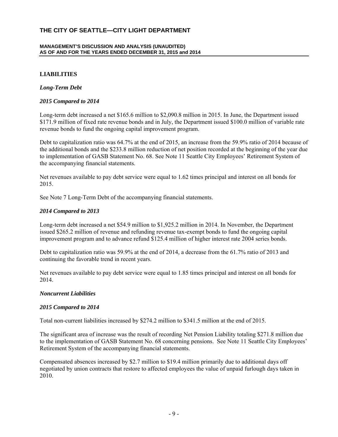#### **MANAGEMENT'S DISCUSSION AND ANALYSIS (UNAUDITED) AS OF AND FOR THE YEARS ENDED DECEMBER 31, 2015 and 2014**

# **LIABILITIES**

### *Long-Term Debt*

### *2015 Compared to 2014*

Long-term debt increased a net \$165.6 million to \$2,090.8 million in 2015. In June, the Department issued \$171.9 million of fixed rate revenue bonds and in July, the Department issued \$100.0 million of variable rate revenue bonds to fund the ongoing capital improvement program.

Debt to capitalization ratio was 64.7% at the end of 2015, an increase from the 59.9% ratio of 2014 because of the additional bonds and the \$233.8 million reduction of net position recorded at the beginning of the year due to implementation of GASB Statement No. 68. See Note 11 Seattle City Employees' Retirement System of the accompanying financial statements.

Net revenues available to pay debt service were equal to 1.62 times principal and interest on all bonds for 2015.

See Note 7 Long-Term Debt of the accompanying financial statements.

# *2014 Compared to 2013*

Long-term debt increased a net \$54.9 million to \$1,925.2 million in 2014. In November, the Department issued \$265.2 million of revenue and refunding revenue tax-exempt bonds to fund the ongoing capital improvement program and to advance refund \$125.4 million of higher interest rate 2004 series bonds.

Debt to capitalization ratio was 59.9% at the end of 2014, a decrease from the 61.7% ratio of 2013 and continuing the favorable trend in recent years.

Net revenues available to pay debt service were equal to 1.85 times principal and interest on all bonds for 2014.

#### *Noncurrent Liabilities*

#### *2015 Compared to 2014*

Total non-current liabilities increased by \$274.2 million to \$341.5 million at the end of 2015.

The significant area of increase was the result of recording Net Pension Liability totaling \$271.8 million due to the implementation of GASB Statement No. 68 concerning pensions. See Note 11 Seattle City Employees' Retirement System of the accompanying financial statements.

Compensated absences increased by \$2.7 million to \$19.4 million primarily due to additional days off negotiated by union contracts that restore to affected employees the value of unpaid furlough days taken in 2010.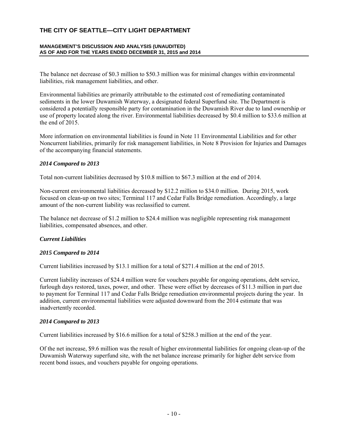#### **MANAGEMENT'S DISCUSSION AND ANALYSIS (UNAUDITED) AS OF AND FOR THE YEARS ENDED DECEMBER 31, 2015 and 2014**

The balance net decrease of \$0.3 million to \$50.3 million was for minimal changes within environmental liabilities, risk management liabilities, and other.

Environmental liabilities are primarily attributable to the estimated cost of remediating contaminated sediments in the lower Duwamish Waterway, a designated federal Superfund site. The Department is considered a potentially responsible party for contamination in the Duwamish River due to land ownership or use of property located along the river. Environmental liabilities decreased by \$0.4 million to \$33.6 million at the end of 2015.

More information on environmental liabilities is found in Note 11 Environmental Liabilities and for other Noncurrent liabilities, primarily for risk management liabilities, in Note 8 Provision for Injuries and Damages of the accompanying financial statements.

# *2014 Compared to 2013*

Total non-current liabilities decreased by \$10.8 million to \$67.3 million at the end of 2014.

Non-current environmental liabilities decreased by \$12.2 million to \$34.0 million. During 2015, work focused on clean-up on two sites; Terminal 117 and Cedar Falls Bridge remediation. Accordingly, a large amount of the non-current liability was reclassified to current.

The balance net decrease of \$1.2 million to \$24.4 million was negligible representing risk management liabilities, compensated absences, and other.

# *Current Liabilities*

#### *2015 Compared to 2014*

Current liabilities increased by \$13.1 million for a total of \$271.4 million at the end of 2015.

Current liability increases of \$24.4 million were for vouchers payable for ongoing operations, debt service, furlough days restored, taxes, power, and other. These were offset by decreases of \$11.3 million in part due to payment for Terminal 117 and Cedar Falls Bridge remediation environmental projects during the year. In addition, current environmental liabilities were adjusted downward from the 2014 estimate that was inadvertently recorded.

#### *2014 Compared to 2013*

Current liabilities increased by \$16.6 million for a total of \$258.3 million at the end of the year.

Of the net increase, \$9.6 million was the result of higher environmental liabilities for ongoing clean-up of the Duwamish Waterway superfund site, with the net balance increase primarily for higher debt service from recent bond issues, and vouchers payable for ongoing operations.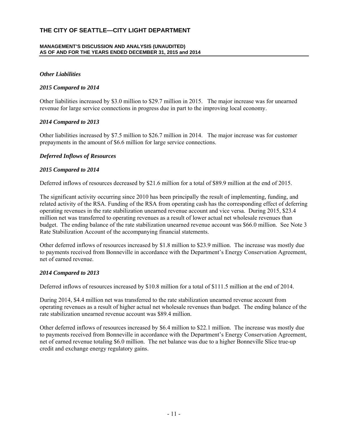#### **MANAGEMENT'S DISCUSSION AND ANALYSIS (UNAUDITED) AS OF AND FOR THE YEARS ENDED DECEMBER 31, 2015 and 2014**

### *Other Liabilities*

### *2015 Compared to 2014*

Other liabilities increased by \$3.0 million to \$29.7 million in 2015. The major increase was for unearned revenue for large service connections in progress due in part to the improving local economy.

### *2014 Compared to 2013*

Other liabilities increased by \$7.5 million to \$26.7 million in 2014. The major increase was for customer prepayments in the amount of \$6.6 million for large service connections.

### *Deferred Inflows of Resources*

### *2015 Compared to 2014*

Deferred inflows of resources decreased by \$21.6 million for a total of \$89.9 million at the end of 2015.

The significant activity occurring since 2010 has been principally the result of implementing, funding, and related activity of the RSA. Funding of the RSA from operating cash has the corresponding effect of deferring operating revenues in the rate stabilization unearned revenue account and vice versa. During 2015, \$23.4 million net was transferred to operating revenues as a result of lower actual net wholesale revenues than budget. The ending balance of the rate stabilization unearned revenue account was \$66.0 million. See Note 3 Rate Stabilization Account of the accompanying financial statements.

Other deferred inflows of resources increased by \$1.8 million to \$23.9 million. The increase was mostly due to payments received from Bonneville in accordance with the Department's Energy Conservation Agreement, net of earned revenue.

### *2014 Compared to 2013*

Deferred inflows of resources increased by \$10.8 million for a total of \$111.5 million at the end of 2014.

During 2014, \$4.4 million net was transferred to the rate stabilization unearned revenue account from operating revenues as a result of higher actual net wholesale revenues than budget. The ending balance of the rate stabilization unearned revenue account was \$89.4 million.

Other deferred inflows of resources increased by \$6.4 million to \$22.1 million. The increase was mostly due to payments received from Bonneville in accordance with the Department's Energy Conservation Agreement, net of earned revenue totaling \$6.0 million. The net balance was due to a higher Bonneville Slice true-up credit and exchange energy regulatory gains.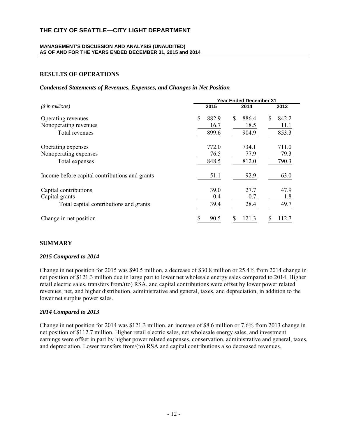#### **MANAGEMENT'S DISCUSSION AND ANALYSIS (UNAUDITED) AS OF AND FOR THE YEARS ENDED DECEMBER 31, 2015 and 2014**

# **RESULTS OF OPERATIONS**

### *Condensed Statements of Revenues, Expenses, and Changes in Net Position*

|                                                | <b>Year Ended December 31</b> |             |             |  |  |  |  |  |  |
|------------------------------------------------|-------------------------------|-------------|-------------|--|--|--|--|--|--|
| $(S \in \mathbb{R})$ in millions)              | 2015                          | 2014        | 2013        |  |  |  |  |  |  |
| Operating revenues                             | \$<br>882.9                   | \$<br>886.4 | 842.2<br>\$ |  |  |  |  |  |  |
| Nonoperating revenues                          | 16.7                          | 18.5        | 11.1        |  |  |  |  |  |  |
| Total revenues                                 | 899.6                         | 904.9       | 853.3       |  |  |  |  |  |  |
| Operating expenses                             | 772.0                         | 734.1       | 711.0       |  |  |  |  |  |  |
| Nonoperating expenses                          | 76.5                          | 77.9        | 79.3        |  |  |  |  |  |  |
| Total expenses                                 | 848.5                         | 812.0       | 790.3       |  |  |  |  |  |  |
| Income before capital contributions and grants | 51.1                          | 92.9        | 63.0        |  |  |  |  |  |  |
| Capital contributions                          | 39.0                          | 27.7        | 47.9        |  |  |  |  |  |  |
| Capital grants                                 | 0.4                           | 0.7         | 1.8         |  |  |  |  |  |  |
| Total capital contributions and grants         | 39.4                          | 28.4        | 49.7        |  |  |  |  |  |  |
| Change in net position                         | \$<br>90.5                    | 121.3<br>S  | 112.7<br>S  |  |  |  |  |  |  |

# **SUMMARY**

#### *2015 Compared to 2014*

Change in net position for 2015 was \$90.5 million, a decrease of \$30.8 million or 25.4% from 2014 change in net position of \$121.3 million due in large part to lower net wholesale energy sales compared to 2014. Higher retail electric sales, transfers from/(to) RSA, and capital contributions were offset by lower power related revenues, net, and higher distribution, administrative and general, taxes, and depreciation, in addition to the lower net surplus power sales.

#### *2014 Compared to 2013*

Change in net position for 2014 was \$121.3 million, an increase of \$8.6 million or 7.6% from 2013 change in net position of \$112.7 million. Higher retail electric sales, net wholesale energy sales, and investment earnings were offset in part by higher power related expenses, conservation, administrative and general, taxes, and depreciation. Lower transfers from/(to) RSA and capital contributions also decreased revenues.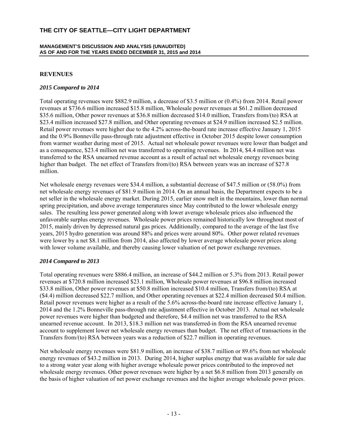#### **MANAGEMENT'S DISCUSSION AND ANALYSIS (UNAUDITED) AS OF AND FOR THE YEARS ENDED DECEMBER 31, 2015 and 2014**

# **REVENUES**

# *2015 Compared to 2014*

Total operating revenues were \$882.9 million, a decrease of \$3.5 million or (0.4%) from 2014. Retail power revenues at \$736.6 million increased \$15.8 million, Wholesale power revenues at \$61.2 million decreased \$35.6 million, Other power revenues at \$36.8 million decreased \$14.0 million, Transfers from/(to) RSA at \$23.4 million increased \$27.8 million, and Other operating revenues at \$24.9 million increased \$2.5 million. Retail power revenues were higher due to the 4.2% across-the-board rate increase effective January 1, 2015 and the 0.9% Bonneville pass-through rate adjustment effective in October 2015 despite lower consumption from warmer weather during most of 2015. Actual net wholesale power revenues were lower than budget and as a consequence, \$23.4 million net was transferred to operating revenues. In 2014, \$4.4 million net was transferred to the RSA unearned revenue account as a result of actual net wholesale energy revenues being higher than budget. The net effect of Transfers from/(to) RSA between years was an increase of \$27.8 million.

Net wholesale energy revenues were \$34.4 million, a substantial decrease of \$47.5 million or (58.0%) from net wholesale energy revenues of \$81.9 million in 2014. On an annual basis, the Department expects to be a net seller in the wholesale energy market. During 2015, earlier snow melt in the mountains, lower than normal spring precipitation, and above average temperatures since May contributed to the lower wholesale energy sales. The resulting less power generated along with lower average wholesale prices also influenced the unfavorable surplus energy revenues. Wholesale power prices remained historically low throughout most of 2015, mainly driven by depressed natural gas prices. Additionally, compared to the average of the last five years, 2015 hydro generation was around 88% and prices were around 80%. Other power related revenues were lower by a net \$8.1 million from 2014, also affected by lower average wholesale power prices along with lower volume available, and thereby causing lower valuation of net power exchange revenues.

# *2014 Compared to 2013*

Total operating revenues were \$886.4 million, an increase of \$44.2 million or 5.3% from 2013. Retail power revenues at \$720.8 million increased \$23.1 million, Wholesale power revenues at \$96.8 million increased \$33.8 million, Other power revenues at \$50.8 million increased \$10.4 million, Transfers from/(to) RSA at (\$4.4) million decreased \$22.7 million, and Other operating revenues at \$22.4 million decreased \$0.4 million. Retail power revenues were higher as a result of the 5.6% across-the-board rate increase effective January 1, 2014 and the 1.2% Bonneville pass-through rate adjustment effective in October 2013. Actual net wholesale power revenues were higher than budgeted and therefore, \$4.4 million net was transferred to the RSA unearned revenue account. In 2013, \$18.3 million net was transferred-in from the RSA unearned revenue account to supplement lower net wholesale energy revenues than budget. The net effect of transactions in the Transfers from/(to) RSA between years was a reduction of \$22.7 million in operating revenues.

Net wholesale energy revenues were \$81.9 million, an increase of \$38.7 million or 89.6% from net wholesale energy revenues of \$43.2 million in 2013. During 2014, higher surplus energy that was available for sale due to a strong water year along with higher average wholesale power prices contributed to the improved net wholesale energy revenues. Other power revenues were higher by a net \$6.8 million from 2013 generally on the basis of higher valuation of net power exchange revenues and the higher average wholesale power prices.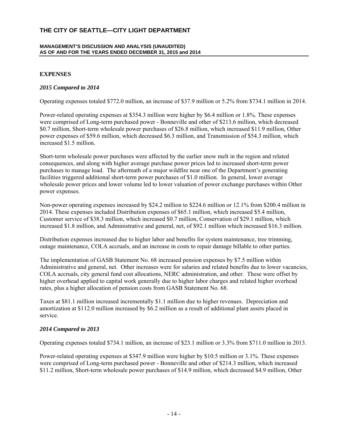#### **MANAGEMENT'S DISCUSSION AND ANALYSIS (UNAUDITED) AS OF AND FOR THE YEARS ENDED DECEMBER 31, 2015 and 2014**

# **EXPENSES**

### *2015 Compared to 2014*

Operating expenses totaled \$772.0 million, an increase of \$37.9 million or 5.2% from \$734.1 million in 2014.

Power-related operating expenses at \$354.3 million were higher by \$6.4 million or 1.8%. These expenses were comprised of Long-term purchased power - Bonneville and other of \$213.6 million, which decreased \$0.7 million, Short-term wholesale power purchases of \$26.8 million, which increased \$11.9 million, Other power expenses of \$59.6 million, which decreased \$6.3 million, and Transmission of \$54.3 million, which increased \$1.5 million.

Short-term wholesale power purchases were affected by the earlier snow melt in the region and related consequences, and along with higher average purchase power prices led to increased short-term power purchases to manage load. The aftermath of a major wildfire near one of the Department's generating facilities triggered additional short-term power purchases of \$1.0 million. In general, lower average wholesale power prices and lower volume led to lower valuation of power exchange purchases within Other power expenses.

Non-power operating expenses increased by \$24.2 million to \$224.6 million or 12.1% from \$200.4 million in 2014. These expenses included Distribution expenses of \$65.1 million, which increased \$5.4 million, Customer service of \$38.3 million, which increased \$0.7 million, Conservation of \$29.1 million, which increased \$1.8 million, and Administrative and general, net, of \$92.1 million which increased \$16.3 million.

Distribution expenses increased due to higher labor and benefits for system maintenance, tree trimming, outage maintenance, COLA accruals, and an increase in costs to repair damage billable to other parties.

The implementation of GASB Statement No. 68 increased pension expenses by \$7.5 million within Administrative and general, net. Other increases were for salaries and related benefits due to lower vacancies, COLA accruals, city general fund cost allocations, NERC administration, and other. These were offset by higher overhead applied to capital work generally due to higher labor charges and related higher overhead rates, plus a higher allocation of pension costs from GASB Statement No. 68.

Taxes at \$81.1 million increased incrementally \$1.1 million due to higher revenues. Depreciation and amortization at \$112.0 million increased by \$6.2 million as a result of additional plant assets placed in service.

# *2014 Compared to 2013*

Operating expenses totaled \$734.1 million, an increase of \$23.1 million or 3.3% from \$711.0 million in 2013.

Power-related operating expenses at \$347.9 million were higher by \$10.5 million or 3.1%. These expenses were comprised of Long-term purchased power - Bonneville and other of \$214.3 million, which increased \$11.2 million, Short-term wholesale power purchases of \$14.9 million, which decreased \$4.9 million, Other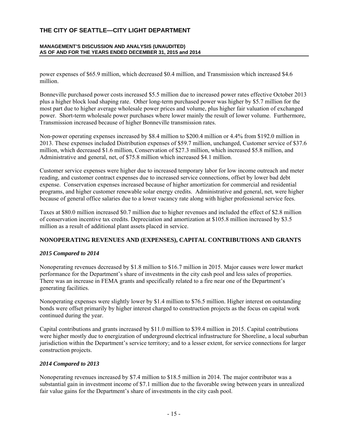#### **MANAGEMENT'S DISCUSSION AND ANALYSIS (UNAUDITED) AS OF AND FOR THE YEARS ENDED DECEMBER 31, 2015 and 2014**

power expenses of \$65.9 million, which decreased \$0.4 million, and Transmission which increased \$4.6 million.

Bonneville purchased power costs increased \$5.5 million due to increased power rates effective October 2013 plus a higher block load shaping rate. Other long-term purchased power was higher by \$5.7 million for the most part due to higher average wholesale power prices and volume, plus higher fair valuation of exchanged power. Short-term wholesale power purchases where lower mainly the result of lower volume. Furthermore, Transmission increased because of higher Bonneville transmission rates.

Non-power operating expenses increased by \$8.4 million to \$200.4 million or 4.4% from \$192.0 million in 2013. These expenses included Distribution expenses of \$59.7 million, unchanged, Customer service of \$37.6 million, which decreased \$1.6 million, Conservation of \$27.3 million, which increased \$5.8 million, and Administrative and general, net, of \$75.8 million which increased \$4.1 million.

Customer service expenses were higher due to increased temporary labor for low income outreach and meter reading, and customer contract expenses due to increased service connections, offset by lower bad debt expense. Conservation expenses increased because of higher amortization for commercial and residential programs, and higher customer renewable solar energy credits. Administrative and general, net, were higher because of general office salaries due to a lower vacancy rate along with higher professional service fees.

Taxes at \$80.0 million increased \$0.7 million due to higher revenues and included the effect of \$2.8 million of conservation incentive tax credits. Depreciation and amortization at \$105.8 million increased by \$3.5 million as a result of additional plant assets placed in service.

# **NONOPERATING REVENUES AND (EXPENSES), CAPITAL CONTRIBUTIONS AND GRANTS**

# *2015 Compared to 2014*

Nonoperating revenues decreased by \$1.8 million to \$16.7 million in 2015. Major causes were lower market performance for the Department's share of investments in the city cash pool and less sales of properties. There was an increase in FEMA grants and specifically related to a fire near one of the Department's generating facilities.

Nonoperating expenses were slightly lower by \$1.4 million to \$76.5 million. Higher interest on outstanding bonds were offset primarily by higher interest charged to construction projects as the focus on capital work continued during the year.

Capital contributions and grants increased by \$11.0 million to \$39.4 million in 2015. Capital contributions were higher mostly due to energization of underground electrical infrastructure for Shoreline, a local suburban jurisdiction within the Department's service territory; and to a lesser extent, for service connections for larger construction projects.

# *2014 Compared to 2013*

Nonoperating revenues increased by \$7.4 million to \$18.5 million in 2014. The major contributor was a substantial gain in investment income of \$7.1 million due to the favorable swing between years in unrealized fair value gains for the Department's share of investments in the city cash pool.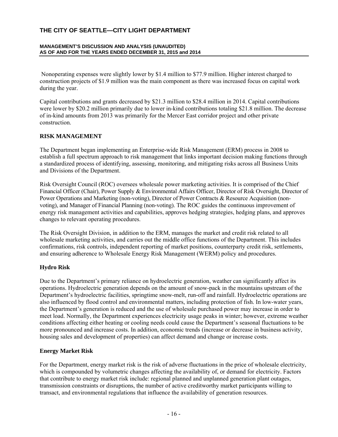#### **MANAGEMENT'S DISCUSSION AND ANALYSIS (UNAUDITED) AS OF AND FOR THE YEARS ENDED DECEMBER 31, 2015 and 2014**

 Nonoperating expenses were slightly lower by \$1.4 million to \$77.9 million. Higher interest charged to construction projects of \$1.9 million was the main component as there was increased focus on capital work during the year.

Capital contributions and grants decreased by \$21.3 million to \$28.4 million in 2014. Capital contributions were lower by \$20.2 million primarily due to lower in-kind contributions totaling \$21.8 million. The decrease of in-kind amounts from 2013 was primarily for the Mercer East corridor project and other private construction.

# **RISK MANAGEMENT**

The Department began implementing an Enterprise-wide Risk Management (ERM) process in 2008 to establish a full spectrum approach to risk management that links important decision making functions through a standardized process of identifying, assessing, monitoring, and mitigating risks across all Business Units and Divisions of the Department.

Risk Oversight Council (ROC) oversees wholesale power marketing activities. It is comprised of the Chief Financial Officer (Chair), Power Supply & Environmental Affairs Officer, Director of Risk Oversight, Director of Power Operations and Marketing (non-voting), Director of Power Contracts & Resource Acquisition (nonvoting), and Manager of Financial Planning (non-voting). The ROC guides the continuous improvement of energy risk management activities and capabilities, approves hedging strategies, hedging plans, and approves changes to relevant operating procedures.

The Risk Oversight Division, in addition to the ERM, manages the market and credit risk related to all wholesale marketing activities, and carries out the middle office functions of the Department. This includes confirmations, risk controls, independent reporting of market positions, counterparty credit risk, settlements, and ensuring adherence to Wholesale Energy Risk Management (WERM) policy and procedures.

# **Hydro Risk**

Due to the Department's primary reliance on hydroelectric generation, weather can significantly affect its operations. Hydroelectric generation depends on the amount of snow-pack in the mountains upstream of the Department's hydroelectric facilities, springtime snow-melt, run-off and rainfall. Hydroelectric operations are also influenced by flood control and environmental matters, including protection of fish. In low-water years, the Department's generation is reduced and the use of wholesale purchased power may increase in order to meet load. Normally, the Department experiences electricity usage peaks in winter; however, extreme weather conditions affecting either heating or cooling needs could cause the Department's seasonal fluctuations to be more pronounced and increase costs. In addition, economic trends (increase or decrease in business activity, housing sales and development of properties) can affect demand and change or increase costs.

# **Energy Market Risk**

For the Department, energy market risk is the risk of adverse fluctuations in the price of wholesale electricity, which is compounded by volumetric changes affecting the availability of, or demand for electricity. Factors that contribute to energy market risk include: regional planned and unplanned generation plant outages, transmission constraints or disruptions, the number of active creditworthy market participants willing to transact, and environmental regulations that influence the availability of generation resources.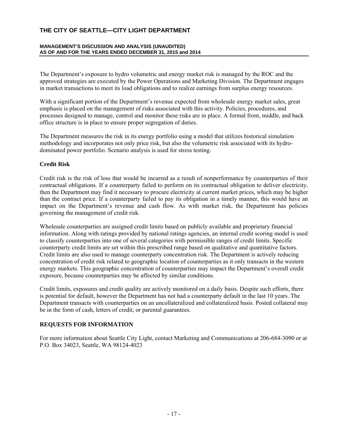#### **MANAGEMENT'S DISCUSSION AND ANALYSIS (UNAUDITED) AS OF AND FOR THE YEARS ENDED DECEMBER 31, 2015 and 2014**

The Department's exposure to hydro volumetric and energy market risk is managed by the ROC and the approved strategies are executed by the Power Operations and Marketing Division. The Department engages in market transactions to meet its load obligations and to realize earnings from surplus energy resources.

With a significant portion of the Department's revenue expected from wholesale energy market sales, great emphasis is placed on the management of risks associated with this activity. Policies, procedures, and processes designed to manage, control and monitor these risks are in place. A formal front, middle, and back office structure is in place to ensure proper segregation of duties.

The Department measures the risk in its energy portfolio using a model that utilizes historical simulation methodology and incorporates not only price risk, but also the volumetric risk associated with its hydrodominated power portfolio. Scenario analysis is used for stress testing.

# **Credit Risk**

Credit risk is the risk of loss that would be incurred as a result of nonperformance by counterparties of their contractual obligations. If a counterparty failed to perform on its contractual obligation to deliver electricity, then the Department may find it necessary to procure electricity at current market prices, which may be higher than the contract price. If a counterparty failed to pay its obligation in a timely manner, this would have an impact on the Department's revenue and cash flow. As with market risk, the Department has policies governing the management of credit risk.

Wholesale counterparties are assigned credit limits based on publicly available and proprietary financial information. Along with ratings provided by national ratings agencies, an internal credit scoring model is used to classify counterparties into one of several categories with permissible ranges of credit limits. Specific counterparty credit limits are set within this prescribed range based on qualitative and quantitative factors. Credit limits are also used to manage counterparty concentration risk. The Department is actively reducing concentration of credit risk related to geographic location of counterparties as it only transacts in the western energy markets. This geographic concentration of counterparties may impact the Department's overall credit exposure, because counterparties may be affected by similar conditions.

Credit limits, exposures and credit quality are actively monitored on a daily basis. Despite such efforts, there is potential for default, however the Department has not had a counterparty default in the last 10 years. The Department transacts with counterparties on an uncollateralized and collateralized basis. Posted collateral may be in the form of cash, letters of credit, or parental guarantees.

# **REQUESTS FOR INFORMATION**

For more information about Seattle City Light, contact Marketing and Communications at 206-684-3090 or at P.O. Box 34023, Seattle, WA 98124-4023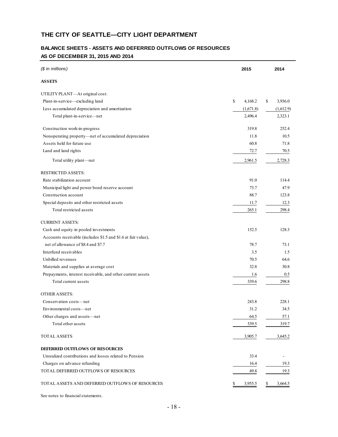# **BALANCE SHEETS - ASSETS AND DEFERRED OUTFLOWS OF RESOURCES AS OF DECEMBER 31, 2015 AND 2014**

| $$$ in millions)                                              | 2015          | 2014          |
|---------------------------------------------------------------|---------------|---------------|
| <b>ASSETS</b>                                                 |               |               |
| UTILITY PLANT-At original cost:                               |               |               |
| Plant-in-service-excluding land                               | \$<br>4,168.2 | 3,936.0<br>\$ |
| Less accumulated depreciation and amortization                | (1,671.8)     | (1,612.9)     |
| Total plant-in-service-net                                    | 2,496.4       | 2,323.1       |
| Construction work-in-progress                                 | 319.8         | 252.4         |
| Nonoperating property-net of accumulated depreciation         | 11.8          | 10.5          |
| Assets held for future use                                    | 60.8          | 71.8          |
| Land and land rights                                          | 72.7          | 70.5          |
| Total utility plant-net                                       | 2,961.5       | 2,728.3       |
| <b>RESTRICTED ASSETS:</b>                                     |               |               |
| Rate stabilization account                                    | 91.0          | 114.4         |
| Municipal light and power bond reserve account                | 73.7          | 47.9          |
| Construction account                                          | 88.7          | 123.8         |
| Special deposits and other restricted assets                  | 11.7          | 12.3          |
| Total restricted assets                                       | 265.1         | 298.4         |
| <b>CURRENT ASSETS:</b>                                        |               |               |
| Cash and equity in pooled investments                         | 152.5         | 128.3         |
| Accounts receivable (includes \$1.5 and \$1.6 at fair value), |               |               |
| net of allowance of \$8.4 and \$7.7                           | 78.7          | 73.1          |
| Interfund receivables                                         | 3.5           | 1.5           |
| Unbilled revenues                                             | 70.5          | 64.6          |
| Materials and supplies at average cost                        | 32.8          | 30.8          |
| Prepayments, interest receivable, and other current assets    | 1.6           | 0.5           |
| Total current assets                                          | 339.6         | 298.8         |
| <b>OTHER ASSETS:</b>                                          |               |               |
| Conservation costs-net                                        | 243.8         | 228.1         |
| Environmental costs—net                                       | 31.2          | 34.5          |
| Other charges and assets-net                                  | 64.5          | 57.1          |
| Total other assets                                            | 339.5         | 319.7         |
| <b>TOTAL ASSETS</b>                                           | 3,905.7       | 3,645.2       |
| DEFERRED OUTFLOWS OF RESOURCES                                |               |               |
| Unrealized contributions and losses related to Pension        | 33.4          |               |
| Charges on advance refunding                                  | 16.4          | 19.3          |
| TOTAL DEFERRED OUTFLOWS OF RESOURCES                          | 49.8          | 19.3          |
| TOTAL ASSETS AND DEFERRED OUTFLOWS OF RESOURCES               | 3,955.5       | 3,664.5<br>S  |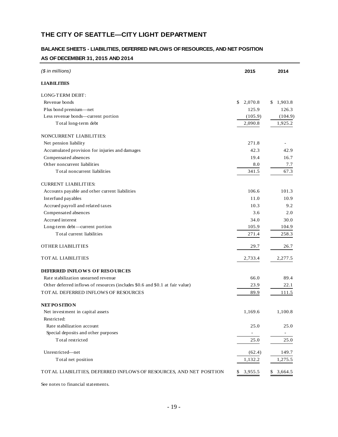# **BALANCE SHEETS - LIABILITIES, DEFERRED INFLOWS OF RESOURCES, AND NET POSITION**

### **AS OF DECEMBER 31, 2015 AND 2014**

| $$$ in millions)                                                             | 2015           | 2014          |
|------------------------------------------------------------------------------|----------------|---------------|
| <b>LIABILITIES</b>                                                           |                |               |
| <b>LONG-TERM DEBT:</b>                                                       |                |               |
| Revenue bonds                                                                | 2,070.8<br>\$  | \$1,903.8     |
| Plus bond premium-net                                                        | 125.9          | 126.3         |
| Less revenue bonds—current portion                                           | (105.9)        | (104.9)       |
| Total long-term debt                                                         | 2,090.8        | 1,925.2       |
| NONCURRENT LIABILITIES:                                                      |                |               |
| Net pension liability                                                        | 271.8          |               |
| Accumulated provision for injuries and damages                               | 42.3           | 42.9          |
| Compensated absences                                                         | 19.4           | 16.7          |
| Other noncurrent liabilities                                                 | 8.0            | 7.7           |
| Total noncurrent liabilities                                                 | 341.5          | 67.3          |
| <b>CURRENT LIABILITIES:</b>                                                  |                |               |
|                                                                              | 106.6          | 101.3         |
| Accounts payable and other current liabilities                               |                |               |
| Interfund payables                                                           | 11.0           | 10.9          |
| Accrued payroll and related taxes                                            | 10.3           | 9.2           |
| Compensated absences                                                         | 3.6            | 2.0           |
| Accrued interest                                                             | 34.0           | 30.0          |
| Long-term debt-current portion                                               | 105.9          | 104.9         |
| Total current liabilities                                                    | 271.4          | 258.3         |
| OTHER LIABILITIES                                                            | 29.7           | 26.7          |
| TOTAL LIABILITIES                                                            | 2,733.4        | 2,277.5       |
| <b>DEFERRED INFLOWS OF RESOURCES</b>                                         |                |               |
| Rate stabilization unearned revenue                                          | 66.0           | 89.4          |
| Other deferred inflows of resources (includes \$0.6 and \$0.1 at fair value) | 23.9           | 22.1          |
| <b>TOTAL DEFERRED INFLOWS OF RESOURCES</b>                                   | 89.9           | 111.5         |
|                                                                              |                |               |
| <b>NET POSITION</b>                                                          |                |               |
| Net investment in capital assets                                             | 1,169.6        | 1,100.8       |
| Restricted:                                                                  |                |               |
| Rate stabilization account                                                   | 25.0           | 25.0          |
| Special deposits and other purposes                                          | $\blacksquare$ | ۰             |
| Total restricted                                                             | 25.0           | 25.0          |
| Unrestricted-net                                                             | (62.4)         | 149.7         |
| Total net position                                                           | 1,132.2        | 1,275.5       |
| TOTAL LIABILITIES, DEFERRED INFLOWS OF RESOURCES, AND NET POSITION           | 3,955.5<br>\$  | 3,664.5<br>\$ |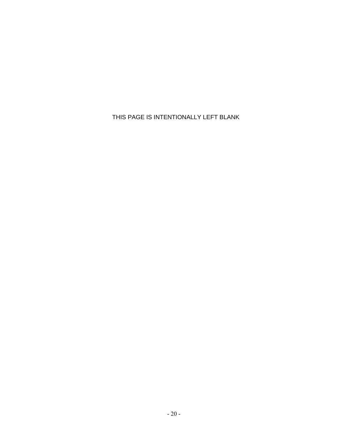THIS PAGE IS INTENTIONALLY LEFT BLANK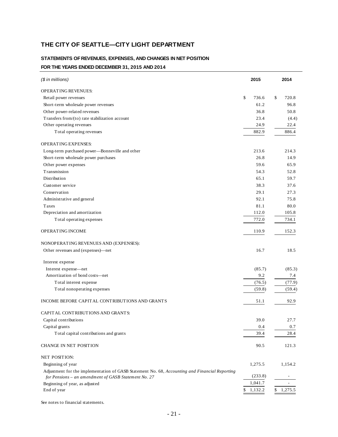### **STATEMENTS OF REVENUES, EXPENSES, AND CHANGES IN NET POSITION**

# **FOR THE YEARS ENDED DECEMBER 31, 2015 AND 2014**

| $($$ in millions)                                                                              | 2015          | 2014          |
|------------------------------------------------------------------------------------------------|---------------|---------------|
| <b>OPERATING REVENUES:</b>                                                                     |               |               |
| Retail power revenues                                                                          | \$<br>736.6   | \$<br>720.8   |
| Short-term wholesale power revenues                                                            | 61.2          | 96.8          |
| Other power-related revenues                                                                   | 36.8          | 50.8          |
| Transfers from/(to) rate stabilization account                                                 | 23.4          | (4.4)         |
| Other operating revenues                                                                       | 24.9          | 22.4          |
| Total operating revenues                                                                       | 882.9         | 886.4         |
| <b>OPERATING EXPENSES:</b>                                                                     |               |               |
| Long-term purchased power-Bonneville and other                                                 | 213.6         | 214.3         |
| Short-term wholesale power purchases                                                           | 26.8          | 14.9          |
| Other power expenses                                                                           | 59.6          | 65.9          |
| Transmission                                                                                   | 54.3          | 52.8          |
| Distribution                                                                                   | 65.1          | 59.7          |
| Customer service                                                                               | 38.3          | 37.6          |
| Conservation                                                                                   | 29.1          | 27.3          |
| Administrative and general                                                                     | 92.1          | 75.8          |
| Taxes                                                                                          | 81.1          | 80.0          |
| Depreciation and amortization                                                                  | 112.0         | 105.8         |
| Total operating expenses                                                                       | 772.0         | 734.1         |
| OPERATING INCOME                                                                               | 110.9         | 152.3         |
| NONOPERATING REVENUES AND (EXPENSES):                                                          |               |               |
| Other revenues and (expenses)—net                                                              | 16.7          | 18.5          |
| Interest expense                                                                               |               |               |
| Interest expense—net                                                                           | (85.7)        | (85.3)        |
| Amortization of bond costs-net                                                                 | 9.2           | 7.4           |
| Total interest expense                                                                         | (76.5)        | (77.9)        |
| Total nonoperating expenses                                                                    | (59.8)        | (59.4)        |
| INCOME BEFORE CAPITAL CONTRIBUTIONS AND GRANTS                                                 | 51.1          | 92.9          |
| CAPIT AL CONTRIBUTIONS AND GRANTS:                                                             |               |               |
| Capital contributions                                                                          | 39.0          | 27.7          |
| Capital grants                                                                                 | 0.4           | 0.7           |
| Total capital contributions and grants                                                         | 39.4          | 28.4          |
| <b>CHANGE IN NET POSITION</b>                                                                  | 90.5          | 121.3         |
| <b>NET POSITION:</b>                                                                           |               |               |
| Beginning of year                                                                              | 1,275.5       | 1,154.2       |
| Adjustment for the implementation of GASB Statement No. 68, Accounting and Financial Reporting |               |               |
| for Pensions - an amendment of GASB Statement No. 27                                           | (233.8)       |               |
| Beginning of year, as adjusted                                                                 | 1,041.7       |               |
| End of year                                                                                    | \$<br>1,132.2 | 1,275.5<br>\$ |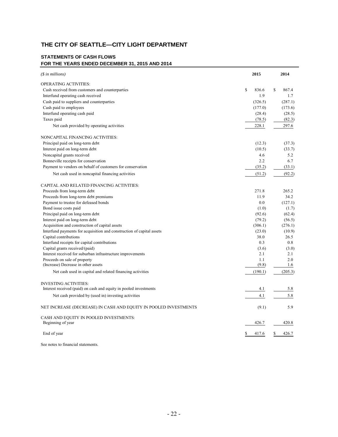#### **STATEMENTS OF CASH FLOWS FOR THE YEARS ENDED DECEMBER 31, 2015 AND 2014**

| $($ in millions)$                                                     | 2015        | 2014        |
|-----------------------------------------------------------------------|-------------|-------------|
| <b>OPERATING ACTIVITIES:</b>                                          |             |             |
| Cash received from customers and counterparties                       | S<br>836.6  | \$<br>867.4 |
| Interfund operating cash received                                     | 1.9         | 1.7         |
| Cash paid to suppliers and counterparties                             | (326.5)     | (287.1)     |
| Cash paid to employees                                                | (177.0)     | (173.6)     |
| Interfund operating cash paid                                         | (28.4)      | (28.5)      |
| Taxes paid                                                            | (78.5)      | (82.3)      |
| Net cash provided by operating activities                             | 228.1       | 297.6       |
| NONCAPITAL FINANCING ACTIVITIES:                                      |             |             |
| Principal paid on long-term debt                                      | (12.3)      | (37.3)      |
| Interest paid on long-term debt                                       | (10.5)      | (33.7)      |
| Noncapital grants received                                            | 4.6         | 5.2         |
| Bonneville receipts for conservation                                  | 2.2         | 6.7         |
| Payment to vendors on behalf of customers for conservation            | (35.2)      | (33.1)      |
| Net cash used in noncapital financing activities                      | (51.2)      | (92.2)      |
| CAPITAL AND RELATED FINANCING ACTIVITIES:                             |             |             |
| Proceeds from long-term debt                                          | 271.8       | 265.2       |
| Proceeds from long-term debt premiums                                 | 11.9        | 34.2        |
| Payment to trustee for defeased bonds                                 | 0.0         | (127.1)     |
| Bond issue costs paid                                                 | (1.0)       | (1.7)       |
| Principal paid on long-term debt                                      | (92.6)      | (62.4)      |
| Interest paid on long-term debt                                       | (79.2)      | (56.5)      |
| Acquisition and construction of capital assets                        | (306.1)     | (276.1)     |
| Interfund payments for acquisition and construction of capital assets | (23.0)      | (10.9)      |
| Capital contributions                                                 | 38.0        | 26.5        |
| Interfund receipts for capital contributions                          | 0.3         | 0.8         |
| Capital grants received/(paid)                                        | (3.6)       | (3.0)       |
| Interest received for suburban infrastructure improvements            | 2.1         | 2.1         |
| Proceeds on sale of property                                          | 1.1         | 2.0         |
| (Increase) Decrease in other assets                                   | (9.8)       | 1.6         |
| Net cash used in capital and related financing activities             | (190.1)     | (205.3)     |
| <b>INVESTING ACTIVITIES:</b>                                          |             |             |
| Interest received (paid) on cash and equity in pooled investments     | 4.1         | 5.8         |
| Net cash provided by (used in) investing activities                   | 4.1         | 5.8         |
| NET INCREASE (DECREASE) IN CASH AND EQUITY IN POOLED INVESTMENTS      | (9.1)       | 5.9         |
| CASH AND EQUITY IN POOLED INVESTMENTS:<br>Beginning of year           | 426.7       | 420.8       |
| End of year                                                           | \$<br>417.6 | \$<br>426.7 |
|                                                                       |             |             |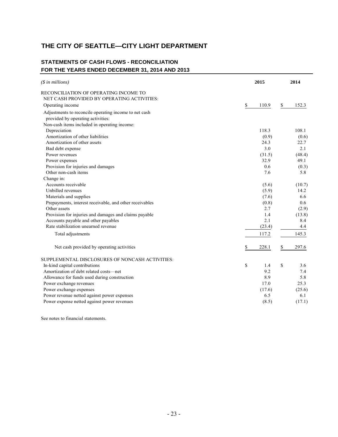# **STATEMENTS OF CASH FLOWS - RECONCILIATION FOR THE YEARS ENDED DECEMBER 31, 2014 AND 2013**

| $(S$ in millions)                                       | 2015        | 2014        |
|---------------------------------------------------------|-------------|-------------|
| RECONCILIATION OF OPERATING INCOME TO                   |             |             |
| NET CASH PROVIDED BY OPERATING ACTIVITIES:              |             |             |
| Operating income                                        | \$<br>110.9 | \$<br>152.3 |
| Adjustments to reconcile operating income to net cash   |             |             |
| provided by operating activities:                       |             |             |
| Non-cash items included in operating income:            |             |             |
| Depreciation                                            | 118.3       | 108.1       |
| Amortization of other liabilities                       | (0.9)       | (0.6)       |
| Amortization of other assets                            | 24.3        | 22.7        |
| Bad debt expense                                        | 3.0         | 2.1         |
| Power revenues                                          | (31.5)      | (48.4)      |
| Power expenses                                          | 32.9        | 49.1        |
| Provision for injuries and damages                      | 0.6         | (0.3)       |
| Other non-cash items                                    | 7.6         | 5.8         |
| Change in:                                              |             |             |
| Accounts receivable                                     | (5.6)       | (10.7)      |
| Unbilled revenues                                       | (5.9)       | 14.2        |
| Materials and supplies                                  | (7.6)       | 6.6         |
| Prepayments, interest receivable, and other receivables | (0.8)       | 0.6         |
| Other assets                                            | 2.7         | (2.9)       |
| Provision for injuries and damages and claims payable   | 1.4         | (13.8)      |
| Accounts payable and other payables                     | 2.1         | 8.4         |
| Rate stabilization unearned revenue                     | (23.4)      | 4.4         |
| Total adjustments                                       | 117.2       | 145.3       |
| Net cash provided by operating activities               | 228.1<br>\$ | \$<br>297.6 |
| SUPPLEMENTAL DISCLOSURES OF NONCASH ACTIVITIES:         |             |             |
| In-kind capital contributions                           | \$<br>1.4   | \$<br>3.6   |
| Amortization of debt related costs—net                  | 9.2         | 7.4         |
| Allowance for funds used during construction            | 8.9         | 5.8         |
| Power exchange revenues                                 | 17.0        | 25.3        |
| Power exchange expenses                                 | (17.6)      | (25.6)      |
| Power revenue netted against power expenses             | 6.5         | 6.1         |
| Power expense netted against power revenues             | (8.5)       | (17.1)      |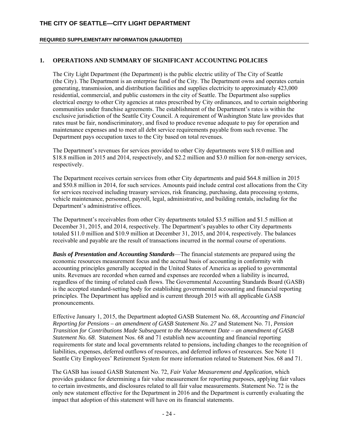### **REQUIRED SUPPLEMENTARY INFORMATION (UNAUDITED)**

# **1. OPERATIONS AND SUMMARY OF SIGNIFICANT ACCOUNTING POLICIES**

The City Light Department (the Department) is the public electric utility of The City of Seattle (the City). The Department is an enterprise fund of the City. The Department owns and operates certain generating, transmission, and distribution facilities and supplies electricity to approximately 423,000 residential, commercial, and public customers in the city of Seattle. The Department also supplies electrical energy to other City agencies at rates prescribed by City ordinances, and to certain neighboring communities under franchise agreements. The establishment of the Department's rates is within the exclusive jurisdiction of the Seattle City Council. A requirement of Washington State law provides that rates must be fair, nondiscriminatory, and fixed to produce revenue adequate to pay for operation and maintenance expenses and to meet all debt service requirements payable from such revenue. The Department pays occupation taxes to the City based on total revenues.

The Department's revenues for services provided to other City departments were \$18.0 million and \$18.8 million in 2015 and 2014, respectively, and \$2.2 million and \$3.0 million for non-energy services, respectively.

The Department receives certain services from other City departments and paid \$64.8 million in 2015 and \$50.8 million in 2014, for such services. Amounts paid include central cost allocations from the City for services received including treasury services, risk financing, purchasing, data processing systems, vehicle maintenance, personnel, payroll, legal, administrative, and building rentals, including for the Department's administrative offices.

The Department's receivables from other City departments totaled \$3.5 million and \$1.5 million at December 31, 2015, and 2014, respectively. The Department's payables to other City departments totaled \$11.0 million and \$10.9 million at December 31, 2015, and 2014, respectively. The balances receivable and payable are the result of transactions incurred in the normal course of operations.

*Basis of Presentation and Accounting Standards*—The financial statements are prepared using the economic resources measurement focus and the accrual basis of accounting in conformity with accounting principles generally accepted in the United States of America as applied to governmental units. Revenues are recorded when earned and expenses are recorded when a liability is incurred, regardless of the timing of related cash flows. The Governmental Accounting Standards Board (GASB) is the accepted standard-setting body for establishing governmental accounting and financial reporting principles. The Department has applied and is current through 2015 with all applicable GASB pronouncements.

Effective January 1, 2015, the Department adopted GASB Statement No. 68, *Accounting and Financial Reporting for Pensions – an amendment of GASB Statement No. 27* and Statement No. 71, *Pension Transition for Contributions Made Subsequent to the Measurement Date – an amendment of GASB Statement No. 68*. Statement Nos. 68 and 71 establish new accounting and financial reporting requirements for state and local governments related to pensions, including changes to the recognition of liabilities, expenses, deferred outflows of resources, and deferred inflows of resources. See Note 11 Seattle City Employees' Retirement System for more information related to Statement Nos. 68 and 71.

The GASB has issued GASB Statement No. 72, *Fair Value Measurement and Application*, which provides guidance for determining a fair value measurement for reporting purposes, applying fair values to certain investments, and disclosures related to all fair value measurements. Statement No. 72 is the only new statement effective for the Department in 2016 and the Department is currently evaluating the impact that adoption of this statement will have on its financial statements.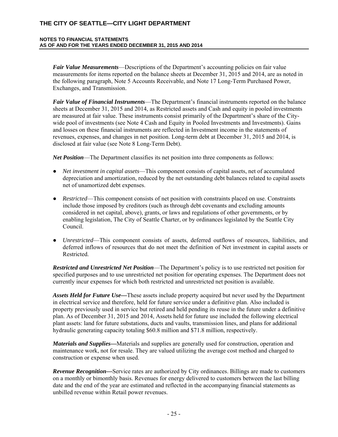#### **NOTES TO FINANCIAL STATEMENTS AS OF AND FOR THE YEARS ENDED DECEMBER 31, 2015 AND 2014**

*Fair Value Measurements*—Descriptions of the Department's accounting policies on fair value measurements for items reported on the balance sheets at December 31, 2015 and 2014, are as noted in the following paragraph, Note 5 Accounts Receivable, and Note 17 Long-Term Purchased Power, Exchanges, and Transmission.

*Fair Value of Financial Instruments*—The Department's financial instruments reported on the balance sheets at December 31, 2015 and 2014, as Restricted assets and Cash and equity in pooled investments are measured at fair value. These instruments consist primarily of the Department's share of the Citywide pool of investments (see Note 4 Cash and Equity in Pooled Investments and Investments). Gains and losses on these financial instruments are reflected in Investment income in the statements of revenues, expenses, and changes in net position. Long-term debt at December 31, 2015 and 2014, is disclosed at fair value (see Note 8 Long-Term Debt).

*Net Position*—The Department classifies its net position into three components as follows:

- *Net investment in capital assets*—This component consists of capital assets, net of accumulated depreciation and amortization, reduced by the net outstanding debt balances related to capital assets net of unamortized debt expenses.
- *Restricted*—This component consists of net position with constraints placed on use. Constraints include those imposed by creditors (such as through debt covenants and excluding amounts considered in net capital, above), grants, or laws and regulations of other governments, or by enabling legislation, The City of Seattle Charter, or by ordinances legislated by the Seattle City Council.
- *Unrestricted*—This component consists of assets, deferred outflows of resources, liabilities, and deferred inflows of resources that do not meet the definition of Net investment in capital assets or **Restricted.**

*Restricted and Unrestricted Net Position*—The Department's policy is to use restricted net position for specified purposes and to use unrestricted net position for operating expenses. The Department does not currently incur expenses for which both restricted and unrestricted net position is available.

*Assets Held for Future Use—*These assets include property acquired but never used by the Department in electrical service and therefore, held for future service under a definitive plan. Also included is property previously used in service but retired and held pending its reuse in the future under a definitive plan. As of December 31, 2015 and 2014, Assets held for future use included the following electrical plant assets: land for future substations, ducts and vaults, transmission lines, and plans for additional hydraulic generating capacity totaling \$60.8 million and \$71.8 million, respectively.

*Materials and Supplies—*Materials and supplies are generally used for construction, operation and maintenance work, not for resale. They are valued utilizing the average cost method and charged to construction or expense when used.

*Revenue Recognition—*Service rates are authorized by City ordinances. Billings are made to customers on a monthly or bimonthly basis. Revenues for energy delivered to customers between the last billing date and the end of the year are estimated and reflected in the accompanying financial statements as unbilled revenue within Retail power revenues.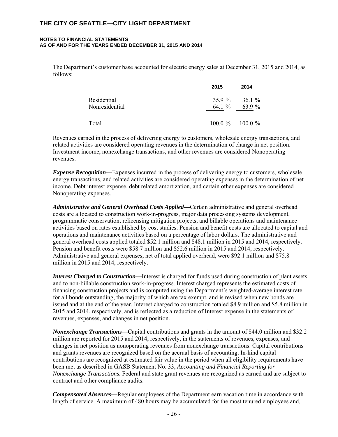#### **NOTES TO FINANCIAL STATEMENTS AS OF AND FOR THE YEARS ENDED DECEMBER 31, 2015 AND 2014**

The Department's customer base accounted for electric energy sales at December 31, 2015 and 2014, as follows:

|                | 2015 | 2014                |
|----------------|------|---------------------|
| Residential    |      | $35.9 \%$ $36.1 \%$ |
| Nonresidential |      | 64.1 $\%$ 63.9 $\%$ |
| Total          |      | $100.0 \%$ 100.0 %  |

Revenues earned in the process of delivering energy to customers, wholesale energy transactions, and related activities are considered operating revenues in the determination of change in net position. Investment income, nonexchange transactions, and other revenues are considered Nonoperating revenues.

*Expense Recognition—*Expenses incurred in the process of delivering energy to customers, wholesale energy transactions, and related activities are considered operating expenses in the determination of net income. Debt interest expense, debt related amortization, and certain other expenses are considered Nonoperating expenses.

*Administrative and General Overhead Costs Applied—*Certain administrative and general overhead costs are allocated to construction work-in-progress, major data processing systems development, programmatic conservation, relicensing mitigation projects, and billable operations and maintenance activities based on rates established by cost studies. Pension and benefit costs are allocated to capital and operations and maintenance activities based on a percentage of labor dollars. The administrative and general overhead costs applied totaled \$52.1 million and \$48.1 million in 2015 and 2014, respectively. Pension and benefit costs were \$58.7 million and \$52.6 million in 2015 and 2014, respectively. Administrative and general expenses, net of total applied overhead, were \$92.1 million and \$75.8 million in 2015 and 2014, respectively.

*Interest Charged to Construction—*Interest is charged for funds used during construction of plant assets and to non-billable construction work-in-progress. Interest charged represents the estimated costs of financing construction projects and is computed using the Department's weighted-average interest rate for all bonds outstanding, the majority of which are tax exempt, and is revised when new bonds are issued and at the end of the year. Interest charged to construction totaled \$8.9 million and \$5.8 million in 2015 and 2014, respectively, and is reflected as a reduction of Interest expense in the statements of revenues, expenses, and changes in net position.

*Nonexchange Transactions—*Capital contributions and grants in the amount of \$44.0 million and \$32.2 million are reported for 2015 and 2014, respectively, in the statements of revenues, expenses, and changes in net position as nonoperating revenues from nonexchange transactions. Capital contributions and grants revenues are recognized based on the accrual basis of accounting. In-kind capital contributions are recognized at estimated fair value in the period when all eligibility requirements have been met as described in GASB Statement No. 33, *Accounting and Financial Reporting for Nonexchange Transactions*. Federal and state grant revenues are recognized as earned and are subject to contract and other compliance audits.

*Compensated Absences—*Regular employees of the Department earn vacation time in accordance with length of service. A maximum of 480 hours may be accumulated for the most tenured employees and,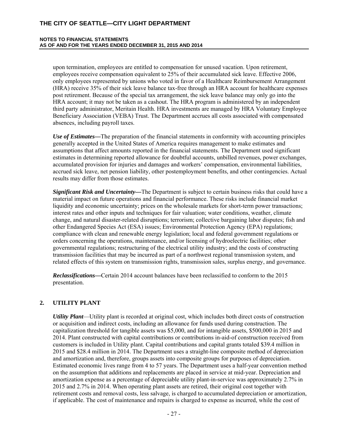#### **NOTES TO FINANCIAL STATEMENTS AS OF AND FOR THE YEARS ENDED DECEMBER 31, 2015 AND 2014**

upon termination, employees are entitled to compensation for unused vacation. Upon retirement, employees receive compensation equivalent to 25% of their accumulated sick leave. Effective 2006, only employees represented by unions who voted in favor of a Healthcare Reimbursement Arrangement (HRA) receive 35% of their sick leave balance tax-free through an HRA account for healthcare expenses post retirement. Because of the special tax arrangement, the sick leave balance may only go into the HRA account; it may not be taken as a cashout. The HRA program is administered by an independent third party administrator, Meritain Health. HRA investments are managed by HRA Voluntary Employee Beneficiary Association (VEBA) Trust. The Department accrues all costs associated with compensated absences, including payroll taxes.

*Use of Estimates—*The preparation of the financial statements in conformity with accounting principles generally accepted in the United States of America requires management to make estimates and assumptions that affect amounts reported in the financial statements. The Department used significant estimates in determining reported allowance for doubtful accounts, unbilled revenues, power exchanges, accumulated provision for injuries and damages and workers' compensation, environmental liabilities, accrued sick leave, net pension liability, other postemployment benefits, and other contingencies. Actual results may differ from those estimates.

*Significant Risk and Uncertainty—*The Department is subject to certain business risks that could have a material impact on future operations and financial performance. These risks include financial market liquidity and economic uncertainty; prices on the wholesale markets for short-term power transactions; interest rates and other inputs and techniques for fair valuation; water conditions, weather, climate change, and natural disaster-related disruptions; terrorism; collective bargaining labor disputes; fish and other Endangered Species Act (ESA) issues; Environmental Protection Agency (EPA) regulations; compliance with clean and renewable energy legislation; local and federal government regulations or orders concerning the operations, maintenance, and/or licensing of hydroelectric facilities; other governmental regulations; restructuring of the electrical utility industry; and the costs of constructing transmission facilities that may be incurred as part of a northwest regional transmission system, and related effects of this system on transmission rights, transmission sales, surplus energy, and governance.

*Reclassifications—*Certain 2014 account balances have been reclassified to conform to the 2015 presentation.

# **2. UTILITY PLANT**

*Utility Plant*—Utility plant is recorded at original cost, which includes both direct costs of construction or acquisition and indirect costs, including an allowance for funds used during construction. The capitalization threshold for tangible assets was \$5,000, and for intangible assets, \$500,000 in 2015 and 2014. Plant constructed with capital contributions or contributions in-aid-of construction received from customers is included in Utility plant. Capital contributions and capital grants totaled \$39.4 million in 2015 and \$28.4 million in 2014. The Department uses a straight-line composite method of depreciation and amortization and, therefore, groups assets into composite groups for purposes of depreciation. Estimated economic lives range from 4 to 57 years. The Department uses a half-year convention method on the assumption that additions and replacements are placed in service at mid-year. Depreciation and amortization expense as a percentage of depreciable utility plant-in-service was approximately 2.7% in 2015 and 2.7% in 2014. When operating plant assets are retired, their original cost together with retirement costs and removal costs, less salvage, is charged to accumulated depreciation or amortization, if applicable. The cost of maintenance and repairs is charged to expense as incurred, while the cost of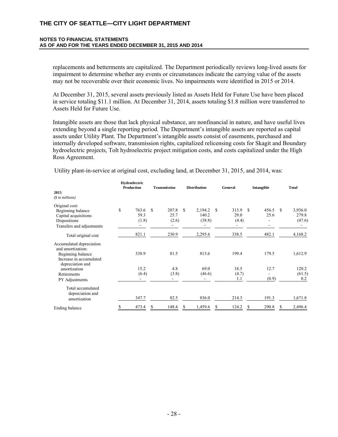#### **NOTES TO FINANCIAL STATEMENTS AS OF AND FOR THE YEARS ENDED DECEMBER 31, 2015 AND 2014**

replacements and betterments are capitalized. The Department periodically reviews long-lived assets for impairment to determine whether any events or circumstances indicate the carrying value of the assets may not be recoverable over their economic lives. No impairments were identified in 2015 or 2014.

At December 31, 2015, several assets previously listed as Assets Held for Future Use have been placed in service totaling \$11.1 million. At December 31, 2014, assets totaling \$1.8 million were transferred to Assets Held for Future Use.

Intangible assets are those that lack physical substance, are nonfinancial in nature, and have useful lives extending beyond a single reporting period. The Department's intangible assets are reported as capital assets under Utility Plant. The Department's intangible assets consist of easements, purchased and internally developed software, transmission rights, capitalized relicensing costs for Skagit and Boundary hydroelectric projects, Tolt hydroelectric project mitigation costs, and costs capitalized under the High Ross Agreement.

Utility plant-in-service at original cost, excluding land, at December 31, 2015, and 2014, was:

| 2015<br>$(S \in$ in millions)                                                                                     | Hydroelectric<br><b>Production</b> |               | <b>Transmission</b>         |   | <b>Distribution</b>        | General |                             | Intangible |                    |     | <b>Total</b>               |
|-------------------------------------------------------------------------------------------------------------------|------------------------------------|---------------|-----------------------------|---|----------------------------|---------|-----------------------------|------------|--------------------|-----|----------------------------|
| Original cost:<br>Beginning balance<br>Capital acquisitions<br>Dispositions<br>Transfers and adjustments          | \$<br>763.6<br>59.3<br>(1.8)       | <sup>\$</sup> | 207.8<br>25.7<br>(2.6)<br>۰ | S | 2,194.2<br>140.2<br>(38.8) | S       | 313.9<br>29.0<br>(4.4)<br>- | <b>S</b>   | 456.5<br>25.6<br>- | \$. | 3,936.0<br>279.8<br>(47.6) |
| Total original cost                                                                                               | 821.1                              |               | 230.9                       |   | 2,295.6                    |         | 338.5                       |            | 482.1              |     | 4,168.2                    |
| Accumulated depreciation<br>and amortization:<br>Beginning balance<br>Increase in accumulated<br>depreciation and | 338.9                              |               | 81.5                        |   | 813.6                      |         | 199.4                       |            | 179.5              |     | 1,612.9                    |
| amortization                                                                                                      | 15.2                               |               | 4.8                         |   | 69.0                       |         | 18.5                        |            | 12.7               |     | 120.2                      |
| Retirements<br>PY Adjustments                                                                                     | (6.4)                              |               | (3.8)                       |   | (46.6)                     |         | (4.7)<br>1.1                |            | (0.9)              |     | (61.5)<br>0.2              |
| Total accumulated<br>depreciation and<br>amortization                                                             | 347.7                              |               | 82.5                        |   | 836.0                      |         | 214.3                       |            | 191.3              |     | 1,671.8                    |
| Ending balance                                                                                                    | 473.4                              | S             | 148.4                       | S | 1,459.6                    | S       | 124.2                       | S          | 290.8              |     | 2,496.4                    |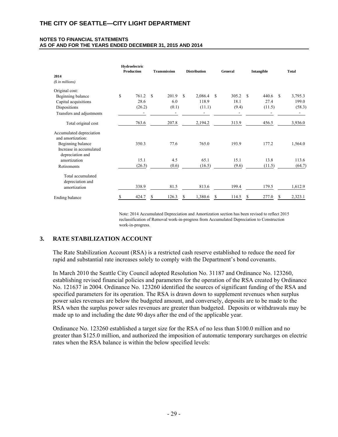#### **NOTES TO FINANCIAL STATEMENTS AS OF AND FOR THE YEARS ENDED DECEMBER 31, 2015 AND 2014**

|                                                                                                          | Hydroelectric<br>Production   |    | <b>Transmission</b>   |     | <b>Distribution</b>                                    |               | General                |     | Intangible              |     | <b>Total</b>               |
|----------------------------------------------------------------------------------------------------------|-------------------------------|----|-----------------------|-----|--------------------------------------------------------|---------------|------------------------|-----|-------------------------|-----|----------------------------|
| 2014<br>$($in$ millions)                                                                                 |                               |    |                       |     |                                                        |               |                        |     |                         |     |                            |
| Original cost:<br>Beginning balance<br>Capital acquisitions<br>Dispositions<br>Transfers and adjustments | \$<br>761.2<br>28.6<br>(26.2) | S  | 201.9<br>6.0<br>(0.1) | \$. | 2,086.4<br>118.9<br>(11.1)<br>$\overline{\phantom{a}}$ | <sup>\$</sup> | 305.2<br>18.1<br>(9.4) | \$. | 440.6<br>27.4<br>(11.5) | \$. | 3,795.3<br>199.0<br>(58.3) |
| Total original cost                                                                                      | 763.6                         |    | 207.8                 |     | 2,194.2                                                |               | 313.9                  |     | 456.5                   |     | 3,936.0                    |
| Accumulated depreciation<br>and amortization:<br>Beginning balance<br>Increase in accumulated            | 350.3                         |    | 77.6                  |     | 765.0                                                  |               | 193.9                  |     | 177.2                   |     | 1,564.0                    |
| depreciation and<br>amortization<br>Retirements                                                          | 15.1<br>(26.5)                |    | 4.5<br>(0.6)          |     | 65.1<br>(16.5)                                         |               | 15.1<br>(9.6)          |     | 13.8<br>(11.5)          |     | 113.6<br>(64.7)            |
| Total accumulated<br>depreciation and<br>amortization                                                    | 338.9                         |    | 81.5                  |     | 813.6                                                  |               | 199.4                  |     | 179.5                   |     | 1,612.9                    |
| Ending balance                                                                                           | \$<br>424.7                   | \$ | 126.3                 | \$  | 1,380.6                                                | \$            | 114.5                  | \$  | 277.0                   | S   | 2,323.1                    |

Note: 2014 Accumulated Depreciation and Amortization section has been revised to reflect 2015 reclassification of Removal work-in-progress from Accumulated Depreciation to Construction work-in-progress.

# **3. RATE STABILIZATION ACCOUNT**

The Rate Stabilization Account (RSA) is a restricted cash reserve established to reduce the need for rapid and substantial rate increases solely to comply with the Department's bond covenants.

In March 2010 the Seattle City Council adopted Resolution No. 31187 and Ordinance No. 123260, establishing revised financial policies and parameters for the operation of the RSA created by Ordinance No. 121637 in 2004. Ordinance No. 123260 identified the sources of significant funding of the RSA and specified parameters for its operation. The RSA is drawn down to supplement revenues when surplus power sales revenues are below the budgeted amount, and conversely, deposits are to be made to the RSA when the surplus power sales revenues are greater than budgeted. Deposits or withdrawals may be made up to and including the date 90 days after the end of the applicable year.

Ordinance No. 123260 established a target size for the RSA of no less than \$100.0 million and no greater than \$125.0 million, and authorized the imposition of automatic temporary surcharges on electric rates when the RSA balance is within the below specified levels: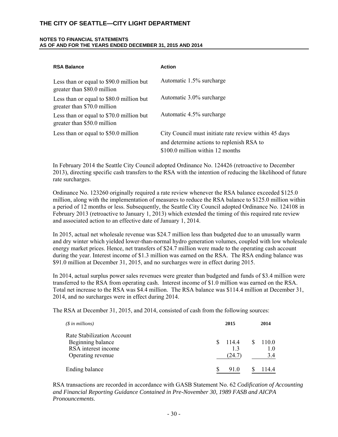#### **NOTES TO FINANCIAL STATEMENTS AS OF AND FOR THE YEARS ENDED DECEMBER 31, 2015 AND 2014**

| <b>RSA Balance</b>                                                      | <b>Action</b>                                         |
|-------------------------------------------------------------------------|-------------------------------------------------------|
| Less than or equal to \$90.0 million but<br>greater than \$80.0 million | Automatic 1.5% surcharge                              |
| Less than or equal to \$80.0 million but<br>greater than \$70.0 million | Automatic 3.0% surcharge                              |
| Less than or equal to \$70.0 million but<br>greater than \$50.0 million | Automatic 4.5% surcharge                              |
| Less than or equal to \$50.0 million                                    | City Council must initiate rate review within 45 days |
|                                                                         | and determine actions to replenish RSA to             |
|                                                                         | \$100.0 million within 12 months                      |

In February 2014 the Seattle City Council adopted Ordinance No. 124426 (retroactive to December 2013), directing specific cash transfers to the RSA with the intention of reducing the likelihood of future rate surcharges.

Ordinance No. 123260 originally required a rate review whenever the RSA balance exceeded \$125.0 million, along with the implementation of measures to reduce the RSA balance to \$125.0 million within a period of 12 months or less. Subsequently, the Seattle City Council adopted Ordinance No. 124108 in February 2013 (retroactive to January 1, 2013) which extended the timing of this required rate review and associated action to an effective date of January 1, 2014.

In 2015, actual net wholesale revenue was \$24.7 million less than budgeted due to an unusually warm and dry winter which yielded lower-than-normal hydro generation volumes, coupled with low wholesale energy market prices. Hence, net transfers of \$24.7 million were made to the operating cash account during the year. Interest income of \$1.3 million was earned on the RSA. The RSA ending balance was \$91.0 million at December 31, 2015, and no surcharges were in effect during 2015.

In 2014, actual surplus power sales revenues were greater than budgeted and funds of \$3.4 million were transferred to the RSA from operating cash. Interest income of \$1.0 million was earned on the RSA. Total net increase to the RSA was \$4.4 million. The RSA balance was \$114.4 million at December 31, 2014, and no surcharges were in effect during 2014.

The RSA at December 31, 2015, and 2014, consisted of cash from the following sources:

| $(S \in millions)$         | 2015   | 2014  |
|----------------------------|--------|-------|
| Rate Stabilization Account |        |       |
| Beginning balance          | 114.4  | 110.0 |
| RSA interest income        | 13     | 1.0   |
| Operating revenue          | (24.7) | 3.4   |
| Ending balance             | 91.0   | 114.4 |

RSA transactions are recorded in accordance with GASB Statement No. 62 *Codification of Accounting and Financial Reporting Guidance Contained in Pre-November 30, 1989 FASB and AICPA Pronouncements*.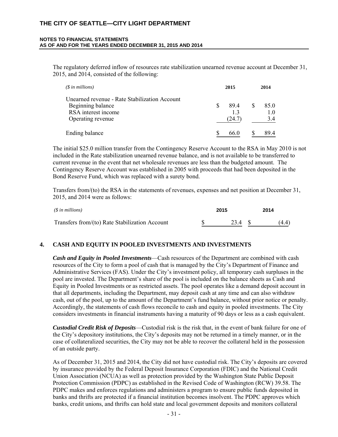#### **NOTES TO FINANCIAL STATEMENTS AS OF AND FOR THE YEARS ENDED DECEMBER 31, 2015 AND 2014**

The regulatory deferred inflow of resources rate stabilization unearned revenue account at December 31, 2015, and 2014, consisted of the following:

| $(S \in millions)$                            |     | 2015  |  | 2014 |  |
|-----------------------------------------------|-----|-------|--|------|--|
| Unearned revenue - Rate Stabilization Account |     |       |  |      |  |
| Beginning balance                             | \$. | 894   |  | 85.0 |  |
| RSA interest income                           |     | 13    |  | 1.0  |  |
| Operating revenue                             |     | (24.7 |  | 3.4  |  |
| Ending balance                                |     | 66 0  |  | 894  |  |

The initial \$25.0 million transfer from the Contingency Reserve Account to the RSA in May 2010 is not included in the Rate stabilization unearned revenue balance, and is not available to be transferred to current revenue in the event that net wholesale revenues are less than the budgeted amount. The Contingency Reserve Account was established in 2005 with proceeds that had been deposited in the Bond Reserve Fund, which was replaced with a surety bond.

Transfers from/(to) the RSA in the statements of revenues, expenses and net position at December 31, 2015, and 2014 were as follows:

| (\$ in millions)                               | 2015   | 2014  |
|------------------------------------------------|--------|-------|
| Transfers from/(to) Rate Stabilization Account | 23.4 S | (4.4) |

# **4. CASH AND EQUITY IN POOLED INVESTMENTS AND INVESTMENTS**

*Cash and Equity in Pooled Investments*—Cash resources of the Department are combined with cash resources of the City to form a pool of cash that is managed by the City's Department of Finance and Administrative Services (FAS). Under the City's investment policy, all temporary cash surpluses in the pool are invested. The Department's share of the pool is included on the balance sheets as Cash and Equity in Pooled Investments or as restricted assets. The pool operates like a demand deposit account in that all departments, including the Department, may deposit cash at any time and can also withdraw cash, out of the pool, up to the amount of the Department's fund balance, without prior notice or penalty. Accordingly, the statements of cash flows reconcile to cash and equity in pooled investments. The City considers investments in financial instruments having a maturity of 90 days or less as a cash equivalent.

*Custodial Credit Risk of Deposits*—Custodial risk is the risk that, in the event of bank failure for one of the City's depository institutions, the City's deposits may not be returned in a timely manner, or in the case of collateralized securities, the City may not be able to recover the collateral held in the possession of an outside party.

As of December 31, 2015 and 2014, the City did not have custodial risk. The City's deposits are covered by insurance provided by the Federal Deposit Insurance Corporation (FDIC) and the National Credit Union Association (NCUA) as well as protection provided by the Washington State Public Deposit Protection Commission (PDPC) as established in the Revised Code of Washington (RCW) 39.58. The PDPC makes and enforces regulations and administers a program to ensure public funds deposited in banks and thrifts are protected if a financial institution becomes insolvent. The PDPC approves which banks, credit unions, and thrifts can hold state and local government deposits and monitors collateral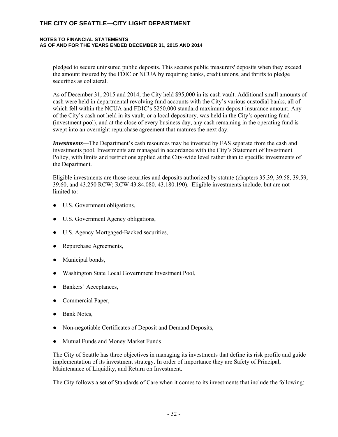#### **NOTES TO FINANCIAL STATEMENTS AS OF AND FOR THE YEARS ENDED DECEMBER 31, 2015 AND 2014**

pledged to secure uninsured public deposits. This secures public treasurers' deposits when they exceed the amount insured by the FDIC or NCUA by requiring banks, credit unions, and thrifts to pledge securities as collateral.

As of December 31, 2015 and 2014, the City held \$95,000 in its cash vault. Additional small amounts of cash were held in departmental revolving fund accounts with the City's various custodial banks, all of which fell within the NCUA and FDIC's \$250,000 standard maximum deposit insurance amount. Any of the City's cash not held in its vault, or a local depository, was held in the City's operating fund (investment pool), and at the close of every business day, any cash remaining in the operating fund is swept into an overnight repurchase agreement that matures the next day.

*Investments*—The Department's cash resources may be invested by FAS separate from the cash and investments pool. Investments are managed in accordance with the City's Statement of Investment Policy, with limits and restrictions applied at the City-wide level rather than to specific investments of the Department.

Eligible investments are those securities and deposits authorized by statute (chapters 35.39, 39.58, 39.59, 39.60, and 43.250 RCW; RCW 43.84.080, 43.180.190). Eligible investments include, but are not limited to:

- U.S. Government obligations,
- U.S. Government Agency obligations,
- U.S. Agency Mortgaged-Backed securities,
- Repurchase Agreements,
- Municipal bonds,
- Washington State Local Government Investment Pool,
- Bankers' Acceptances,
- Commercial Paper,
- Bank Notes,
- Non-negotiable Certificates of Deposit and Demand Deposits,
- Mutual Funds and Money Market Funds

The City of Seattle has three objectives in managing its investments that define its risk profile and guide implementation of its investment strategy. In order of importance they are Safety of Principal, Maintenance of Liquidity, and Return on Investment.

The City follows a set of Standards of Care when it comes to its investments that include the following: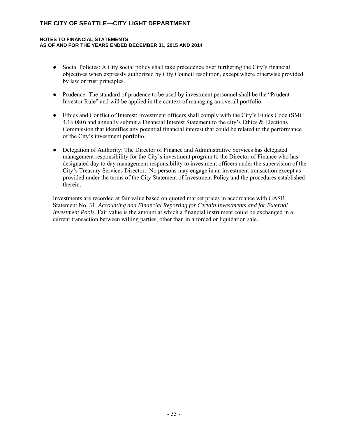#### **NOTES TO FINANCIAL STATEMENTS AS OF AND FOR THE YEARS ENDED DECEMBER 31, 2015 AND 2014**

- Social Policies: A City social policy shall take precedence over furthering the City's financial objectives when expressly authorized by City Council resolution, except where otherwise provided by law or trust principles.
- Prudence: The standard of prudence to be used by investment personnel shall be the "Prudent Investor Rule" and will be applied in the context of managing an overall portfolio.
- Ethics and Conflict of Interest: Investment officers shall comply with the City's Ethics Code (SMC 4.16.080) and annually submit a Financial Interest Statement to the city's Ethics & Elections Commission that identifies any potential financial interest that could be related to the performance of the City's investment portfolio.
- Delegation of Authority: The Director of Finance and Administrative Services has delegated management responsibility for the City's investment program to the Director of Finance who has designated day to day management responsibility to investment officers under the supervision of the City's Treasury Services Director. No persons may engage in an investment transaction except as provided under the terms of the City Statement of Investment Policy and the procedures established therein.

Investments are recorded at fair value based on quoted market prices in accordance with GASB Statement No. 31, *Accounting and Financial Reporting for Certain Investments and for External Investment Pools*. Fair value is the amount at which a financial instrument could be exchanged in a current transaction between willing parties, other than in a forced or liquidation sale.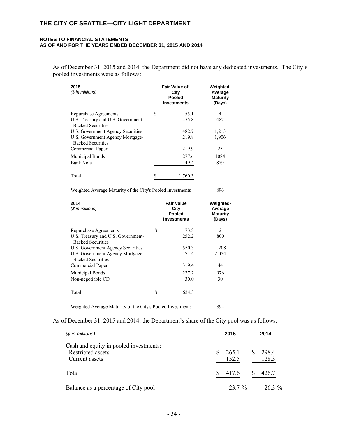#### **NOTES TO FINANCIAL STATEMENTS AS OF AND FOR THE YEARS ENDED DECEMBER 31, 2015 AND 2014**

As of December 31, 2015 and 2014, the Department did not have any dedicated investments. The City's pooled investments were as follows:

| 2015<br>$$$ in millions)                                       | <b>Fair Value of</b><br><b>Investments</b> | <b>Weighted-</b><br>Average<br><b>Maturity</b><br>(Days) |       |  |
|----------------------------------------------------------------|--------------------------------------------|----------------------------------------------------------|-------|--|
| Repurchase Agreements                                          | S                                          | 55.1                                                     | 4     |  |
| U.S. Treasury and U.S. Government-<br><b>Backed Securities</b> |                                            | 455.8                                                    | 487   |  |
| U.S. Government Agency Securities                              |                                            | 482.7                                                    | 1,213 |  |
| U.S. Government Agency Mortgage-<br><b>Backed Securities</b>   |                                            | 219.8                                                    | 1,906 |  |
| Commercial Paper                                               |                                            | 219.9                                                    | 25    |  |
| <b>Municipal Bonds</b>                                         |                                            | 277.6                                                    | 1084  |  |
| <b>Bank Note</b>                                               |                                            | 49.4                                                     | 879   |  |
| Total                                                          | \$                                         | 1.760.3                                                  |       |  |

Weighted Average Maturity of the City's Pooled Investments 896

| 2014<br>$(S \in \mathbb{R})$ in millions)                      |   | <b>Fair Value</b><br>City<br>Pooled<br><b>Investments</b> | Weighted-<br>Average<br><b>Maturity</b><br>(Days) |  |  |
|----------------------------------------------------------------|---|-----------------------------------------------------------|---------------------------------------------------|--|--|
| Repurchase Agreements                                          | S | 73.8                                                      | 2                                                 |  |  |
| U.S. Treasury and U.S. Government-<br><b>Backed Securities</b> |   | 252.2                                                     | 800                                               |  |  |
| U.S. Government Agency Securities                              |   | 550.3                                                     | 1,208                                             |  |  |
| U.S. Government Agency Mortgage-<br><b>Backed Securities</b>   |   | 171.4                                                     | 2,054                                             |  |  |
| Commercial Paper                                               |   | 319.4                                                     | 44                                                |  |  |
| Municipal Bonds                                                |   | 227.2                                                     | 976                                               |  |  |
| Non-negotiable CD                                              |   | 30.0                                                      | 30                                                |  |  |
| Total                                                          |   | 1,624.3                                                   |                                                   |  |  |
| Weighted Average Maturity of the City's Pooled Investments     |   |                                                           | 894                                               |  |  |

As of December 31, 2015 and 2014, the Department's share of the City pool was as follows:

| $(S \in \mathbb{R})$ in millions)                                             | 2015                 | 2014           |  |  |
|-------------------------------------------------------------------------------|----------------------|----------------|--|--|
| Cash and equity in pooled investments:<br>Restricted assets<br>Current assets | 265.1<br>S.<br>152.5 | 298.4<br>128.3 |  |  |
| Total                                                                         | 417.6<br>S.          | 426.7          |  |  |
| Balance as a percentage of City pool                                          | 23.7 %               | $26.3\%$       |  |  |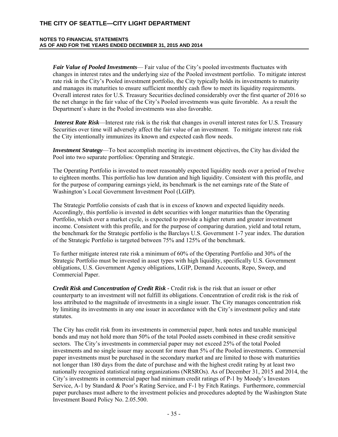#### **NOTES TO FINANCIAL STATEMENTS AS OF AND FOR THE YEARS ENDED DECEMBER 31, 2015 AND 2014**

*Fair Value of Pooled Investments*— Fair value of the City's pooled investments fluctuates with changes in interest rates and the underlying size of the Pooled investment portfolio. To mitigate interest rate risk in the City's Pooled investment portfolio, the City typically holds its investments to maturity and manages its maturities to ensure sufficient monthly cash flow to meet its liquidity requirements. Overall interest rates for U.S. Treasury Securities declined considerably over the first quarter of 2016 so the net change in the fair value of the City's Pooled investments was quite favorable. As a result the Department's share in the Pooled investments was also favorable.

*Interest Rate Risk*—Interest rate risk is the risk that changes in overall interest rates for U.S. Treasury Securities over time will adversely affect the fair value of an investment. To mitigate interest rate risk the City intentionally immunizes its known and expected cash flow needs.

*Investment Strategy*—To best accomplish meeting its investment objectives, the City has divided the Pool into two separate portfolios: Operating and Strategic.

The Operating Portfolio is invested to meet reasonably expected liquidity needs over a period of twelve to eighteen months. This portfolio has low duration and high liquidity. Consistent with this profile, and for the purpose of comparing earnings yield, its benchmark is the net earnings rate of the State of Washington's Local Government Investment Pool (LGIP).

The Strategic Portfolio consists of cash that is in excess of known and expected liquidity needs. Accordingly, this portfolio is invested in debt securities with longer maturities than the Operating Portfolio, which over a market cycle, is expected to provide a higher return and greater investment income. Consistent with this profile, and for the purpose of comparing duration, yield and total return, the benchmark for the Strategic portfolio is the Barclays U.S. Government 1-7 year index. The duration of the Strategic Portfolio is targeted between 75% and 125% of the benchmark.

To further mitigate interest rate risk a minimum of 60% of the Operating Portfolio and 30% of the Strategic Portfolio must be invested in asset types with high liquidity, specifically U.S. Government obligations, U.S. Government Agency obligations, LGIP, Demand Accounts, Repo, Sweep, and Commercial Paper.

*Credit Risk and Concentration of Credit Risk -* Credit risk is the risk that an issuer or other counterparty to an investment will not fulfill its obligations. Concentration of credit risk is the risk of loss attributed to the magnitude of investments in a single issuer. The City manages concentration risk by limiting its investments in any one issuer in accordance with the City's investment policy and state statutes.

The City has credit risk from its investments in commercial paper, bank notes and taxable municipal bonds and may not hold more than 50% of the total Pooled assets combined in these credit sensitive sectors. The City's investments in commercial paper may not exceed 25% of the total Pooled investments and no single issuer may account for more than 5% of the Pooled investments. Commercial paper investments must be purchased in the secondary market and are limited to those with maturities not longer than 180 days from the date of purchase and with the highest credit rating by at least two nationally recognized statistical rating organizations (NRSROs). As of December 31, 2015 and 2014, the City's investments in commercial paper had minimum credit ratings of P-1 by Moody's Investors Service, A-1 by Standard & Poor's Rating Service, and F-1 by Fitch Ratings. Furthermore, commercial paper purchases must adhere to the investment policies and procedures adopted by the Washington State Investment Board Policy No. 2.05.500.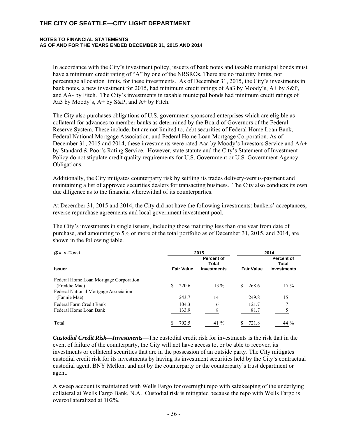### **NOTES TO FINANCIAL STATEMENTS AS OF AND FOR THE YEARS ENDED DECEMBER 31, 2015 AND 2014**

In accordance with the City's investment policy, issuers of bank notes and taxable municipal bonds must have a minimum credit rating of "A" by one of the NRSROs. There are no maturity limits, nor percentage allocation limits, for these investments. As of December 31, 2015, the City's investments in bank notes, a new investment for 2015, had minimum credit ratings of Aa3 by Moody's, A+ by S&P, and AA- by Fitch. The City's investments in taxable municipal bonds had minimum credit ratings of Aa3 by Moody's,  $A+$  by S&P, and  $A+$  by Fitch.

The City also purchases obligations of U.S. government-sponsored enterprises which are eligible as collateral for advances to member banks as determined by the Board of Governors of the Federal Reserve System. These include, but are not limited to, debt securities of Federal Home Loan Bank, Federal National Mortgage Association, and Federal Home Loan Mortgage Corporation. As of December 31, 2015 and 2014, these investments were rated Aaa by Moody's Investors Service and AA+ by Standard & Poor's Rating Service. However, state statute and the City's Statement of Investment Policy do not stipulate credit quality requirements for U.S. Government or U.S. Government Agency Obligations.

Additionally, the City mitigates counterparty risk by settling its trades delivery-versus-payment and maintaining a list of approved securities dealers for transacting business. The City also conducts its own due diligence as to the financial wherewithal of its counterparties.

At December 31, 2015 and 2014, the City did not have the following investments: bankers' acceptances, reverse repurchase agreements and local government investment pool.

The City's investments in single issuers, including those maturing less than one year from date of purchase, and amounting to 5% or more of the total portfolio as of December 31, 2015, and 2014, are shown in the following table.

| $$$ in millions)                                                                                        |                   | 2015                                             | 2014              |                                                  |  |  |  |
|---------------------------------------------------------------------------------------------------------|-------------------|--------------------------------------------------|-------------------|--------------------------------------------------|--|--|--|
| <b>Issuer</b>                                                                                           | <b>Fair Value</b> | <b>Percent of</b><br>Total<br><b>Investments</b> | <b>Fair Value</b> | <b>Percent of</b><br>Total<br><b>Investments</b> |  |  |  |
| Federal Home Loan Mortgage Corporation<br>(Freddie Mac)<br><b>Federal National Mortgage Association</b> | 220.6             | $13\%$                                           | 268.6<br>S.       | $17\%$                                           |  |  |  |
| (Fannie Mae)                                                                                            | 243.7             | 14                                               | 249.8             | 15                                               |  |  |  |
| Federal Farm Credit Bank                                                                                | 104.3             | 6                                                | 121.7             | 7                                                |  |  |  |
| Federal Home Loan Bank                                                                                  | 133.9             | 8                                                | 81.7              |                                                  |  |  |  |
| Total                                                                                                   | 702.5             | 41 $%$                                           | 721.8             | 44 %                                             |  |  |  |

*Custodial Credit Risk—Investments*—The custodial credit risk for investments is the risk that in the event of failure of the counterparty, the City will not have access to, or be able to recover, its investments or collateral securities that are in the possession of an outside party. The City mitigates custodial credit risk for its investments by having its investment securities held by the City's contractual custodial agent, BNY Mellon, and not by the counterparty or the counterparty's trust department or agent.

A sweep account is maintained with Wells Fargo for overnight repo with safekeeping of the underlying collateral at Wells Fargo Bank, N.A. Custodial risk is mitigated because the repo with Wells Fargo is overcollateralized at 102%.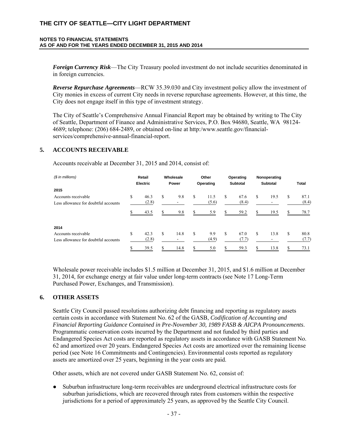#### **NOTES TO FINANCIAL STATEMENTS AS OF AND FOR THE YEARS ENDED DECEMBER 31, 2015 AND 2014**

*Foreign Currency Risk*—The City Treasury pooled investment do not include securities denominated in in foreign currencies.

*Reverse Repurchase Agreements*—RCW 35.39.030 and City investment policy allow the investment of City monies in excess of current City needs in reverse repurchase agreements. However, at this time, the City does not engage itself in this type of investment strategy.

The City of Seattle's Comprehensive Annual Financial Report may be obtained by writing to The City of Seattle, Department of Finance and Administrative Services, P.O. Box 94680, Seattle, WA 98124- 4689; telephone: (206) 684-2489, or obtained on-line at http:/www.seattle.gov/financialservices/comprehensive-annual-financial-report.

### **5. ACCOUNTS RECEIVABLE**

Accounts receivable at December 31, 2015 and 2014, consist of:

| $(S \in \mathbb{R})$ in millions)    | <b>Retail</b> |              | Wholesale |           | Other<br>Operating |          |       |                 | Nonoperating |    |              |  |
|--------------------------------------|---------------|--------------|-----------|-----------|--------------------|----------|-------|-----------------|--------------|----|--------------|--|
|                                      | Electric      | <b>Power</b> |           | Operating |                    | Subtotal |       | <b>Subtotal</b> |              |    | <b>Total</b> |  |
| 2015                                 |               |              |           |           |                    |          |       |                 |              |    |              |  |
| Accounts receivable                  | \$<br>46.3    | \$           | 9.8       | \$        | 11.5               | \$       | 67.6  | S.              | 19.5         | \$ | 87.1         |  |
| Less allowance for doubtful accounts | (2.8)         |              |           |           | (5.6)              |          | (8.4) |                 |              |    | (8.4)        |  |
|                                      | 43.5          | S.           | 9.8       | S.        | 5.9                | S.       | 59.2  | S.              | 19.5         | S  | 78.7         |  |
| 2014                                 |               |              |           |           |                    |          |       |                 |              |    |              |  |
| Accounts receivable                  | \$<br>42.3    | \$           | 14.8      | S.        | 9.9                | \$.      | 67.0  | \$.             | 13.8         | S  | 80.8         |  |
| Less allowance for doubtful accounts | (2.8)         |              | -         |           | (4.9)              |          | (7.7) |                 |              |    | (7.7)        |  |
|                                      | 39.5          |              | 14.8      |           | 5.0                | S        | 59.3  |                 | 13.8         | \$ | 73.1         |  |

Wholesale power receivable includes \$1.5 million at December 31, 2015, and \$1.6 million at December 31, 2014, for exchange energy at fair value under long-term contracts (see Note 17 Long-Term Purchased Power, Exchanges, and Transmission).

### **6. OTHER ASSETS**

Seattle City Council passed resolutions authorizing debt financing and reporting as regulatory assets certain costs in accordance with Statement No. 62 of the GASB, *Codification of Accounting and Financial Reporting Guidance Contained in Pre-November 30, 1989 FASB & AICPA Pronouncements*. Programmatic conservation costs incurred by the Department and not funded by third parties and Endangered Species Act costs are reported as regulatory assets in accordance with GASB Statement No. 62 and amortized over 20 years. Endangered Species Act costs are amortized over the remaining license period (see Note 16 Commitments and Contingencies). Environmental costs reported as regulatory assets are amortized over 25 years, beginning in the year costs are paid.

Other assets, which are not covered under GASB Statement No. 62, consist of:

● Suburban infrastructure long-term receivables are underground electrical infrastructure costs for suburban jurisdictions, which are recovered through rates from customers within the respective jurisdictions for a period of approximately 25 years, as approved by the Seattle City Council.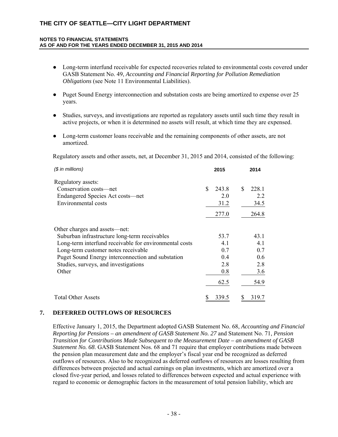#### **NOTES TO FINANCIAL STATEMENTS AS OF AND FOR THE YEARS ENDED DECEMBER 31, 2015 AND 2014**

- Long-term interfund receivable for expected recoveries related to environmental costs covered under GASB Statement No. 49, *Accounting and Financial Reporting for Pollution Remediation Obligations* (see Note 11 Environmental Liabilities).
- Puget Sound Energy interconnection and substation costs are being amortized to expense over 25 years.
- Studies, surveys, and investigations are reported as regulatory assets until such time they result in active projects, or when it is determined no assets will result, at which time they are expensed.
- Long-term customer loans receivable and the remaining components of other assets, are not amortized.

Regulatory assets and other assets, net, at December 31, 2015 and 2014, consisted of the following:

| $$$ in millions)                                       | 2015        | 2014        |
|--------------------------------------------------------|-------------|-------------|
| Regulatory assets:                                     |             |             |
| Conservation costs-net                                 | \$<br>243.8 | \$<br>228.1 |
| Endangered Species Act costs—net                       | 2.0         | 2.2         |
| Environmental costs                                    | 31.2        | 34.5        |
|                                                        | 277.0       | 264.8       |
| Other charges and assets—net:                          |             |             |
| Suburban infrastructure long-term receivables          | 53.7        | 43.1        |
| Long-term interfund receivable for environmental costs | 4.1         | 4.1         |
| Long-term customer notes receivable                    | 0.7         | 0.7         |
| Puget Sound Energy interconnection and substation      | 0.4         | 0.6         |
| Studies, surveys, and investigations                   | 2.8         | 2.8         |
| Other                                                  | 0.8         | 3.6         |
|                                                        | 62.5        | 54.9        |
| <b>Total Other Assets</b>                              | 339.5<br>\$ | \$<br>319.7 |

## **7. DEFERRED OUTFLOWS OF RESOURCES**

Effective January 1, 2015, the Department adopted GASB Statement No. 68, *Accounting and Financial Reporting for Pensions – an amendment of GASB Statement No. 27* and Statement No. 71, *Pension Transition for Contributions Made Subsequent to the Measurement Date – an amendment of GASB Statement No. 68*. GASB Statement Nos. 68 and 71 require that employer contributions made between the pension plan measurement date and the employer's fiscal year end be recognized as deferred outflows of resources. Also to be recognized as deferred outflows of resources are losses resulting from differences between projected and actual earnings on plan investments, which are amortized over a closed five-year period, and losses related to differences between expected and actual experience with regard to economic or demographic factors in the measurement of total pension liability, which are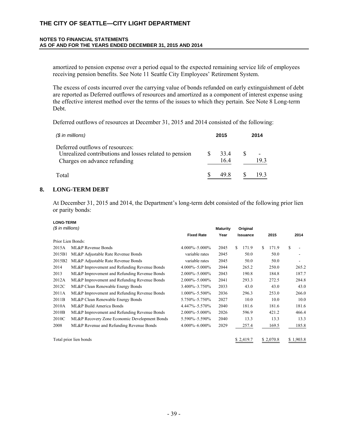#### **NOTES TO FINANCIAL STATEMENTS AS OF AND FOR THE YEARS ENDED DECEMBER 31, 2015 AND 2014**

amortized to pension expense over a period equal to the expected remaining service life of employees receiving pension benefits. See Note 11 Seattle City Employees' Retirement System.

The excess of costs incurred over the carrying value of bonds refunded on early extinguishment of debt are reported as Deferred outflows of resources and amortized as a component of interest expense using the effective interest method over the terms of the issues to which they pertain. See Note 8 Long-term Debt.

Deferred outflows of resources at December 31, 2015 and 2014 consisted of the following:

| $$$ in millions)                                                                                                          | 2015       | 2014 |
|---------------------------------------------------------------------------------------------------------------------------|------------|------|
| Deferred outflows of resources:<br>Unrealized contributions and losses related to pension<br>Charges on advance refunding | 334<br>164 | 19.3 |
| Total                                                                                                                     | 49 8       | 193  |

### **8. LONG-TERM DEBT**

At December 31, 2015 and 2014, the Department's long-term debt consisted of the following prior lien or parity bonds:

#### **LONG-TERM**

| $$$ in millions) |                                               |                     | <b>Maturity</b> | Original        |             |           |
|------------------|-----------------------------------------------|---------------------|-----------------|-----------------|-------------|-----------|
|                  |                                               | <b>Fixed Rate</b>   | Year            | <b>Issuance</b> | 2015        | 2014      |
|                  | Prior Lien Bonds:                             |                     |                 |                 |             |           |
| 2015A            | ML&P Revenue Bonds                            | $4.000\% - 5.000\%$ | 2045            | 171.9<br>S.     | 171.9<br>S. | \$        |
| 2015B1           | ML&P Adjustable Rate Revenue Bonds            | variable rates      | 2045            | 50.0            | 50.0        |           |
| 2015B2           | ML&P Adjustable Rate Revenue Bonds            | variable rates      | 2045            | 50.0            | 50.0        |           |
| 2014             | ML&P Improvement and Refunding Revenue Bonds  | $4.000\% - 5.000\%$ | 2044            | 265.2           | 250.0       | 265.2     |
| 2013             | ML&P Improvement and Refunding Revenue Bonds  | $2.000\% - 5.000\%$ | 2043            | 190.8           | 184.8       | 187.7     |
| 2012A            | ML&P Improvement and Refunding Revenue Bonds  | $2.000\% - 5.000\%$ | 2041            | 293.3           | 272.5       | 284.8     |
| 2012C            | ML&P Clean Renewable Energy Bonds             | $3.400\% - 3.750\%$ | 2033            | 43.0            | 43.0        | 43.0      |
| 2011A            | ML&P Improvement and Refunding Revenue Bonds  | $1.000\% - 5.500\%$ | 2036            | 296.3           | 253.0       | 266.0     |
| 2011B            | ML&P Clean Renewable Energy Bonds             | 5.750%-5.750%       | 2027            | 10.0            | 10.0        | 10.0      |
| 2010A            | ML&P Build America Bonds                      | 4.447%-5.570%       | 2040            | 181.6           | 181.6       | 181.6     |
| 2010B            | ML&P Improvement and Refunding Revenue Bonds  | $2.000\% - 5.000\%$ | 2026            | 596.9           | 421.2       | 466.4     |
| 2010C            | ML&P Recovery Zone Economic Development Bonds | 5.590%-5.590%       | 2040            | 13.3            | 13.3        | 13.3      |
| 2008             | ML&P Revenue and Refunding Revenue Bonds      | $4.000\% - 6.000\%$ | 2029            | 257.4           | 169.5       | 185.8     |
|                  | Total prior lien bonds                        |                     |                 | \$2,419.7       | \$2,070.8   | \$1,903.8 |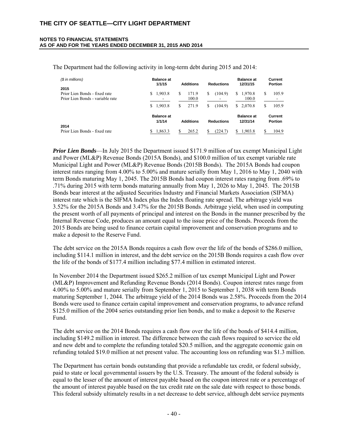#### **NOTES TO FINANCIAL STATEMENTS AS OF AND FOR THE YEARS ENDED DECEMBER 31, 2015 AND 2014**

| $(S \in \mathbb{R})$ in millions)     | <b>Balance at</b><br>1/1/15 | <b>Additions</b> | <b>Reductions</b> | <b>Balance at</b><br>12/31/15 | Current<br><b>Portion</b> |
|---------------------------------------|-----------------------------|------------------|-------------------|-------------------------------|---------------------------|
| 2015<br>Prior Lien Bonds - fixed rate | 1,903.8<br>S                | S<br>171.9       | (104.9)<br>S      | 1,970.8<br>S                  | \$<br>105.9               |
| Prior Lien Bonds - variable rate      | -                           | 100.0            |                   | 100.0                         |                           |
|                                       | \$1,903.8                   | 271.9<br>\$      | (104.9)<br>S.     | 2,070.8<br>S.                 | 105.9<br>\$               |
|                                       | <b>Balance at</b><br>1/1/14 | <b>Additions</b> | <b>Reductions</b> | <b>Balance at</b><br>12/31/14 | Current<br><b>Portion</b> |
| 2014<br>Prior Lien Bonds - fixed rate | 1,863.3                     | 265.2            | (224.7)           | 1,903.8<br>S                  | 104.9                     |

The Department had the following activity in long-term debt during 2015 and 2014:

*Prior Lien Bonds*—In July 2015 the Department issued \$171.9 million of tax exempt Municipal Light and Power (ML&P) Revenue Bonds (2015A Bonds), and \$100.0 million of tax exempt variable rate Municipal Light and Power (ML&P) Revenue Bonds (2015B Bonds). The 2015A Bonds had coupon interest rates ranging from 4.00% to 5.00% and mature serially from May 1, 2016 to May 1, 2040 with term Bonds maturing May 1, 2045. The 2015B Bonds had coupon interest rates ranging from .69% to .71% during 2015 with term bonds maturing annually from May 1, 2026 to May 1, 2045. The 2015B Bonds bear interest at the adjusted Securities Industry and Financial Markets Association (SIFMA) interest rate which is the SIFMA Index plus the Index floating rate spread. The arbitrage yield was 3.52% for the 2015A Bonds and 3.47% for the 2015B Bonds. Arbitrage yield, when used in computing the present worth of all payments of principal and interest on the Bonds in the manner prescribed by the Internal Revenue Code, produces an amount equal to the issue price of the Bonds. Proceeds from the 2015 Bonds are being used to finance certain capital improvement and conservation programs and to make a deposit to the Reserve Fund.

The debt service on the 2015A Bonds requires a cash flow over the life of the bonds of \$286.0 million, including \$114.1 million in interest, and the debt service on the 2015B Bonds requires a cash flow over the life of the bonds of \$177.4 million including \$77.4 million in estimated interest.

In November 2014 the Department issued \$265.2 million of tax exempt Municipal Light and Power (ML&P) Improvement and Refunding Revenue Bonds (2014 Bonds). Coupon interest rates range from 4.00% to 5.00% and mature serially from September 1, 2015 to September 1, 2038 with term Bonds maturing September 1, 2044. The arbitrage yield of the 2014 Bonds was 2.58%. Proceeds from the 2014 Bonds were used to finance certain capital improvement and conservation programs, to advance refund \$125.0 million of the 2004 series outstanding prior lien bonds, and to make a deposit to the Reserve Fund.

The debt service on the 2014 Bonds requires a cash flow over the life of the bonds of \$414.4 million, including \$149.2 million in interest. The difference between the cash flows required to service the old and new debt and to complete the refunding totaled \$20.5 million, and the aggregate economic gain on refunding totaled \$19.0 million at net present value. The accounting loss on refunding was \$1.3 million.

The Department has certain bonds outstanding that provide a refundable tax credit, or federal subsidy, paid to state or local governmental issuers by the U.S. Treasury. The amount of the federal subsidy is equal to the lesser of the amount of interest payable based on the coupon interest rate or a percentage of the amount of interest payable based on the tax credit rate on the sale date with respect to those bonds. This federal subsidy ultimately results in a net decrease to debt service, although debt service payments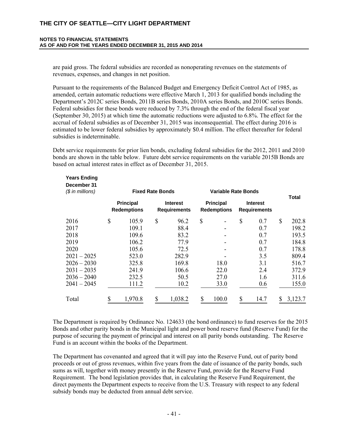#### **NOTES TO FINANCIAL STATEMENTS AS OF AND FOR THE YEARS ENDED DECEMBER 31, 2015 AND 2014**

are paid gross. The federal subsidies are recorded as nonoperating revenues on the statements of revenues, expenses, and changes in net position.

Pursuant to the requirements of the Balanced Budget and Emergency Deficit Control Act of 1985, as amended, certain automatic reductions were effective March 1, 2013 for qualified bonds including the Department's 2012C series Bonds, 2011B series Bonds, 2010A series Bonds, and 2010C series Bonds. Federal subsidies for these bonds were reduced by 7.3% through the end of the federal fiscal year (September 30, 2015) at which time the automatic reductions were adjusted to 6.8%. The effect for the accrual of federal subsidies as of December 31, 2015 was inconsequential. The effect during 2016 is estimated to be lower federal subsidies by approximately \$0.4 million. The effect thereafter for federal subsidies is indeterminable.

Debt service requirements for prior lien bonds, excluding federal subsidies for the 2012, 2011 and 2010 bonds are shown in the table below. Future debt service requirements on the variable 2015B Bonds are based on actual interest rates in effect as of December 31, 2015.

| <b>Years Ending</b><br>December 31<br>$$$ in millions) | <b>Fixed Rate Bonds</b>                |                                        | <b>Variable Rate Bonds</b>             |                                        | <b>Total</b> |
|--------------------------------------------------------|----------------------------------------|----------------------------------------|----------------------------------------|----------------------------------------|--------------|
|                                                        | <b>Principal</b><br><b>Redemptions</b> | <b>Interest</b><br><b>Requirements</b> | <b>Principal</b><br><b>Redemptions</b> | <b>Interest</b><br><b>Requirements</b> |              |
| 2016                                                   | \$<br>105.9                            | \$<br>96.2                             | \$                                     | \$<br>0.7                              | \$<br>202.8  |
| 2017                                                   | 109.1                                  | 88.4                                   |                                        | 0.7                                    | 198.2        |
| 2018                                                   | 109.6                                  | 83.2                                   |                                        | 0.7                                    | 193.5        |
| 2019                                                   | 106.2                                  | 77.9                                   |                                        | 0.7                                    | 184.8        |
| 2020                                                   | 105.6                                  | 72.5                                   |                                        | 0.7                                    | 178.8        |
| $2021 - 2025$                                          | 523.0                                  | 282.9                                  |                                        | 3.5                                    | 809.4        |
| $2026 - 2030$                                          | 325.8                                  | 169.8                                  | 18.0                                   | 3.1                                    | 516.7        |
| $2031 - 2035$                                          | 241.9                                  | 106.6                                  | 22.0                                   | 2.4                                    | 372.9        |
| $2036 - 2040$                                          | 232.5                                  | 50.5                                   | 27.0                                   | 1.6                                    | 311.6        |
| $2041 - 2045$                                          | 111.2                                  | 10.2                                   | 33.0                                   | 0.6                                    | 155.0        |
| Total                                                  | \$<br>1,970.8                          | \$<br>1,038.2                          | \$<br>100.0                            | \$<br>14.7                             | 3,123.7      |

The Department is required by Ordinance No. 124633 (the bond ordinance) to fund reserves for the 2015 Bonds and other parity bonds in the Municipal light and power bond reserve fund (Reserve Fund) for the purpose of securing the payment of principal and interest on all parity bonds outstanding. The Reserve Fund is an account within the books of the Department.

The Department has covenanted and agreed that it will pay into the Reserve Fund, out of parity bond proceeds or out of gross revenues, within five years from the date of issuance of the parity bonds, such sums as will, together with money presently in the Reserve Fund, provide for the Reserve Fund Requirement. The bond legislation provides that, in calculating the Reserve Fund Requirement, the direct payments the Department expects to receive from the U.S. Treasury with respect to any federal subsidy bonds may be deducted from annual debt service.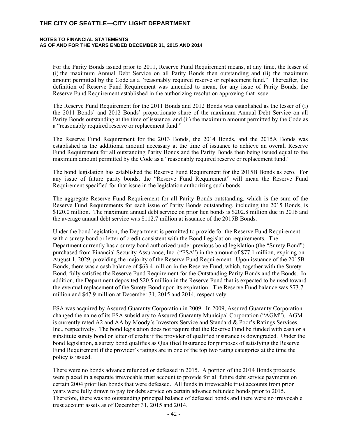#### **NOTES TO FINANCIAL STATEMENTS AS OF AND FOR THE YEARS ENDED DECEMBER 31, 2015 AND 2014**

For the Parity Bonds issued prior to 2011, Reserve Fund Requirement means, at any time, the lesser of (i) the maximum Annual Debt Service on all Parity Bonds then outstanding and (ii) the maximum amount permitted by the Code as a "reasonably required reserve or replacement fund." Thereafter, the definition of Reserve Fund Requirement was amended to mean, for any issue of Parity Bonds, the Reserve Fund Requirement established in the authorizing resolution approving that issue.

The Reserve Fund Requirement for the 2011 Bonds and 2012 Bonds was established as the lesser of (i) the 2011 Bonds' and 2012 Bonds' proportionate share of the maximum Annual Debt Service on all Parity Bonds outstanding at the time of issuance, and (ii) the maximum amount permitted by the Code as a "reasonably required reserve or replacement fund."

The Reserve Fund Requirement for the 2013 Bonds, the 2014 Bonds, and the 2015A Bonds was established as the additional amount necessary at the time of issuance to achieve an overall Reserve Fund Requirement for all outstanding Parity Bonds and the Parity Bonds then being issued equal to the maximum amount permitted by the Code as a "reasonably required reserve or replacement fund."

The bond legislation has established the Reserve Fund Requirement for the 2015B Bonds as zero. For any issue of future parity bonds, the "Reserve Fund Requirement" will mean the Reserve Fund Requirement specified for that issue in the legislation authorizing such bonds.

The aggregate Reserve Fund Requirement for all Parity Bonds outstanding, which is the sum of the Reserve Fund Requirements for each issue of Parity Bonds outstanding, including the 2015 Bonds, is \$120.0 million. The maximum annual debt service on prior lien bonds is \$202.8 million due in 2016 and the average annual debt service was \$112.7 million at issuance of the 2015B Bonds.

Under the bond legislation, the Department is permitted to provide for the Reserve Fund Requirement with a surety bond or letter of credit consistent with the Bond Legislation requirements. The Department currently has a surety bond authorized under previous bond legislation (the "Surety Bond") purchased from Financial Security Assurance, Inc. ("FSA") in the amount of \$77.1 million, expiring on August 1, 2029, providing the majority of the Reserve Fund Requirement. Upon issuance of the 2015B Bonds, there was a cash balance of \$63.4 million in the Reserve Fund, which, together with the Surety Bond, fully satisfies the Reserve Fund Requirement for the Outstanding Parity Bonds and the Bonds. In addition, the Department deposited \$20.5 million in the Reserve Fund that is expected to be used toward the eventual replacement of the Surety Bond upon its expiration. The Reserve Fund balance was \$73.7 million and \$47.9 million at December 31, 2015 and 2014, respectively.

FSA was acquired by Assured Guaranty Corporation in 2009. In 2009, Assured Guaranty Corporation changed the name of its FSA subsidiary to Assured Guaranty Municipal Corporation ("AGM"). AGM is currently rated A2 and AA by Moody's Investors Service and Standard & Poor's Ratings Services, Inc., respectively. The bond legislation does not require that the Reserve Fund be funded with cash or a substitute surety bond or letter of credit if the provider of qualified insurance is downgraded. Under the bond legislation, a surety bond qualifies as Qualified Insurance for purposes of satisfying the Reserve Fund Requirement if the provider's ratings are in one of the top two rating categories at the time the policy is issued.

There were no bonds advance refunded or defeased in 2015. A portion of the 2014 Bonds proceeds were placed in a separate irrevocable trust account to provide for all future debt service payments on certain 2004 prior lien bonds that were defeased. All funds in irrevocable trust accounts from prior years were fully drawn to pay for debt service on certain advance refunded bonds prior to 2015. Therefore, there was no outstanding principal balance of defeased bonds and there were no irrevocable trust account assets as of December 31, 2015 and 2014.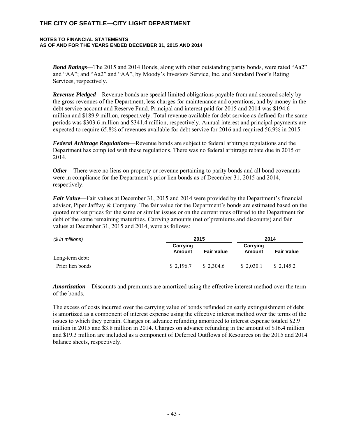#### **NOTES TO FINANCIAL STATEMENTS AS OF AND FOR THE YEARS ENDED DECEMBER 31, 2015 AND 2014**

*Bond Ratings*—The 2015 and 2014 Bonds, along with other outstanding parity bonds, were rated "Aa2" and "AA"; and "Aa2" and "AA", by Moody's Investors Service, Inc. and Standard Poor's Rating Services, respectively.

*Revenue Pledged*—Revenue bonds are special limited obligations payable from and secured solely by the gross revenues of the Department, less charges for maintenance and operations, and by money in the debt service account and Reserve Fund. Principal and interest paid for 2015 and 2014 was \$194.6 million and \$189.9 million, respectively. Total revenue available for debt service as defined for the same periods was \$303.6 million and \$341.4 million, respectively. Annual interest and principal payments are expected to require 65.8% of revenues available for debt service for 2016 and required 56.9% in 2015.

*Federal Arbitrage Regulations*—Revenue bonds are subject to federal arbitrage regulations and the Department has complied with these regulations. There was no federal arbitrage rebate due in 2015 or 2014.

*Other*—There were no liens on property or revenue pertaining to parity bonds and all bond covenants were in compliance for the Department's prior lien bonds as of December 31, 2015 and 2014, respectively.

*Fair Value*—Fair values at December 31, 2015 and 2014 were provided by the Department's financial advisor, Piper Jaffray & Company. The fair value for the Department's bonds are estimated based on the quoted market prices for the same or similar issues or on the current rates offered to the Department for debt of the same remaining maturities. Carrying amounts (net of premiums and discounts) and fair values at December 31, 2015 and 2014, were as follows:

| (\$ in millions) | 2015               |                   | 2014               |                   |  |  |
|------------------|--------------------|-------------------|--------------------|-------------------|--|--|
|                  | Carrying<br>Amount | <b>Fair Value</b> | Carrying<br>Amount | <b>Fair Value</b> |  |  |
| Long-term debt:  |                    |                   |                    |                   |  |  |
| Prior lien bonds | \$2.196.7          | \$2.304.6         | \$2.030.1          | \$2.145.2         |  |  |

*Amortization*—Discounts and premiums are amortized using the effective interest method over the term of the bonds.

The excess of costs incurred over the carrying value of bonds refunded on early extinguishment of debt is amortized as a component of interest expense using the effective interest method over the terms of the issues to which they pertain. Charges on advance refunding amortized to interest expense totaled \$2.9 million in 2015 and \$3.8 million in 2014. Charges on advance refunding in the amount of \$16.4 million and \$19.3 million are included as a component of Deferred Outflows of Resources on the 2015 and 2014 balance sheets, respectively.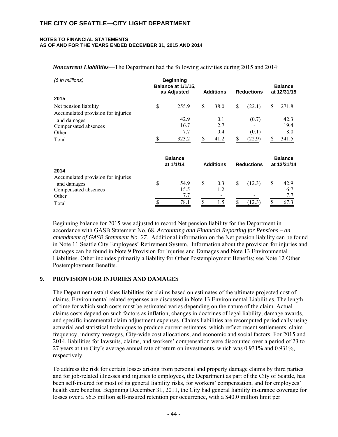#### **NOTES TO FINANCIAL STATEMENTS AS OF AND FOR THE YEARS ENDED DECEMBER 31, 2015 AND 2014**

| $$$ in millions)                                  | <b>Beginning</b><br>Balance at 1/1/15,<br>as Adjusted | <b>Additions</b> | <b>Reductions</b> | <b>Balance</b><br>at 12/31/15 |
|---------------------------------------------------|-------------------------------------------------------|------------------|-------------------|-------------------------------|
| 2015                                              |                                                       |                  |                   |                               |
| Net pension liability                             | \$<br>255.9                                           | \$<br>38.0       | \$<br>(22.1)      | \$<br>271.8                   |
| Accumulated provision for injuries                |                                                       |                  |                   |                               |
| and damages                                       | 42.9                                                  | 0.1              | (0.7)             | 42.3                          |
| Compensated absences                              | 16.7                                                  | 2.7              |                   | 19.4                          |
| Other                                             | 7.7                                                   | 0.4              | (0.1)             | 8.0                           |
| Total                                             | \$<br>323.2                                           | \$<br>41.2       | \$<br>(22.9)      | \$<br>341.5                   |
|                                                   | <b>Balance</b><br>at 1/1/14                           | <b>Additions</b> | <b>Reductions</b> | <b>Balance</b><br>at 12/31/14 |
| 2014                                              |                                                       |                  |                   |                               |
| Accumulated provision for injuries<br>and damages | \$<br>54.9                                            | \$<br>0.3        | \$<br>(12.3)      | \$<br>42.9                    |
| Compensated absences                              | 15.5                                                  | 1.2              |                   | 16.7                          |
| Other                                             | 7.7                                                   |                  |                   | 7.7                           |
| Total                                             | \$<br>78.1                                            | \$<br>1.5        | \$<br>(12.3)      | \$<br>67.3                    |

*Noncurrent Liabilities*—The Department had the following activities during 2015 and 2014:

Beginning balance for 2015 was adjusted to record Net pension liability for the Department in accordance with GASB Statement No. 68, *Accounting and Financial Reporting for Pensions – an amendment of GASB Statement No. 27.* Additional information on the Net pension liability can be found in Note 11 Seattle City Employees' Retirement System. Information about the provision for injuries and damages can be found in Note 9 Provision for Injuries and Damages and Note 13 Environmental Liabilities. Other includes primarily a liability for Other Postemployment Benefits; see Note 12 Other Postemployment Benefits.

## **9. PROVISION FOR INJURIES AND DAMAGES**

The Department establishes liabilities for claims based on estimates of the ultimate projected cost of claims. Environmental related expenses are discussed in Note 13 Environmental Liabilities. The length of time for which such costs must be estimated varies depending on the nature of the claim. Actual claims costs depend on such factors as inflation, changes in doctrines of legal liability, damage awards, and specific incremental claim adjustment expenses. Claims liabilities are recomputed periodically using actuarial and statistical techniques to produce current estimates, which reflect recent settlements, claim frequency, industry averages, City-wide cost allocations, and economic and social factors. For 2015 and 2014, liabilities for lawsuits, claims, and workers' compensation were discounted over a period of 23 to 27 years at the City's average annual rate of return on investments, which was 0.931% and 0.931%, respectively.

To address the risk for certain losses arising from personal and property damage claims by third parties and for job-related illnesses and injuries to employees, the Department as part of the City of Seattle, has been self-insured for most of its general liability risks, for workers' compensation, and for employees' health care benefits. Beginning December 31, 2011, the City had general liability insurance coverage for losses over a \$6.5 million self-insured retention per occurrence, with a \$40.0 million limit per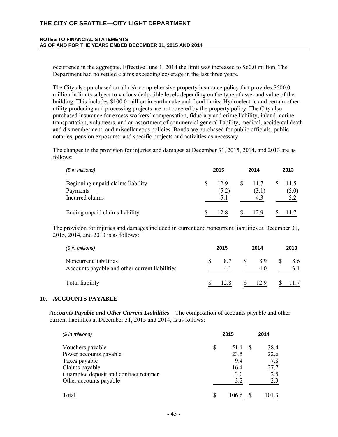#### **NOTES TO FINANCIAL STATEMENTS AS OF AND FOR THE YEARS ENDED DECEMBER 31, 2015 AND 2014**

occurrence in the aggregate. Effective June 1, 2014 the limit was increased to \$60.0 million. The Department had no settled claims exceeding coverage in the last three years.

The City also purchased an all risk comprehensive property insurance policy that provides \$500.0 million in limits subject to various deductible levels depending on the type of asset and value of the building. This includes \$100.0 million in earthquake and flood limits. Hydroelectric and certain other utility producing and processing projects are not covered by the property policy. The City also purchased insurance for excess workers' compensation, fiduciary and crime liability, inland marine transportation, volunteers, and an assortment of commercial general liability, medical, accidental death and dismemberment, and miscellaneous policies. Bonds are purchased for public officials, public notaries, pension exposures, and specific projects and activities as necessary.

The changes in the provision for injuries and damages at December 31, 2015, 2014, and 2013 are as follows:

| (\$ in millions)                                                 | 2015                |              | 2014                | 2013                 |
|------------------------------------------------------------------|---------------------|--------------|---------------------|----------------------|
| Beginning unpaid claims liability<br>Payments<br>Incurred claims | 129<br>(5.2)<br>5.1 | <sup>S</sup> | 11.7<br>(3.1)<br>43 | 11.5<br>(5.0)<br>5.2 |
| Ending unpaid claims liability                                   | 12.8                |              | 12.9                | 11.7                 |

The provision for injuries and damages included in current and noncurrent liabilities at December 31, 2015, 2014, and 2013 is as follows:

| (\$ in millions)                                                         | 2015     |              | 2014     |              | 2013       |
|--------------------------------------------------------------------------|----------|--------------|----------|--------------|------------|
| Noncurrent liabilities<br>Accounts payable and other current liabilities | 87<br>41 | <sup>S</sup> | 89<br>40 | <sup>S</sup> | 8.6<br>3.1 |
| Total liability                                                          | 12.8     | S.           | 12.9     |              | 11.7       |

### **10. ACCOUNTS PAYABLE**

*Accounts Payable and Other Current Liabilities*—The composition of accounts payable and other current liabilities at December 31, 2015 and 2014, is as follows:

| $(S \in \mathbb{R})$ in millions)       | 2015        | 2014  |
|-----------------------------------------|-------------|-------|
| Vouchers payable                        | \$<br>51.1  | 38.4  |
| Power accounts payable                  | 23.5        | 22.6  |
| Taxes payable                           | 94          | 7.8   |
| Claims payable                          | 16.4        | 27.7  |
| Guarantee deposit and contract retainer | 3.0         | 2.5   |
| Other accounts payable                  | 3.2         | 2.3   |
| Total                                   | \$<br>106 6 | 101.3 |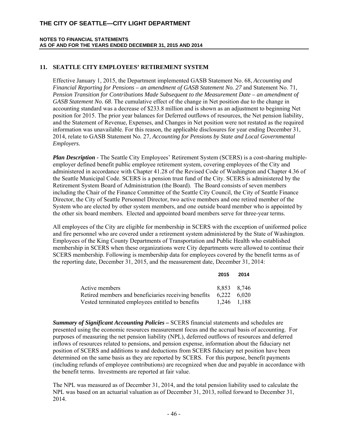#### **NOTES TO FINANCIAL STATEMENTS AS OF AND FOR THE YEARS ENDED DECEMBER 31, 2015 AND 2014**

### **11. SEATTLE CITY EMPLOYEES' RETIREMENT SYSTEM**

Effective January 1, 2015, the Department implemented GASB Statement No. 68, *Accounting and Financial Reporting for Pensions – an amendment of GASB Statement No. 27* and Statement No. 71, *Pension Transition for Contributions Made Subsequent to the Measurement Date – an amendment of GASB Statement No. 68*. The cumulative effect of the change in Net position due to the change in accounting standard was a decrease of \$233.8 million and is shown as an adjustment to beginning Net position for 2015. The prior year balances for Deferred outflows of resources, the Net pension liability, and the Statement of Revenue, Expenses, and Changes in Net position were not restated as the required information was unavailable. For this reason, the applicable disclosures for year ending December 31, 2014, relate to GASB Statement No. 27, *Accounting for Pensions by State and Local Governmental Employers*.

*Plan Description -* The Seattle City Employees' Retirement System (SCERS) is a cost-sharing multipleemployer defined benefit public employee retirement system, covering employees of the City and administered in accordance with Chapter 41.28 of the Revised Code of Washington and Chapter 4.36 of the Seattle Municipal Code. SCERS is a pension trust fund of the City. SCERS is administered by the Retirement System Board of Administration (the Board). The Board consists of seven members including the Chair of the Finance Committee of the Seattle City Council, the City of Seattle Finance Director, the City of Seattle Personnel Director, two active members and one retired member of the System who are elected by other system members, and one outside board member who is appointed by the other six board members. Elected and appointed board members serve for three-year terms.

All employees of the City are eligible for membership in SCERS with the exception of uniformed police and fire personnel who are covered under a retirement system administered by the State of Washington. Employees of the King County Departments of Transportation and Public Health who established membership in SCERS when these organizations were City departments were allowed to continue their SCERS membership. Following is membership data for employees covered by the benefit terms as of the reporting date, December 31, 2015, and the measurement date, December 31, 2014:

|                                                      | 2015        | 2014 |
|------------------------------------------------------|-------------|------|
| Active members                                       | 8.853 8.746 |      |
| Retired members and beneficiaries receiving benefits | 6,222 6,020 |      |
| Vested terminated employees entitled to benefits     | 1.246 1.188 |      |

*Summary of Significant Accounting Policies –* SCERS financial statements and schedules are presented using the economic resources measurement focus and the accrual basis of accounting. For purposes of measuring the net pension liability (NPL), deferred outflows of resources and deferred inflows of resources related to pensions, and pension expense, information about the fiduciary net position of SCERS and additions to and deductions from SCERS fiduciary net position have been determined on the same basis as they are reported by SCERS. For this purpose, benefit payments (including refunds of employee contributions) are recognized when due and payable in accordance with the benefit terms. Investments are reported at fair value.

The NPL was measured as of December 31, 2014, and the total pension liability used to calculate the NPL was based on an actuarial valuation as of December 31, 2013, rolled forward to December 31, 2014.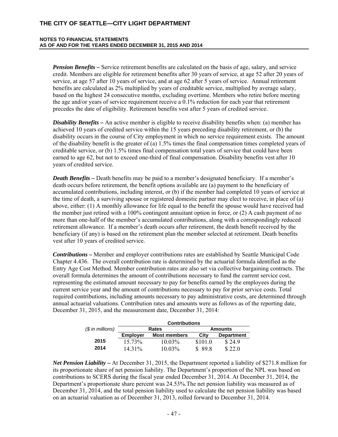#### **NOTES TO FINANCIAL STATEMENTS AS OF AND FOR THE YEARS ENDED DECEMBER 31, 2015 AND 2014**

*Pension Benefits – Service retirement benefits are calculated on the basis of age, salary, and service* credit. Members are eligible for retirement benefits after 30 years of service, at age 52 after 20 years of service, at age 57 after 10 years of service, and at age 62 after 5 years of service. Annual retirement benefits are calculated as 2% multiplied by years of creditable service, multiplied by average salary, based on the highest 24 consecutive months, excluding overtime. Members who retire before meeting the age and/or years of service requirement receive a 0.1% reduction for each year that retirement precedes the date of eligibility. Retirement benefits vest after 5 years of credited service.

*Disability Benefits* – An active member is eligible to receive disability benefits when: (a) member has achieved 10 years of credited service within the 15 years preceding disability retirement, or (b) the disability occurs in the course of City employment in which no service requirement exists. The amount of the disability benefit is the greater of (a) 1.5% times the final compensation times completed years of creditable service, or (b) 1.5% times final compensation total years of service that could have been earned to age 62, but not to exceed one-third of final compensation. Disability benefits vest after 10 years of credited service.

*Death Benefits –* Death benefits may be paid to a member's designated beneficiary. If a member's death occurs before retirement, the benefit options available are (a) payment to the beneficiary of accumulated contributions, including interest, or (b) if the member had completed 10 years of service at the time of death, a surviving spouse or registered domestic partner may elect to receive, in place of (a) above, either: (1) A monthly allowance for life equal to the benefit the spouse would have received had the member just retired with a 100% contingent annuitant option in force, or (2) A cash payment of no more than one-half of the member's accumulated contributions, along with a correspondingly reduced retirement allowance. If a member's death occurs after retirement, the death benefit received by the beneficiary (if any) is based on the retirement plan the member selected at retirement. Death benefits vest after 10 years of credited service.

*Contributions –* Member and employer contributions rates are established by Seattle Municipal Code Chapter 4.436. The overall contribution rate is determined by the actuarial formula identified as the Entry Age Cost Method. Member contribution rates are also set via collective bargaining contracts. The overall formula determines the amount of contributions necessary to fund the current service cost, representing the estimated amount necessary to pay for benefits earned by the employees during the current service year and the amount of contributions necessary to pay for prior service costs. Total required contributions, including amounts necessary to pay administrative costs, are determined through annual actuarial valuations. Contribution rates and amounts were as follows as of the reporting date, December 31, 2015, and the measurement date, December 31, 2014:

|                  | <b>Contributions</b> |                     |         |                   |  |
|------------------|----------------------|---------------------|---------|-------------------|--|
| (\$ in millions) |                      | Rates               |         | Amounts           |  |
|                  | <b>Employer</b>      | <b>Most members</b> | City    | <b>Department</b> |  |
| 2015             | $15.73\%$            | 10.03%              | \$101.0 | \$24.9            |  |
| 2014             | $14.31\%$            | $10.03\%$           | \$898   | \$22.0            |  |

*Net Pension Liability – At December 31, 2015, the Department reported a liability of \$271.8 million for* its proportionate share of net pension liability. The Department's proportion of the NPL was based on contributions to SCERS during the fiscal year ended December 31, 2014. At December 31, 2014, the Department's proportionate share percent was 24.53%.The net pension liability was measured as of December 31, 2014, and the total pension liability used to calculate the net pension liability was based on an actuarial valuation as of December 31, 2013, rolled forward to December 31, 2014.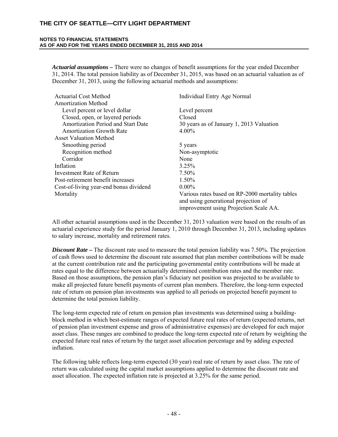#### **NOTES TO FINANCIAL STATEMENTS AS OF AND FOR THE YEARS ENDED DECEMBER 31, 2015 AND 2014**

*Actuarial assumptions –* There were no changes of benefit assumptions for the year ended December 31, 2014. The total pension liability as of December 31, 2015, was based on an actuarial valuation as of December 31, 2013, using the following actuarial methods and assumptions:

| <b>Actuarial Cost Method</b>              | Individual Entry Age Normal                                                                                                       |
|-------------------------------------------|-----------------------------------------------------------------------------------------------------------------------------------|
| <b>Amortization Method</b>                |                                                                                                                                   |
| Level percent or level dollar             | Level percent                                                                                                                     |
| Closed, open, or layered periods          | Closed                                                                                                                            |
| <b>Amortization Period and Start Date</b> | 30 years as of January 1, 2013 Valuation                                                                                          |
| <b>Amortization Growth Rate</b>           | $4.00\%$                                                                                                                          |
| <b>Asset Valuation Method</b>             |                                                                                                                                   |
| Smoothing period                          | 5 years                                                                                                                           |
| Recognition method                        | Non-asymptotic                                                                                                                    |
| Corridor                                  | None                                                                                                                              |
| Inflation                                 | 3.25%                                                                                                                             |
| Investment Rate of Return                 | 7.50%                                                                                                                             |
| Post-retirement benefit increases         | 1.50%                                                                                                                             |
| Cost-of-living year-end bonus dividend    | $0.00\%$                                                                                                                          |
| Mortality                                 | Various rates based on RP-2000 mortality tables<br>and using generational projection of<br>improvement using Projection Scale AA. |

All other actuarial assumptions used in the December 31, 2013 valuation were based on the results of an actuarial experience study for the period January 1, 2010 through December 31, 2013, including updates to salary increase, mortality and retirement rates.

*Discount Rate –* The discount rate used to measure the total pension liability was 7.50%. The projection of cash flows used to determine the discount rate assumed that plan member contributions will be made at the current contribution rate and the participating governmental entity contributions will be made at rates equal to the difference between actuarially determined contribution rates and the member rate. Based on those assumptions, the pension plan's fiduciary net position was projected to be available to make all projected future benefit payments of current plan members. Therefore, the long-term expected rate of return on pension plan investments was applied to all periods on projected benefit payment to determine the total pension liability.

The long-term expected rate of return on pension plan investments was determined using a buildingblock method in which best-estimate ranges of expected future real rates of return (expected returns, net of pension plan investment expense and gross of administrative expenses) are developed for each major asset class. These ranges are combined to produce the long‐term expected rate of return by weighting the expected future real rates of return by the target asset allocation percentage and by adding expected inflation.

The following table reflects long-term expected (30 year) real rate of return by asset class. The rate of return was calculated using the capital market assumptions applied to determine the discount rate and asset allocation. The expected inflation rate is projected at 3.25% for the same period.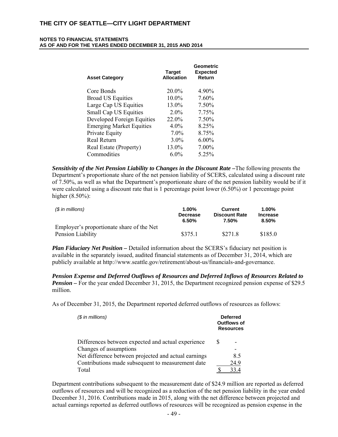#### **NOTES TO FINANCIAL STATEMENTS AS OF AND FOR THE YEARS ENDED DECEMBER 31, 2015 AND 2014**

| <b>Asset Category</b>           | <b>Target</b><br><b>Allocation</b> | <b>Geometric</b><br><b>Expected</b><br>Return |
|---------------------------------|------------------------------------|-----------------------------------------------|
| Core Bonds                      | 20.0%                              | 4.90%                                         |
| <b>Broad US Equities</b>        | 10.0%                              | 7.60%                                         |
| Large Cap US Equities           | 13.0%                              | 7.50%                                         |
| Small Cap US Equities           | $2.0\%$                            | 7.75%                                         |
| Developed Foreign Equities      | 22.0%                              | 7.50%                                         |
| <b>Emerging Market Equities</b> | $4.0\%$                            | 8.25%                                         |
| Private Equity                  | $7.0\%$                            | 8.75%                                         |
| <b>Real Return</b>              | $3.0\%$                            | $6.00\%$                                      |
| Real Estate (Property)          | 13.0%                              | 7.00%                                         |
| Commodities                     | $6.0\%$                            | 5.25%                                         |

*Sensitivity of the Net Pension Liability to Changes in the Discount Rate –*The following presents the Department's proportionate share of the net pension liability of SCERS, calculated using a discount rate of 7.50%, as well as what the Department's proportionate share of the net pension liability would be if it were calculated using a discount rate that is 1 percentage point lower (6.50%) or 1 percentage point higher (8.50%):

| $(S \in \mathbb{R})$ in millions)                              | $1.00\%$        | Current              | $1.00\%$        |
|----------------------------------------------------------------|-----------------|----------------------|-----------------|
|                                                                | <b>Decrease</b> | <b>Discount Rate</b> | <b>Increase</b> |
|                                                                | 6.50%           | 7.50%                | 8.50%           |
| Employer's proportionate share of the Net<br>Pension Liability | \$375.1         | \$271.8              | \$185.0         |

*Plan Fiduciary Net Position –* Detailed information about the SCERS's fiduciary net position is available in the separately issued, audited financial statements as of December 31, 2014, which are publicly available at http://www.seattle.gov/retirement/about-us/financials-and-governance.

*Pension Expense and Deferred Outflows of Resources and Deferred Inflows of Resources Related to Pension* – For the year ended December 31, 2015, the Department recognized pension expense of \$29.5 million.

As of December 31, 2015, the Department reported deferred outflows of resources as follows:

| $(S \in \mathbb{R})$ in millions)                                            |   | <b>Deferred</b><br><b>Outflows of</b><br><b>Resources</b> |
|------------------------------------------------------------------------------|---|-----------------------------------------------------------|
| Differences between expected and actual experience<br>Changes of assumptions | S |                                                           |
| Net difference between projected and actual earnings                         |   | 8.5                                                       |
| Contributions made subsequent to measurement date                            |   | 24.9                                                      |
| Total                                                                        |   | 33.4                                                      |

Department contributions subsequent to the measurement date of \$24.9 million are reported as deferred outflows of resources and will be recognized as a reduction of the net pension liability in the year ended December 31, 2016. Contributions made in 2015, along with the net difference between projected and actual earnings reported as deferred outflows of resources will be recognized as pension expense in the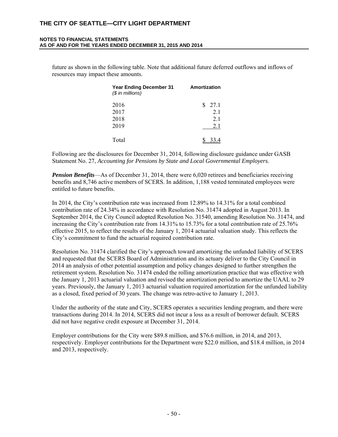#### **NOTES TO FINANCIAL STATEMENTS AS OF AND FOR THE YEARS ENDED DECEMBER 31, 2015 AND 2014**

future as shown in the following table. Note that additional future deferred outflows and inflows of resources may impact these amounts.

| <b>Year Ending December 31</b><br>$(S \in \mathbb{R})$ in millions) | Amortization |
|---------------------------------------------------------------------|--------------|
| 2016                                                                | S<br>27.1    |
| 2017                                                                | 2.1          |
| 2018                                                                | 2.1          |
| 2019                                                                | 2.1          |
| Total                                                               |              |

Following are the disclosures for December 31, 2014, following disclosure guidance under GASB Statement No. 27, *Accounting for Pensions by State and Local Governmental Employers*.

*Pension Benefits***—As** of December 31, 2014, there were 6,020 retirees and beneficiaries receiving benefits and 8,746 active members of SCERS. In addition, 1,188 vested terminated employees were entitled to future benefits.

In 2014, the City's contribution rate was increased from 12.89% to 14.31% for a total combined contribution rate of 24.34% in accordance with Resolution No. 31474 adopted in August 2013. In September 2014, the City Council adopted Resolution No. 31540, amending Resolution No. 31474, and increasing the City's contribution rate from 14.31% to 15.73% for a total contribution rate of 25.76% effective 2015, to reflect the results of the January 1, 2014 actuarial valuation study. This reflects the City's commitment to fund the actuarial required contribution rate.

Resolution No. 31474 clarified the City's approach toward amortizing the unfunded liability of SCERS and requested that the SCERS Board of Administration and its actuary deliver to the City Council in 2014 an analysis of other potential assumption and policy changes designed to further strengthen the retirement system. Resolution No. 31474 ended the rolling amortization practice that was effective with the January 1, 2013 actuarial valuation and revised the amortization period to amortize the UAAL to 29 years. Previously, the January 1, 2013 actuarial valuation required amortization for the unfunded liability as a closed, fixed period of 30 years. The change was retro-active to January 1, 2013.

Under the authority of the state and City, SCERS operates a securities lending program, and there were transactions during 2014. In 2014, SCERS did not incur a loss as a result of borrower default. SCERS did not have negative credit exposure at December 31, 2014.

Employer contributions for the City were \$89.8 million, and \$76.6 million, in 2014, and 2013, respectively. Employer contributions for the Department were \$22.0 million, and \$18.4 million, in 2014 and 2013, respectively.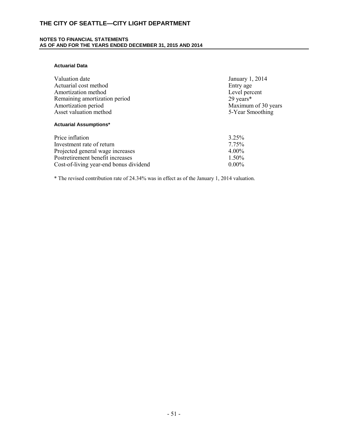#### **NOTES TO FINANCIAL STATEMENTS AS OF AND FOR THE YEARS ENDED DECEMBER 31, 2015 AND 2014**

#### **Actuarial Data**

| Valuation date<br>Actuarial cost method | January 1, 2014<br>Entry age |
|-----------------------------------------|------------------------------|
| Amortization method                     | Level percent                |
| Remaining amortization period           | $29$ years*                  |
| Amortization period                     | Maximum of 30 years          |
| Asset valuation method                  | 5-Year Smoothing             |
| <b>Actuarial Assumptions*</b>           |                              |

| Price inflation                        | 3.25%    |
|----------------------------------------|----------|
| Investment rate of return              | 7 75%    |
| Projected general wage increases       | $4.00\%$ |
| Postretirement benefit increases       | $1.50\%$ |
| Cost-of-living year-end bonus dividend | $0.00\%$ |

\* The revised contribution rate of 24.34% was in effect as of the January 1, 2014 valuation.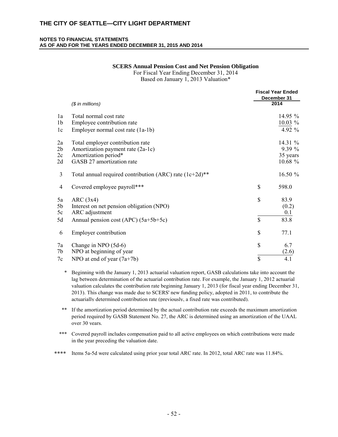### **NOTES TO FINANCIAL STATEMENTS AS OF AND FOR THE YEARS ENDED DECEMBER 31, 2015 AND 2014**

### **SCERS Annual Pension Cost and Net Pension Obligation**

For Fiscal Year Ending December 31, 2014 Based on January 1, 2013 Valuation\*

|                |                                                            | <b>Fiscal Year Ended</b> |
|----------------|------------------------------------------------------------|--------------------------|
|                |                                                            | December 31              |
|                | $($$ in millions)                                          | 2014                     |
| 1a             | Total normal cost rate                                     | 14.95 %                  |
| 1 <sub>b</sub> | Employee contribution rate                                 | $10.03\%$                |
| 1c             | Employer normal cost rate (1a-1b)                          | 4.92 %                   |
| 2a             | Total employer contribution rate                           | 14.31 %                  |
| 2 <sub>b</sub> | Amortization payment rate (2a-1c)                          | $9.39\%$                 |
| 2c             | Amortization period*                                       | 35 years                 |
| 2d             | GASB 27 amortization rate                                  | $10.68 \%$               |
| 3              | Total annual required contribution (ARC) rate $(1c+2d)$ ** | 16.50 $%$                |
| 4              | Covered employee payroll***                                | \$<br>598.0              |
| 5a             | ARC (3x4)                                                  | \$<br>83.9               |
| 5b             | Interest on net pension obligation (NPO)                   | (0.2)                    |
| 5c             | ARC adjustment                                             | 0.1                      |
| 5d             | Annual pension cost (APC) $(5a+5b+5c)$                     | \$<br>83.8               |
| 6              | Employer contribution                                      | \$<br>77.1               |
| 7a             | Change in NPO (5d-6)                                       | \$<br>6.7                |
| 7b             | NPO at beginning of year                                   | (2.6)                    |
| 7c             | NPO at end of year $(7a+7b)$                               | \$<br>4.1                |
|                |                                                            |                          |

- \* Beginning with the January 1, 2013 actuarial valuation report, GASB calculations take into account the lag between determination of the actuarial contribution rate. For example, the January 1, 2012 actuarial valuation calculates the contribution rate beginning January 1, 2013 (for fiscal year ending December 31, 2013). This change was made due to SCERS' new funding policy, adopted in 2011, to contribute the actuarially determined contribution rate (previously, a fixed rate was contributed).
- \*\* If the amortization period determined by the actual contribution rate exceeds the maximum amortization period required by GASB Statement No. 27, the ARC is determined using an amortization of the UAAL over 30 years.
- \*\*\* Covered payroll includes compensation paid to all active employees on which contributions were made in the year preceding the valuation date.
- \*\*\*\* Items 5a-5d were calculated using prior year total ARC rate. In 2012, total ARC rate was 11.84%.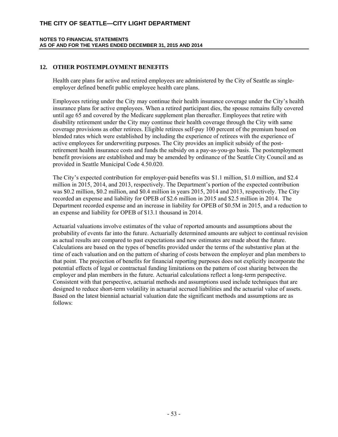### **NOTES TO FINANCIAL STATEMENTS AS OF AND FOR THE YEARS ENDED DECEMBER 31, 2015 AND 2014**

### **12. OTHER POSTEMPLOYMENT BENEFITS**

Health care plans for active and retired employees are administered by the City of Seattle as singleemployer defined benefit public employee health care plans.

Employees retiring under the City may continue their health insurance coverage under the City's health insurance plans for active employees. When a retired participant dies, the spouse remains fully covered until age 65 and covered by the Medicare supplement plan thereafter. Employees that retire with disability retirement under the City may continue their health coverage through the City with same coverage provisions as other retirees. Eligible retirees self-pay 100 percent of the premium based on blended rates which were established by including the experience of retirees with the experience of active employees for underwriting purposes. The City provides an implicit subsidy of the postretirement health insurance costs and funds the subsidy on a pay-as-you-go basis. The postemployment benefit provisions are established and may be amended by ordinance of the Seattle City Council and as provided in Seattle Municipal Code 4.50.020.

The City's expected contribution for employer-paid benefits was \$1.1 million, \$1.0 million, and \$2.4 million in 2015, 2014, and 2013, respectively. The Department's portion of the expected contribution was \$0.2 million, \$0.2 million, and \$0.4 million in years 2015, 2014 and 2013, respectively. The City recorded an expense and liability for OPEB of \$2.6 million in 2015 and \$2.5 million in 2014. The Department recorded expense and an increase in liability for OPEB of \$0.5M in 2015, and a reduction to an expense and liability for OPEB of \$13.1 thousand in 2014.

Actuarial valuations involve estimates of the value of reported amounts and assumptions about the probability of events far into the future. Actuarially determined amounts are subject to continual revision as actual results are compared to past expectations and new estimates are made about the future. Calculations are based on the types of benefits provided under the terms of the substantive plan at the time of each valuation and on the pattern of sharing of costs between the employer and plan members to that point. The projection of benefits for financial reporting purposes does not explicitly incorporate the potential effects of legal or contractual funding limitations on the pattern of cost sharing between the employer and plan members in the future. Actuarial calculations reflect a long-term perspective. Consistent with that perspective, actuarial methods and assumptions used include techniques that are designed to reduce short-term volatility in actuarial accrued liabilities and the actuarial value of assets. Based on the latest biennial actuarial valuation date the significant methods and assumptions are as follows: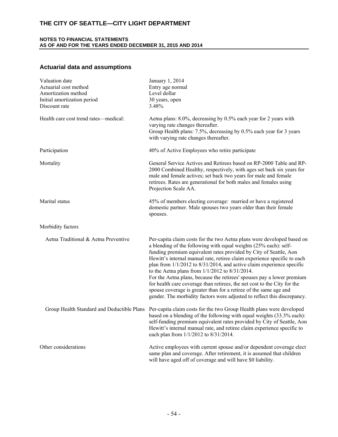### **NOTES TO FINANCIAL STATEMENTS AS OF AND FOR THE YEARS ENDED DECEMBER 31, 2015 AND 2014**

# **Actuarial data and assumptions**

| Valuation date<br>Actuarial cost method<br>Amortization method<br>Initial amortization period<br>Discount rate | January 1, 2014<br>Entry age normal<br>Level dollar<br>30 years, open<br>3.48%                                                                                                                                                                                                                                                                                                                                                                                                                                                                                                                                                                                                                                                     |
|----------------------------------------------------------------------------------------------------------------|------------------------------------------------------------------------------------------------------------------------------------------------------------------------------------------------------------------------------------------------------------------------------------------------------------------------------------------------------------------------------------------------------------------------------------------------------------------------------------------------------------------------------------------------------------------------------------------------------------------------------------------------------------------------------------------------------------------------------------|
| Health care cost trend rates—medical:                                                                          | Aetna plans: 8.0%, decreasing by 0.5% each year for 2 years with<br>varying rate changes thereafter.<br>Group Health plans: 7.5%, decreasing by 0.5% each year for 3 years<br>with varying rate changes thereafter.                                                                                                                                                                                                                                                                                                                                                                                                                                                                                                                |
| Participation                                                                                                  | 40% of Active Employees who retire participate                                                                                                                                                                                                                                                                                                                                                                                                                                                                                                                                                                                                                                                                                     |
| Mortality                                                                                                      | General Service Actives and Retirees based on RP-2000 Table and RP-<br>2000 Combined Healthy, respectively, with ages set back six years for<br>male and female actives; set back two years for male and female<br>retirees. Rates are generational for both males and females using<br>Projection Scale AA.                                                                                                                                                                                                                                                                                                                                                                                                                       |
| Marital status                                                                                                 | 45% of members electing coverage: married or have a registered<br>domestic partner. Male spouses two years older than their female<br>spouses.                                                                                                                                                                                                                                                                                                                                                                                                                                                                                                                                                                                     |
| Morbidity factors                                                                                              |                                                                                                                                                                                                                                                                                                                                                                                                                                                                                                                                                                                                                                                                                                                                    |
| Aetna Traditional & Aetna Preventive                                                                           | Per-capita claim costs for the two Aetna plans were developed based on<br>a blending of the following with equal weights (25% each): self-<br>funding premium equivalent rates provided by City of Seattle, Aon<br>Hewitt's internal manual rate, retiree claim experience specific to each<br>plan from 1/1/2012 to 8/31/2014, and active claim experience specific<br>to the Aetna plans from $1/1/2012$ to $8/31/2014$ .<br>For the Aetna plans, because the retirees' spouses pay a lower premium<br>for health care coverage than retirees, the net cost to the City for the<br>spouse coverage is greater than for a retiree of the same age and<br>gender. The morbidity factors were adjusted to reflect this discrepancy. |
| Group Health Standard and Deductible Plans                                                                     | Per-capita claim costs for the two Group Health plans were developed<br>based on a blending of the following with equal weights (33.3% each):<br>self-funding premium equivalent rates provided by City of Seattle, Aon<br>Hewitt's internal manual rate, and retiree claim experience specific to<br>each plan from 1/1/2012 to 8/31/2014.                                                                                                                                                                                                                                                                                                                                                                                        |
| Other considerations                                                                                           | Active employees with current spouse and/or dependent coverage elect<br>same plan and coverage. After retirement, it is assumed that children<br>will have aged off of coverage and will have \$0 liability.                                                                                                                                                                                                                                                                                                                                                                                                                                                                                                                       |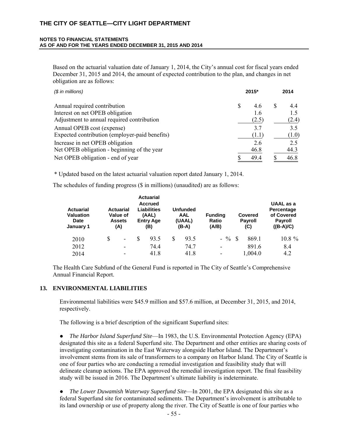#### **NOTES TO FINANCIAL STATEMENTS AS OF AND FOR THE YEARS ENDED DECEMBER 31, 2015 AND 2014**

Based on the actuarial valuation date of January 1, 2014, the City's annual cost for fiscal years ended December 31, 2015 and 2014, the amount of expected contribution to the plan, and changes in net obligation are as follows:

| $(S \in \mathbb{R})$ in millions)              |   | 2015* |   |       |
|------------------------------------------------|---|-------|---|-------|
| Annual required contribution                   | S | 4.6   | S | 4.4   |
| Interest on net OPEB obligation                |   | 1.6   |   | 1.5   |
| Adjustment to annual required contribution     |   | (2.5) |   | (2.4) |
| Annual OPEB cost (expense)                     |   | 3.7   |   | 3.5   |
| Expected contribution (employer-paid benefits) |   | (1.1) |   | (1.0) |
| Increase in net OPEB obligation                |   | 2.6   |   | 2.5   |
| Net OPEB obligation - beginning of the year    |   | 46.8  |   | 44.3  |
| Net OPEB obligation - end of year              |   | 49.4  |   | 46.8  |

\* Updated based on the latest actuarial valuation report dated January 1, 2014.

The schedules of funding progress (\$ in millions) (unaudited) are as follows:

| <b>Actuarial</b><br><b>Valuation</b><br><b>Date</b><br>January 1 | <b>Actuarial</b><br>Value of<br><b>Assets</b><br>(A) | <b>Actuarial</b><br><b>Accrued</b><br>Liabilities<br>(AAL)<br><b>Entry Age</b><br>(B) | <b>Unfunded</b><br>AAL<br>(UAAL)<br>(B-A) | <b>Funding</b><br>Ratio<br>(A/B) | <b>Covered</b><br><b>Payroll</b><br>(C) | UAAL as a<br>Percentage<br>of Covered<br><b>Payroll</b><br>$((B-A)/C)$ |
|------------------------------------------------------------------|------------------------------------------------------|---------------------------------------------------------------------------------------|-------------------------------------------|----------------------------------|-----------------------------------------|------------------------------------------------------------------------|
| 2010                                                             | \$<br>$\overline{\phantom{a}}$                       | \$<br>93.5                                                                            | 93.5                                      | $-$ % \$                         | 869.1                                   | 10.8 %                                                                 |
| 2012                                                             | $\overline{\phantom{0}}$                             | 74.4                                                                                  | 74.7                                      | $\overline{\phantom{0}}$         | 891.6                                   | 8.4                                                                    |
| 2014                                                             | -                                                    | 41.8                                                                                  | 41.8                                      | ۰                                | 1,004.0                                 | 4.2                                                                    |

The Health Care Subfund of the General Fund is reported in The City of Seattle's Comprehensive Annual Financial Report.

### **13. ENVIRONMENTAL LIABILITIES**

Environmental liabilities were \$45.9 million and \$57.6 million, at December 31, 2015, and 2014, respectively.

The following is a brief description of the significant Superfund sites:

● *The Harbor Island Superfund Site*—In 1983, the U.S. Environmental Protection Agency (EPA) designated this site as a federal Superfund site. The Department and other entities are sharing costs of investigating contamination in the East Waterway alongside Harbor Island. The Department's involvement stems from its sale of transformers to a company on Harbor Island. The City of Seattle is one of four parties who are conducting a remedial investigation and feasibility study that will delineate cleanup actions. The EPA approved the remedial investigation report. The final feasibility study will be issued in 2016. The Department's ultimate liability is indeterminate.

● *The Lower Duwamish Waterway Superfund Site*—In 2001, the EPA designated this site as a federal Superfund site for contaminated sediments. The Department's involvement is attributable to its land ownership or use of property along the river. The City of Seattle is one of four parties who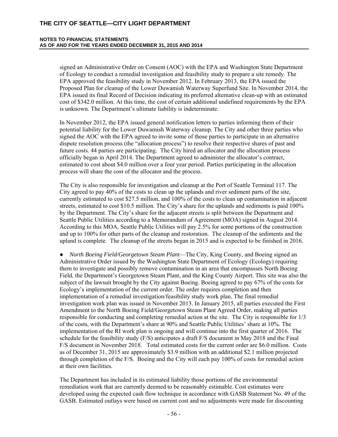#### **NOTES TO FINANCIAL STATEMENTS AS OF AND FOR THE YEARS ENDED DECEMBER 31, 2015 AND 2014**

signed an Administrative Order on Consent (AOC) with the EPA and Washington State Department of Ecology to conduct a remedial investigation and feasibility study to prepare a site remedy. The EPA approved the feasibility study in November 2012. In February 2013, the EPA issued the Proposed Plan for cleanup of the Lower Duwamish Waterway Superfund Site. In November 2014, the EPA issued its final Record of Decision indicating its preferred alternative clean-up with an estimated cost of \$342.0 million. At this time, the cost of certain additional undefined requirements by the EPA is unknown. The Department's ultimate liability is indeterminate.

In November 2012, the EPA issued general notification letters to parties informing them of their potential liability for the Lower Duwamish Waterway cleanup. The City and other three parties who signed the AOC with the EPA agreed to invite some of those parties to participate in an alternative dispute resolution process (the "allocation process") to resolve their respective shares of past and future costs. 44 parties are participating. The City hired an allocator and the allocation process officially began in April 2014. The Department agreed to administer the allocator's contract, estimated to cost about \$4.0 million over a four year period. Parties participating in the allocation process will share the cost of the allocator and the process.

The City is also responsible for investigation and cleanup at the Port of Seattle Terminal 117. The City agreed to pay 40% of the costs to clean up the uplands and river sediment parts of the site, currently estimated to cost \$27.5 million, and 100% of the costs to clean up contamination in adjacent streets, estimated to cost \$10.5 million. The City's share for the uplands and sediments is paid 100% by the Department. The City's share for the adjacent streets is split between the Department and Seattle Public Utilities according to a Memorandum of Agreement (MOA) signed in August 2014. According to this MOA, Seattle Public Utilities will pay 2.5% for some portions of the construction and up to 100% for other parts of the cleanup and restoration. The cleanup of the sediments and the upland is complete. The cleanup of the streets began in 2015 and is expected to be finished in 2016.

● *North Boeing Field/Georgetown Steam Plant*—The City, King County, and Boeing signed an Administrative Order issued by the Washington State Department of Ecology (Ecology) requiring them to investigate and possibly remove contamination in an area that encompasses North Boeing Field, the Department's Georgetown Steam Plant, and the King County Airport. This site was also the subject of the lawsuit brought by the City against Boeing. Boeing agreed to pay 67% of the costs for Ecology's implementation of the current order. The order requires completion and then implementation of a remedial investigation/feasibility study work plan. The final remedial investigation work plan was issued in November 2013. In January 2015, all parties executed the First Amendment to the North Boeing Field/Georgetown Steam Plant Agreed Order, making all parties responsible for conducting and completing remedial action at the site. The City is responsible for 1/3 of the costs, with the Department's share at 90% and Seattle Public Utilities' share at 10%. The implementation of the RI work plan is ongoing and will continue into the first quarter of 2016. The schedule for the feasibility study (F/S) anticipates a draft F/S document in May 2018 and the Final F/S document in November 2018. Total estimated costs for the current order are \$6.0 million. Costs as of December 31, 2015 are approximately \$3.9 million with an additional \$2.1 million projected through completion of the F/S. Boeing and the City will each pay 100% of costs for remedial action at their own facilities.

The Department has included in its estimated liability those portions of the environmental remediation work that are currently deemed to be reasonably estimable. Cost estimates were developed using the expected cash flow technique in accordance with GASB Statement No. 49 of the GASB. Estimated outlays were based on current cost and no adjustments were made for discounting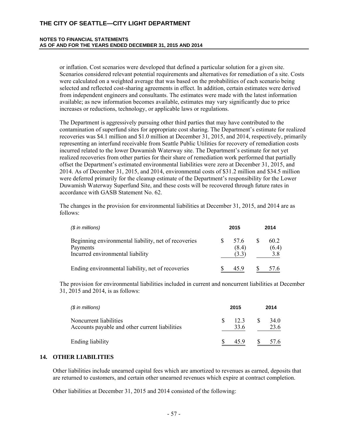#### **NOTES TO FINANCIAL STATEMENTS AS OF AND FOR THE YEARS ENDED DECEMBER 31, 2015 AND 2014**

or inflation. Cost scenarios were developed that defined a particular solution for a given site. Scenarios considered relevant potential requirements and alternatives for remediation of a site. Costs were calculated on a weighted average that was based on the probabilities of each scenario being selected and reflected cost-sharing agreements in effect. In addition, certain estimates were derived from independent engineers and consultants. The estimates were made with the latest information available; as new information becomes available, estimates may vary significantly due to price increases or reductions, technology, or applicable laws or regulations.

The Department is aggressively pursuing other third parties that may have contributed to the contamination of superfund sites for appropriate cost sharing. The Department's estimate for realized recoveries was \$4.1 million and \$1.0 million at December 31, 2015, and 2014, respectively, primarily representing an interfund receivable from Seattle Public Utilities for recovery of remediation costs incurred related to the lower Duwamish Waterway site. The Department's estimate for not yet realized recoveries from other parties for their share of remediation work performed that partially offset the Department's estimated environmental liabilities were zero at December 31, 2015, and 2014. As of December 31, 2015, and 2014, environmental costs of \$31.2 million and \$34.5 million were deferred primarily for the cleanup estimate of the Department's responsibility for the Lower Duwamish Waterway Superfund Site, and these costs will be recovered through future rates in accordance with GASB Statement No. 62.

The changes in the provision for environmental liabilities at December 31, 2015, and 2014 are as follows:

| (\$ in millions)                                                                                     | 2015                   | 2014                 |
|------------------------------------------------------------------------------------------------------|------------------------|----------------------|
| Beginning environmental liability, net of recoveries<br>Payments<br>Incurred environmental liability | 57.6<br>(8.4)<br>(3.3) | 60.2<br>(6.4)<br>3.8 |
| Ending environmental liability, net of recoveries                                                    | 459                    | 57.6                 |

The provision for environmental liabilities included in current and noncurrent liabilities at December 31, 2015 and 2014, is as follows:

| (\$ in millions)                                                         | 2015                    |    | 2014         |
|--------------------------------------------------------------------------|-------------------------|----|--------------|
| Noncurrent liabilities<br>Accounts payable and other current liabilities | $\frac{123}{ }$<br>33.6 | -S | 34.0<br>23.6 |
| Ending liability                                                         | 459                     |    | 57.6         |

### **14. OTHER LIABILITIES**

Other liabilities include unearned capital fees which are amortized to revenues as earned, deposits that are returned to customers, and certain other unearned revenues which expire at contract completion.

Other liabilities at December 31, 2015 and 2014 consisted of the following: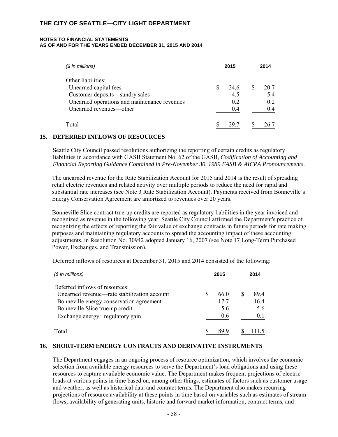#### **NOTES TO FINANCIAL STATEMENTS AS OF AND FOR THE YEARS ENDED DECEMBER 31, 2015 AND 2014**

| $(S \in \mathbb{R})$ in millions)            |   | 2015 |   | 2014 |
|----------------------------------------------|---|------|---|------|
| Other liabilities:                           |   |      |   |      |
| Unearned capital fees                        | S | 24.6 | S | 20.7 |
| Customer deposits—sundry sales               |   | 4.5  |   | 5.4  |
| Unearned operations and maintenance revenues |   | 0.2  |   | 0.2  |
| Unearned revenues—other                      |   | 0.4  |   | 0.4  |
|                                              |   |      |   |      |
| Total                                        |   | 29.7 |   | 26.7 |

### **15. DEFERRED INFLOWS OF RESOURCES**

Seattle City Council passed resolutions authorizing the reporting of certain credits as regulatory liabilities in accordance with GASB Statement No. 62 of the GASB, *Codification of Accounting and Financial Reporting Guidance Contained in Pre-November 30, 1989 FASB & AICPA Pronouncements*.

The unearned revenue for the Rate Stabilization Account for 2015 and 2014 is the result of spreading retail electric revenues and related activity over multiple periods to reduce the need for rapid and substantial rate increases (see Note 3 Rate Stabilization Account). Payments received from Bonneville's Energy Conservation Agreement are amortized to revenues over 20 years.

Bonneville Slice contract true-up credits are reported as regulatory liabilities in the year invoiced and recognized as revenue in the following year. Seattle City Council affirmed the Department's practice of recognizing the effects of reporting the fair value of exchange contracts in future periods for rate making purposes and maintaining regulatory accounts to spread the accounting impact of these accounting adjustments, in Resolution No. 30942 adopted January 16, 2007 (see Note 17 Long-Term Purchased Power, Exchanges, and Transmission).

Deferred inflows of resources at December 31, 2015 and 2014 consisted of the following:

| $$$ in millions)                            | 2015 |   | 2014 |
|---------------------------------------------|------|---|------|
| Deferred inflows of resources:              |      |   |      |
| Unearned revenue—rate stabilization account | 66.0 | S | 894  |
| Bonneville energy conservation agreement    | 17.7 |   | 16.4 |
| Bonneville Slice true-up credit             | 5.6  |   | 5.6  |
| Exchange energy: regulatory gain            | 0.6  |   | 0.1  |
| Total                                       | 899  |   |      |

### **16. SHORT-TERM ENERGY CONTRACTS AND DERIVATIVE INSTRUMENTS**

The Department engages in an ongoing process of resource optimization, which involves the economic selection from available energy resources to serve the Department's load obligations and using these resources to capture available economic value. The Department makes frequent projections of electric loads at various points in time based on, among other things, estimates of factors such as customer usage and weather, as well as historical data and contract terms. The Department also makes recurring projections of resource availability at these points in time based on variables such as estimates of stream flows, availability of generating units, historic and forward market information, contract terms, and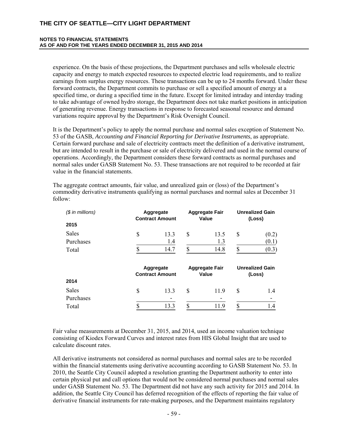### **NOTES TO FINANCIAL STATEMENTS AS OF AND FOR THE YEARS ENDED DECEMBER 31, 2015 AND 2014**

experience. On the basis of these projections, the Department purchases and sells wholesale electric capacity and energy to match expected resources to expected electric load requirements, and to realize earnings from surplus energy resources. These transactions can be up to 24 months forward. Under these forward contracts, the Department commits to purchase or sell a specified amount of energy at a specified time, or during a specified time in the future. Except for limited intraday and interday trading to take advantage of owned hydro storage, the Department does not take market positions in anticipation of generating revenue. Energy transactions in response to forecasted seasonal resource and demand variations require approval by the Department's Risk Oversight Council.

It is the Department's policy to apply the normal purchase and normal sales exception of Statement No. 53 of the GASB, *Accounting and Financial Reporting for Derivative Instruments*, as appropriate. Certain forward purchase and sale of electricity contracts meet the definition of a derivative instrument, but are intended to result in the purchase or sale of electricity delivered and used in the normal course of operations. Accordingly, the Department considers these forward contracts as normal purchases and normal sales under GASB Statement No. 53. These transactions are not required to be recorded at fair value in the financial statements.

The aggregate contract amounts, fair value, and unrealized gain or (loss) of the Department's commodity derivative instruments qualifying as normal purchases and normal sales at December 31 follow:

| $$$ in millions) | Aggregate<br><b>Contract Amount</b> |    | <b>Aggregate Fair</b><br>Value |    | <b>Unrealized Gain</b><br>(Loss) |  |  |
|------------------|-------------------------------------|----|--------------------------------|----|----------------------------------|--|--|
| 2015             |                                     |    |                                |    |                                  |  |  |
| <b>Sales</b>     | \$<br>13.3                          | \$ | 13.5                           | \$ | (0.2)                            |  |  |
| Purchases        | 1.4                                 |    | 1.3                            |    | (0.1)                            |  |  |
| Total            | \$<br>14.7                          | \$ | 14.8                           | \$ | (0.3)                            |  |  |
|                  | Aggregate<br><b>Contract Amount</b> |    | <b>Aggregate Fair</b><br>Value |    | <b>Unrealized Gain</b><br>(Loss) |  |  |
| 2014             |                                     |    |                                |    |                                  |  |  |
|                  |                                     |    |                                |    |                                  |  |  |
| <b>Sales</b>     | \$<br>13.3                          | \$ | 11.9                           | \$ | 1.4                              |  |  |
| Purchases        |                                     |    |                                |    |                                  |  |  |

Fair value measurements at December 31, 2015, and 2014, used an income valuation technique consisting of Kiodex Forward Curves and interest rates from HIS Global Insight that are used to calculate discount rates.

All derivative instruments not considered as normal purchases and normal sales are to be recorded within the financial statements using derivative accounting according to GASB Statement No. 53. In 2010, the Seattle City Council adopted a resolution granting the Department authority to enter into certain physical put and call options that would not be considered normal purchases and normal sales under GASB Statement No. 53. The Department did not have any such activity for 2015 and 2014. In addition, the Seattle City Council has deferred recognition of the effects of reporting the fair value of derivative financial instruments for rate-making purposes, and the Department maintains regulatory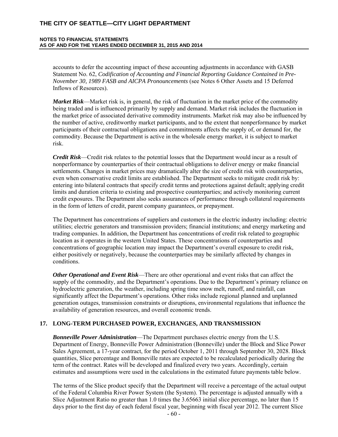### **NOTES TO FINANCIAL STATEMENTS AS OF AND FOR THE YEARS ENDED DECEMBER 31, 2015 AND 2014**

accounts to defer the accounting impact of these accounting adjustments in accordance with GASB Statement No. 62, *Codification of Accounting and Financial Reporting Guidance Contained in Pre-November 30, 1989 FASB and AICPA Pronouncements* (see Notes 6 Other Assets and 15 Deferred Inflows of Resources).

*Market Risk*—Market risk is, in general, the risk of fluctuation in the market price of the commodity being traded and is influenced primarily by supply and demand. Market risk includes the fluctuation in the market price of associated derivative commodity instruments. Market risk may also be influenced by the number of active, creditworthy market participants, and to the extent that nonperformance by market participants of their contractual obligations and commitments affects the supply of, or demand for, the commodity. Because the Department is active in the wholesale energy market, it is subject to market risk.

*Credit Risk*—Credit risk relates to the potential losses that the Department would incur as a result of nonperformance by counterparties of their contractual obligations to deliver energy or make financial settlements. Changes in market prices may dramatically alter the size of credit risk with counterparties, even when conservative credit limits are established. The Department seeks to mitigate credit risk by: entering into bilateral contracts that specify credit terms and protections against default; applying credit limits and duration criteria to existing and prospective counterparties; and actively monitoring current credit exposures. The Department also seeks assurances of performance through collateral requirements in the form of letters of credit, parent company guarantees, or prepayment.

The Department has concentrations of suppliers and customers in the electric industry including: electric utilities; electric generators and transmission providers; financial institutions; and energy marketing and trading companies. In addition, the Department has concentrations of credit risk related to geographic location as it operates in the western United States. These concentrations of counterparties and concentrations of geographic location may impact the Department's overall exposure to credit risk, either positively or negatively, because the counterparties may be similarly affected by changes in conditions.

*Other Operational and Event Risk*—There are other operational and event risks that can affect the supply of the commodity, and the Department's operations. Due to the Department's primary reliance on hydroelectric generation, the weather, including spring time snow melt, runoff, and rainfall, can significantly affect the Department's operations. Other risks include regional planned and unplanned generation outages, transmission constraints or disruptions, environmental regulations that influence the availability of generation resources, and overall economic trends.

## **17. LONG-TERM PURCHASED POWER, EXCHANGES, AND TRANSMISSION**

*Bonneville Power Administration*—The Department purchases electric energy from the U.S. Department of Energy, Bonneville Power Administration (Bonneville) under the Block and Slice Power Sales Agreement, a 17-year contract, for the period October 1, 2011 through September 30, 2028. Block quantities, Slice percentage and Bonneville rates are expected to be recalculated periodically during the term of the contract. Rates will be developed and finalized every two years. Accordingly, certain estimates and assumptions were used in the calculations in the estimated future payments table below.

The terms of the Slice product specify that the Department will receive a percentage of the actual output of the Federal Columbia River Power System (the System). The percentage is adjusted annually with a Slice Adjustment Ratio no greater than 1.0 times the 3.65663 initial slice percentage, no later than 15 days prior to the first day of each federal fiscal year, beginning with fiscal year 2012. The current Slice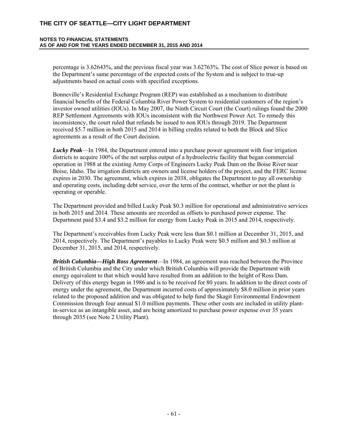### **NOTES TO FINANCIAL STATEMENTS AS OF AND FOR THE YEARS ENDED DECEMBER 31, 2015 AND 2014**

percentage is 3.62643%, and the previous fiscal year was 3.62763%. The cost of Slice power is based on the Department's same percentage of the expected costs of the System and is subject to true-up adjustments based on actual costs with specified exceptions.

Bonneville's Residential Exchange Program (REP) was established as a mechanism to distribute financial benefits of the Federal Columbia River Power System to residential customers of the region's investor owned utilities (IOUs). In May 2007, the Ninth Circuit Court (the Court) rulings found the 2000 REP Settlement Agreements with IOUs inconsistent with the Northwest Power Act. To remedy this inconsistency, the court ruled that refunds be issued to non IOUs through 2019. The Department received \$5.7 million in both 2015 and 2014 in billing credits related to both the Block and Slice agreements as a result of the Court decision.

*Lucky Peak*—In 1984, the Department entered into a purchase power agreement with four irrigation districts to acquire 100% of the net surplus output of a hydroelectric facility that began commercial operation in 1988 at the existing Army Corps of Engineers Lucky Peak Dam on the Boise River near Boise, Idaho. The irrigation districts are owners and license holders of the project, and the FERC license expires in 2030. The agreement, which expires in 2038, obligates the Department to pay all ownership and operating costs, including debt service, over the term of the contract, whether or not the plant is operating or operable.

The Department provided and billed Lucky Peak \$0.3 million for operational and administrative services in both 2015 and 2014. These amounts are recorded as offsets to purchased power expense. The Department paid \$3.4 and \$3.2 million for energy from Lucky Peak in 2015 and 2014, respectively.

The Department's receivables from Lucky Peak were less than \$0.1 million at December 31, 2015, and 2014, respectively. The Department's payables to Lucky Peak were \$0.5 million and \$0.3 million at December 31, 2015, and 2014, respectively.

*British Columbia—High Ross Agreement*—In 1984, an agreement was reached between the Province of British Columbia and the City under which British Columbia will provide the Department with energy equivalent to that which would have resulted from an addition to the height of Ross Dam. Delivery of this energy began in 1986 and is to be received for 80 years. In addition to the direct costs of energy under the agreement, the Department incurred costs of approximately \$8.0 million in prior years related to the proposed addition and was obligated to help fund the Skagit Environmental Endowment Commission through four annual \$1.0 million payments. These other costs are included in utility plantin-service as an intangible asset, and are being amortized to purchase power expense over 35 years through 2035 (see Note 2 Utility Plant).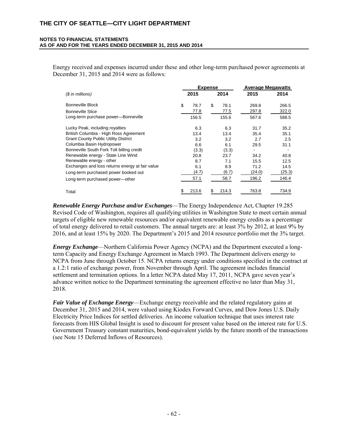#### **NOTES TO FINANCIAL STATEMENTS AS OF AND FOR THE YEARS ENDED DECEMBER 31, 2015 AND 2014**

Energy received and expenses incurred under these and other long-term purchased power agreements at December 31, 2015 and 2014 were as follows:

|                                                 | <b>Expense</b> |       |    |       | <b>Average Megawatts</b> |        |  |  |
|-------------------------------------------------|----------------|-------|----|-------|--------------------------|--------|--|--|
| (\$ in millions)                                |                | 2015  |    | 2014  | 2015                     | 2014   |  |  |
| Bonneville Block                                | \$             | 78.7  | \$ | 78.1  | 269.8                    | 266.5  |  |  |
| <b>Bonneville Slice</b>                         |                | 77.8  |    | 77.5  | 297.8                    | 322.0  |  |  |
| Long-term purchase power-Bonneville             |                | 156.5 |    | 155.6 | 567.6                    | 588.5  |  |  |
| Lucky Peak, including royalties                 |                | 6.3   |    | 6.3   | 31.7                     | 35.2   |  |  |
| British Columbia - High Ross Agreement          |                | 13.4  |    | 13.4  | 35.4                     | 35.1   |  |  |
| <b>Grant County Public Utility District</b>     |                | 3.2   |    | 3.2   | 2.7                      | 2.5    |  |  |
| Columbia Basin Hydropower                       |                | 6.6   |    | 6.1   | 29.5                     | 31.1   |  |  |
| Bonneville South Fork Tolt billing credit       |                | (3.3) |    | (3.3) |                          |        |  |  |
| Renewable energy - State Line Wind              |                | 20.8  |    | 23.7  | 34.2                     | 40.8   |  |  |
| Renewable energy - other                        |                | 8.7   |    | 7.1   | 15.5                     | 12.5   |  |  |
| Exchanges and loss returns energy at fair value |                | 6.1   |    | 8.9   | 71.2                     | 14.5   |  |  |
| Long-term purchased power booked out            |                | (4.7) |    | (6.7) | (24.0)                   | (25.3) |  |  |
| Long-term purchased power-other                 |                | 57.1  |    | 58.7  | 196.2                    | 146.4  |  |  |
| Total                                           | \$             | 213.6 | \$ | 214.3 | 763.8                    | 734.9  |  |  |

*Renewable Energy Purchase and/or Exchanges*—The Energy Independence Act, Chapter 19.285 Revised Code of Washington, requires all qualifying utilities in Washington State to meet certain annual targets of eligible new renewable resources and/or equivalent renewable energy credits as a percentage of total energy delivered to retail customers. The annual targets are: at least 3% by 2012, at least 9% by 2016, and at least 15% by 2020. The Department's 2015 and 2014 resource portfolio met the 3% target.

*Energy Exchange*—Northern California Power Agency (NCPA) and the Department executed a longterm Capacity and Energy Exchange Agreement in March 1993. The Department delivers energy to NCPA from June through October 15. NCPA returns energy under conditions specified in the contract at a 1.2:1 ratio of exchange power, from November through April. The agreement includes financial settlement and termination options. In a letter NCPA dated May 17, 2011, NCPA gave seven year's advance written notice to the Department terminating the agreement effective no later than May 31, 2018.

*Fair Value of Exchange Energy*—Exchange energy receivable and the related regulatory gains at December 31, 2015 and 2014, were valued using Kiodex Forward Curves, and Dow Jones U.S. Daily Electricity Price Indices for settled deliveries. An income valuation technique that uses interest rate forecasts from HIS Global Insight is used to discount for present value based on the interest rate for U.S. Government Treasury constant maturities, bond-equivalent yields by the future month of the transactions (see Note 15 Deferred Inflows of Resources).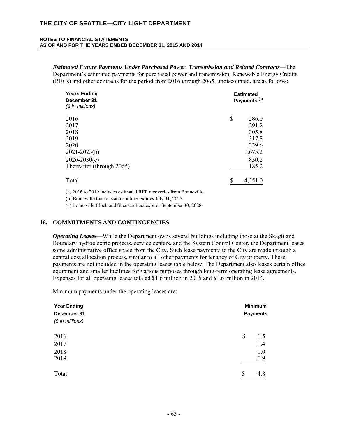#### **NOTES TO FINANCIAL STATEMENTS AS OF AND FOR THE YEARS ENDED DECEMBER 31, 2015 AND 2014**

*Estimated Future Payments Under Purchased Power, Transmission and Related Contracts*—The Department's estimated payments for purchased power and transmission, Renewable Energy Credits (RECs) and other contracts for the period from 2016 through 2065, undiscounted, are as follows:

| <b>Years Ending</b><br>December 31<br>$$$ in millions)                     |    | <b>Estimated</b><br>Payments <sup>(a)</sup> |  |  |  |
|----------------------------------------------------------------------------|----|---------------------------------------------|--|--|--|
| 2016                                                                       | \$ | 286.0                                       |  |  |  |
| 2017                                                                       |    | 291.2                                       |  |  |  |
| 2018                                                                       |    | 305.8                                       |  |  |  |
| 2019                                                                       |    | 317.8                                       |  |  |  |
| 2020                                                                       |    | 339.6                                       |  |  |  |
| $2021 - 2025(b)$                                                           |    | 1,675.2                                     |  |  |  |
| $2026 - 2030(c)$                                                           |    | 850.2                                       |  |  |  |
| Thereafter (through 2065)                                                  |    | 185.2                                       |  |  |  |
| Total                                                                      | S  | 4,251.0                                     |  |  |  |
| (a) $2016$ to $2010$ in the face estimated DED access that from Dennaritty |    |                                             |  |  |  |

(a) 2016 to 2019 includes estimated REP recoveries from Bonneville.

(b) Bonneville transmission contract expires July 31, 2025.

(c) Bonneville Block and Slice contract expires September 30, 2028.

### **18. COMMITMENTS AND CONTINGENCIES**

*Operating Leases*—While the Department owns several buildings including those at the Skagit and Boundary hydroelectric projects, service centers, and the System Control Center, the Department leases some administrative office space from the City. Such lease payments to the City are made through a central cost allocation process, similar to all other payments for tenancy of City property. These payments are not included in the operating leases table below. The Department also leases certain office equipment and smaller facilities for various purposes through long-term operating lease agreements. Expenses for all operating leases totaled \$1.6 million in 2015 and \$1.6 million in 2014.

Minimum payments under the operating leases are:

| <b>Year Ending</b><br>December 31 | <b>Minimum</b><br><b>Payments</b> |
|-----------------------------------|-----------------------------------|
| $$$ in millions)                  |                                   |
| 2016                              | \$<br>1.5                         |
| 2017                              | 1.4                               |
| 2018                              | 1.0                               |
| 2019                              | 0.9                               |
| Total                             | \$<br>4.8                         |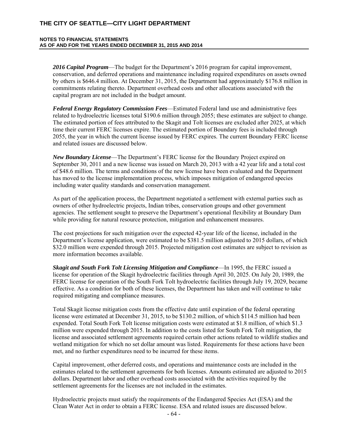#### **NOTES TO FINANCIAL STATEMENTS AS OF AND FOR THE YEARS ENDED DECEMBER 31, 2015 AND 2014**

*2016 Capital Program*—The budget for the Department's 2016 program for capital improvement, conservation, and deferred operations and maintenance including required expenditures on assets owned by others is \$646.4 million. At December 31, 2015, the Department had approximately \$176.8 million in commitments relating thereto. Department overhead costs and other allocations associated with the capital program are not included in the budget amount.

*Federal Energy Regulatory Commission Fees*—Estimated Federal land use and administrative fees related to hydroelectric licenses total \$190.6 million through 2055; these estimates are subject to change. The estimated portion of fees attributed to the Skagit and Tolt licenses are excluded after 2025, at which time their current FERC licenses expire. The estimated portion of Boundary fees is included through 2055, the year in which the current license issued by FERC expires. The current Boundary FERC license and related issues are discussed below.

*New Boundary License*—The Department's FERC license for the Boundary Project expired on September 30, 2011 and a new license was issued on March 20, 2013 with a 42 year life and a total cost of \$48.6 million. The terms and conditions of the new license have been evaluated and the Department has moved to the license implementation process, which imposes mitigation of endangered species including water quality standards and conservation management.

As part of the application process, the Department negotiated a settlement with external parties such as owners of other hydroelectric projects, Indian tribes, conservation groups and other government agencies. The settlement sought to preserve the Department's operational flexibility at Boundary Dam while providing for natural resource protection, mitigation and enhancement measures.

The cost projections for such mitigation over the expected 42-year life of the license, included in the Department's license application, were estimated to be \$381.5 million adjusted to 2015 dollars, of which \$32.0 million were expended through 2015. Projected mitigation cost estimates are subject to revision as more information becomes available.

*Skagit and South Fork Tolt Licensing Mitigation and Compliance*—In 1995, the FERC issued a license for operation of the Skagit hydroelectric facilities through April 30, 2025. On July 20, 1989, the FERC license for operation of the South Fork Tolt hydroelectric facilities through July 19, 2029, became effective. As a condition for both of these licenses, the Department has taken and will continue to take required mitigating and compliance measures.

Total Skagit license mitigation costs from the effective date until expiration of the federal operating license were estimated at December 31, 2015, to be \$130.2 million, of which \$114.5 million had been expended. Total South Fork Tolt license mitigation costs were estimated at \$1.8 million, of which \$1.3 million were expended through 2015. In addition to the costs listed for South Fork Tolt mitigation, the license and associated settlement agreements required certain other actions related to wildlife studies and wetland mitigation for which no set dollar amount was listed. Requirements for these actions have been met, and no further expenditures need to be incurred for these items.

Capital improvement, other deferred costs, and operations and maintenance costs are included in the estimates related to the settlement agreements for both licenses. Amounts estimated are adjusted to 2015 dollars. Department labor and other overhead costs associated with the activities required by the settlement agreements for the licenses are not included in the estimates.

Hydroelectric projects must satisfy the requirements of the Endangered Species Act (ESA) and the Clean Water Act in order to obtain a FERC license. ESA and related issues are discussed below.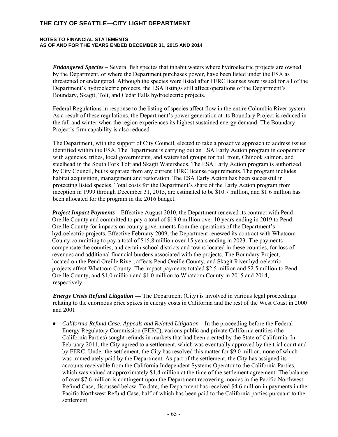#### **NOTES TO FINANCIAL STATEMENTS AS OF AND FOR THE YEARS ENDED DECEMBER 31, 2015 AND 2014**

*Endangered Species –* Several fish species that inhabit waters where hydroelectric projects are owned by the Department, or where the Department purchases power, have been listed under the ESA as threatened or endangered. Although the species were listed after FERC licenses were issued for all of the Department's hydroelectric projects, the ESA listings still affect operations of the Department's Boundary, Skagit, Tolt, and Cedar Falls hydroelectric projects.

Federal Regulations in response to the listing of species affect flow in the entire Columbia River system. As a result of these regulations, the Department's power generation at its Boundary Project is reduced in the fall and winter when the region experiences its highest sustained energy demand. The Boundary Project's firm capability is also reduced.

The Department, with the support of City Council, elected to take a proactive approach to address issues identified within the ESA. The Department is carrying out an ESA Early Action program in cooperation with agencies, tribes, local governments, and watershed groups for bull trout, Chinook salmon, and steelhead in the South Fork Tolt and Skagit Watersheds. The ESA Early Action program is authorized by City Council, but is separate from any current FERC license requirements. The program includes habitat acquisition, management and restoration. The ESA Early Action has been successful in protecting listed species. Total costs for the Department's share of the Early Action program from inception in 1999 through December 31, 2015, are estimated to be \$10.7 million, and \$1.6 million has been allocated for the program in the 2016 budget.

*Project Impact Payments*—Effective August 2010, the Department renewed its contract with Pend Oreille County and committed to pay a total of \$19.0 million over 10 years ending in 2019 to Pend Oreille County for impacts on county governments from the operations of the Department's hydroelectric projects. Effective February 2009, the Department renewed its contract with Whatcom County committing to pay a total of \$15.8 million over 15 years ending in 2023. The payments compensate the counties, and certain school districts and towns located in these counties, for loss of revenues and additional financial burdens associated with the projects. The Boundary Project, located on the Pend Oreille River, affects Pend Oreille County, and Skagit River hydroelectric projects affect Whatcom County. The impact payments totaled \$2.5 million and \$2.5 million to Pend Oreille County, and \$1.0 million and \$1.0 million to Whatcom County in 2015 and 2014, respectively

*Energy Crisis Refund Litigation — The Department (City) is involved in various legal proceedings* relating to the enormous price spikes in energy costs in California and the rest of the West Coast in 2000 and 2001.

● *California Refund Case, Appeals and Related Litigation*—In the proceeding before the Federal Energy Regulatory Commission (FERC), various public and private California entities (the California Parties) sought refunds in markets that had been created by the State of California. In February 2011, the City agreed to a settlement, which was eventually approved by the trial court and by FERC. Under the settlement, the City has resolved this matter for \$9.0 million, none of which was immediately paid by the Department. As part of the settlement, the City has assigned its accounts receivable from the California Independent Systems Operator to the California Parties, which was valued at approximately \$1.4 million at the time of the settlement agreement. The balance of over \$7.6 million is contingent upon the Department recovering monies in the Pacific Northwest Refund Case, discussed below. To date, the Department has received \$4.6 million in payments in the Pacific Northwest Refund Case, half of which has been paid to the California parties pursuant to the settlement.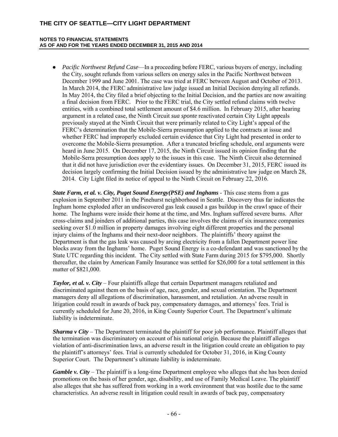#### **NOTES TO FINANCIAL STATEMENTS AS OF AND FOR THE YEARS ENDED DECEMBER 31, 2015 AND 2014**

• *Pacific Northwest Refund Case*—In a proceeding before FERC, various buyers of energy, including the City, sought refunds from various sellers on energy sales in the Pacific Northwest between December 1999 and June 2001. The case was tried at FERC between August and October of 2013. In March 2014, the FERC administrative law judge issued an Initial Decision denying all refunds. In May 2014, the City filed a brief objecting to the Initial Decision, and the parties are now awaiting a final decision from FERC. Prior to the FERC trial, the City settled refund claims with twelve entities, with a combined total settlement amount of \$4.6 million. In February 2015, after hearing argument in a related case, the Ninth Circuit *sua sponte* reactivated certain City Light appeals previously stayed at the Ninth Circuit that were primarily related to City Light's appeal of the FERC's determination that the Mobile-Sierra presumption applied to the contracts at issue and whether FERC had improperly excluded certain evidence that City Light had presented in order to overcome the Mobile-Sierra presumption. After a truncated briefing schedule, oral arguments were heard in June 2015. On December 17, 2015, the Ninth Circuit issued its opinion finding that the Mobile-Serra presumption does apply to the issues in this case. The Ninth Circuit also determined that it did not have jurisdiction over the evidentiary issues. On December 31, 2015, FERC issued its decision largely confirming the Initial Decision issued by the administrative law judge on March 28, 2014. City Light filed its notice of appeal to the Ninth Circuit on February 22, 2016.

*State Farm, et al. v. City, Puget Sound Energy(PSE) and Inghams* - This case stems from a gas explosion in September 2011 in the Pinehurst neighborhood in Seattle. Discovery thus far indicates the Ingham home exploded after an undiscovered gas leak caused a gas buildup in the crawl space of their home. The Inghams were inside their home at the time, and Mrs. Ingham suffered severe burns. After cross-claims and joinders of additional parties, this case involves the claims of six insurance companies seeking over \$1.0 million in property damages involving eight different properties and the personal injury claims of the Inghams and their next-door neighbors. The plaintiffs' theory against the Department is that the gas leak was caused by arcing electricity from a fallen Department power line blocks away from the Inghams' home. Puget Sound Energy is a co-defendant and was sanctioned by the State UTC regarding this incident. The City settled with State Farm during 2015 for \$795,000. Shortly thereafter, the claim by American Family Insurance was settled for \$26,000 for a total settlement in this matter of \$821,000.

*Taylor, et al. v. City* – Four plaintiffs allege that certain Department managers retaliated and discriminated against them on the basis of age, race, gender, and sexual orientation. The Department managers deny all allegations of discrimination, harassment, and retaliation. An adverse result in litigation could result in awards of back pay, compensatory damages, and attorneys' fees. Trial is currently scheduled for June 20, 2016, in King County Superior Court. The Department's ultimate liability is indeterminate.

*Sharma v City* – The Department terminated the plaintiff for poor job performance. Plaintiff alleges that the termination was discriminatory on account of his national origin. Because the plaintiff alleges violation of anti-discrimination laws, an adverse result in the litigation could create an obligation to pay the plaintiff's attorneys' fees. Trial is currently scheduled for October 31, 2016, in King County Superior Court. The Department's ultimate liability is indeterminate.

*Gamble v. City* – The plaintiff is a long-time Department employee who alleges that she has been denied promotions on the basis of her gender, age, disability, and use of Family Medical Leave. The plaintiff also alleges that she has suffered from working in a work environment that was hostile due to the same characteristics. An adverse result in litigation could result in awards of back pay, compensatory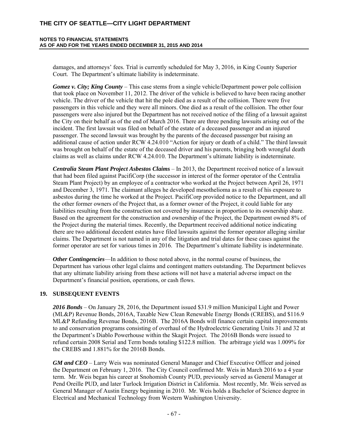#### **NOTES TO FINANCIAL STATEMENTS AS OF AND FOR THE YEARS ENDED DECEMBER 31, 2015 AND 2014**

damages, and attorneys' fees. Trial is currently scheduled for May 3, 2016, in King County Superior Court. The Department's ultimate liability is indeterminate.

*Gomez v. City; King County* – This case stems from a single vehicle/Department power pole collision that took place on November 11, 2012. The driver of the vehicle is believed to have been racing another vehicle. The driver of the vehicle that hit the pole died as a result of the collision. There were five passengers in this vehicle and they were all minors. One died as a result of the collision. The other four passengers were also injured but the Department has not received notice of the filing of a lawsuit against the City on their behalf as of the end of March 2016. There are three pending lawsuits arising out of the incident. The first lawsuit was filed on behalf of the estate of a deceased passenger and an injured passenger. The second lawsuit was brought by the parents of the deceased passenger but raising an additional cause of action under RCW 4.24.010 "Action for injury or death of a child." The third lawsuit was brought on behalf of the estate of the deceased driver and his parents, bringing both wrongful death claims as well as claims under RCW 4.24.010. The Department's ultimate liability is indeterminate.

*Centralia Steam Plant Project Asbestos Claims* – In 2013, the Department received notice of a lawsuit that had been filed against PacifiCorp (the successor in interest of the former operator of the Centralia Steam Plant Project) by an employee of a contractor who worked at the Project between April 26, 1971 and December 3, 1971. The claimant alleges he developed mesothelioma as a result of his exposure to asbestos during the time he worked at the Project. PacifiCorp provided notice to the Department, and all the other former owners of the Project that, as a former owner of the Project, it could liable for any liabilities resulting from the construction not covered by insurance in proportion to its ownership share. Based on the agreement for the construction and ownership of the Project, the Department owned 8% of the Project during the material times. Recently, the Department received additional notice indicating there are two additional decedent estates have filed lawsuits against the former operator alleging similar claims. The Department is not named in any of the litigation and trial dates for these cases against the former operator are set for various times in 2016. The Department's ultimate liability is indeterminate.

*Other Contingencies*—In addition to those noted above, in the normal course of business, the Department has various other legal claims and contingent matters outstanding. The Department believes that any ultimate liability arising from these actions will not have a material adverse impact on the Department's financial position, operations, or cash flows.

### **19. SUBSEQUENT EVENTS**

*2016 Bonds* – On January 28, 2016, the Department issued \$31.9 million Municipal Light and Power (ML&P) Revenue Bonds, 2016A, Taxable New Clean Renewable Energy Bonds (CREBS), and \$116.9 ML&P Refunding Revenue Bonds, 2016B. The 2016A Bonds will finance certain capital improvements to and conservation programs consisting of overhaul of the Hydroelectric Generating Units 31 and 32 at the Department's Diablo Powerhouse within the Skagit Project. The 2016B Bonds were issued to refund certain 2008 Serial and Term bonds totaling \$122.8 million. The arbitrage yield was 1.009% for the CREBS and 1.881% for the 2016B Bonds.

*GM and CEO* – Larry Weis was nominated General Manager and Chief Executive Officer and joined the Department on February 1, 2016. The City Council confirmed Mr. Weis in March 2016 to a 4 year term. Mr. Weis began his career at Snohomish County PUD, previously served as General Manager at Pend Oreille PUD, and later Turlock Irrigation District in California. Most recently, Mr. Weis served as General Manager of Austin Energy beginning in 2010. Mr. Weis holds a Bachelor of Science degree in Electrical and Mechanical Technology from Western Washington University.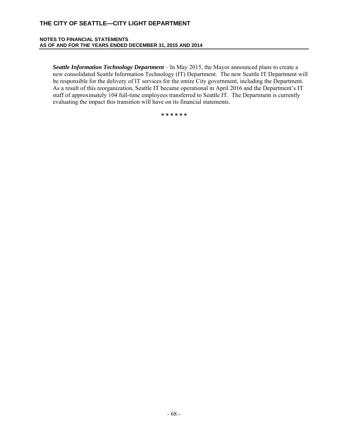#### **NOTES TO FINANCIAL STATEMENTS AS OF AND FOR THE YEARS ENDED DECEMBER 31, 2015 AND 2014**

*Seattle Information Technology Department* – In May 2015, the Mayor announced plans to create a new consolidated Seattle Information Technology (IT) Department. The new Seattle IT Department will be responsible for the delivery of IT services for the entire City government, including the Department. As a result of this reorganization, Seattle IT became operational in April 2016 and the Department's IT staff of approximately 104 full-time employees transferred to Seattle IT. The Department is currently evaluating the impact this transition will have on its financial statements.

*\* \* \* \* \* \**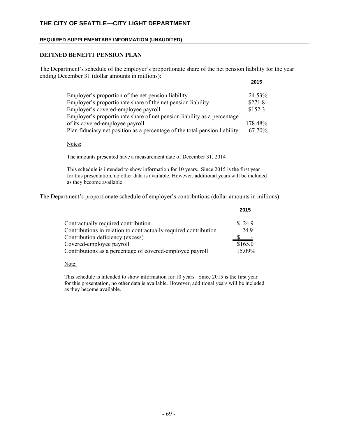### **REQUIRED SUPPLEMENTARY INFORMATION (UNAUDITED)**

# **DEFINED BENEFIT PENSION PLAN**

The Department's schedule of the employer's proportionate share of the net pension liability for the year ending December 31 (dollar amounts in millions): **2015** 

| Employer's proportion of the net pension liability                         | 24.53%  |
|----------------------------------------------------------------------------|---------|
| Employer's proportionate share of the net pension liability                | \$271.8 |
| Employer's covered-employee payroll                                        | \$152.3 |
| Employer's proportionate share of net pension liability as a percentage    |         |
| of its covered-employee payroll                                            | 178.48% |
| Plan fiduciary net position as a percentage of the total pension liability | 67.70%  |

Notes:

The amounts presented have a measurement date of December 31, 2014

This schedule is intended to show information for 10 years. Since 2015 is the first year for this presentation, no other data is available. However, additional years will be included as they become available.

The Department's proportionate schedule of employer's contributions (dollar amounts in millions):

|                                                                  | 2015    |
|------------------------------------------------------------------|---------|
| Contractually required contribution                              | \$24.9  |
| Contributions in relation to contractually required contribution | 24.9    |
| Contribution deficiency (excess)                                 |         |
| Covered-employee payroll                                         | \$165.0 |
| Contributions as a percentage of covered-employee payroll        | 15.09%  |

### Note:

This schedule is intended to show information for 10 years. Since 2015 is the first year for this presentation, no other data is available. However, additional years will be included as they become available.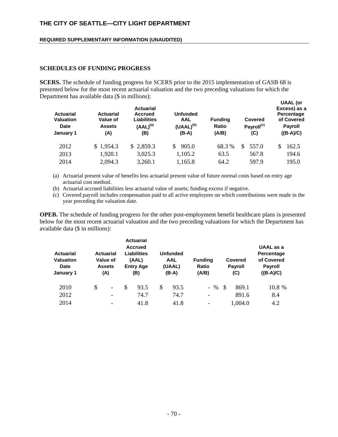#### **REQUIRED SUPPLEMENTARY INFORMATION (UNAUDITED)**

### **SCHEDULES OF FUNDING PROGRESS**

**SCERS.** The schedule of funding progress for SCERS prior to the 2015 implementation of GASB 68 is presented below for the most recent actuarial valuation and the two preceding valuations for which the Department has available data (\$ in millions):

| <b>Actuarial</b><br><b>Valuation</b><br><b>Date</b><br>January 1 | <b>Actuarial</b><br>Value of<br><b>Assets</b><br>(A) | <b>Actuarial</b><br><b>Accrued</b><br><b>Liabilities</b><br>$(AAL)^{(a)}$<br>(B) | <b>Unfunded</b><br>AAL<br>$(UAAL)^{(b)}$<br>(B-A) | <b>Fundina</b><br>Ratio<br>(A/B) | Covered<br>Payroll <sup>(c)</sup><br>(C) | <b>UAAL</b> (or<br>Excess) as a<br>Percentage<br>of Covered<br><b>Payroll</b><br>$((B-A)/C)$ |
|------------------------------------------------------------------|------------------------------------------------------|----------------------------------------------------------------------------------|---------------------------------------------------|----------------------------------|------------------------------------------|----------------------------------------------------------------------------------------------|
| 2012                                                             | \$1,954.3                                            | \$2,859.3                                                                        | 905.0                                             | 68.3 %                           | 557.0<br>S.                              | 162.5                                                                                        |
| 2013                                                             | 1,920.1                                              | 3,025.3                                                                          | 1,105.2                                           | 63.5                             | 567.8                                    | 194.6                                                                                        |
| 2014                                                             | 2,094.3                                              | 3,260.1                                                                          | 1,165.8                                           | 64.2                             | 597.9                                    | 195.0                                                                                        |
|                                                                  |                                                      |                                                                                  |                                                   |                                  |                                          |                                                                                              |

- (a) Actuarial present value of benefits less actuarial present value of future normal costs based on entry age actuarial cost method.
- (b) Actuarial accrued liabilities less actuarial value of assets; funding excess if negative.
- (c) Covered payroll includes compensation paid to all active employees on which contributions were made in the year preceding the valuation date.

**OPEB.** The schedule of funding progress for the other post-employment benefit healthcare plans is presented below for the most recent actuarial valuation and the two preceding valuations for which the Department has available data (\$ in millions):

| <b>Actuarial</b><br><b>Valuation</b><br><b>Date</b><br>January 1 | <b>Actuarial</b><br>Value of<br><b>Assets</b><br>(A) | <b>Actuarial</b><br><b>Accrued</b><br>Liabilities<br>(AAL)<br><b>Entry Age</b><br>(B) |      | <b>Unfunded</b><br>AAL<br>(UAAL)<br>(B-A) |      | <b>Funding</b><br>Ratio<br>(A/B) |                        | <b>Covered</b><br><b>Payroll</b><br>(C) | UAAL as a<br>Percentage<br>of Covered<br><b>Payroll</b><br>$((B-A)/C)$ |
|------------------------------------------------------------------|------------------------------------------------------|---------------------------------------------------------------------------------------|------|-------------------------------------------|------|----------------------------------|------------------------|-----------------------------------------|------------------------------------------------------------------------|
| 2010                                                             | \$<br>-                                              | \$                                                                                    | 93.5 | \$                                        | 93.5 |                                  | <sup>\$</sup><br>$-$ % | 869.1                                   | 10.8 %                                                                 |
| 2012                                                             | -                                                    |                                                                                       | 74.7 |                                           | 74.7 |                                  |                        | 891.6                                   | 8.4                                                                    |
| 2014                                                             |                                                      |                                                                                       | 41.8 |                                           | 41.8 |                                  |                        | 1,004.0                                 | 4.2                                                                    |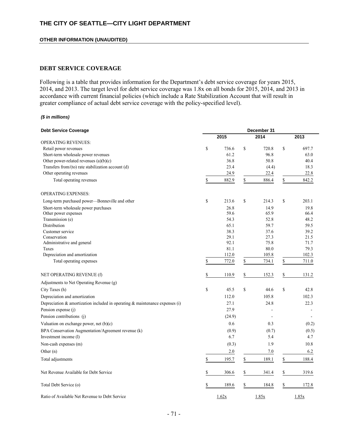### **DEBT SERVICE COVERAGE**

Following is a table that provides information for the Department's debt service coverage for years 2015, 2014, and 2013. The target level for debt service coverage was 1.8x on all bonds for 2015, 2014, and 2013 in accordance with current financial policies (which include a Rate Stabilization Account that will result in greater compliance of actual debt service coverage with the policy-specified level).

#### *(\$ in millions)*

| <b>Debt Service Coverage</b>                                                       | December 31 |               |    |               |    |               |  |  |  |  |
|------------------------------------------------------------------------------------|-------------|---------------|----|---------------|----|---------------|--|--|--|--|
|                                                                                    |             | 2015          |    | 2014          |    | 2013          |  |  |  |  |
| <b>OPERATING REVENUES:</b>                                                         |             |               |    |               |    |               |  |  |  |  |
| Retail power revenues                                                              | \$          | 736.6         | S  | 720.8         | S  | 697.7         |  |  |  |  |
| Short-term wholesale power revenues                                                |             | 61.2          |    | 96.8          |    | 63.0          |  |  |  |  |
| Other power-related revenues $(a)(b)(c)$                                           |             | 36.8          |    | 50.8          |    | 40.4          |  |  |  |  |
| Transfers from/(to) rate stabilization account (d)                                 |             | 23.4          |    | (4.4)         |    | 18.3          |  |  |  |  |
| Other operating revenues                                                           |             | 24.9          |    | 22.4          |    | 22.8          |  |  |  |  |
| Total operating revenues                                                           | \$          | 882.9         | \$ | 886.4         | \$ | 842.2         |  |  |  |  |
| <b>OPERATING EXPENSES:</b>                                                         |             |               |    |               |    |               |  |  |  |  |
| Long-term purchased power-Bonneville and other                                     | \$          | 213.6         | \$ | 214.3         | \$ | 203.1         |  |  |  |  |
| Short-term wholesale power purchases                                               |             | 26.8          |    | 14.9          |    | 19.8          |  |  |  |  |
| Other power expenses                                                               |             | 59.6          |    | 65.9          |    | 66.4          |  |  |  |  |
| Transmission (e)                                                                   |             | 54.3          |    | 52.8          |    | 48.2          |  |  |  |  |
| Distribution                                                                       |             | 65.1          |    | 59.7          |    | 59.5          |  |  |  |  |
| Customer service                                                                   |             | 38.3          |    | 37.6          |    | 39.2          |  |  |  |  |
| Conservation                                                                       |             | 29.1          |    | 27.3          |    | 21.5          |  |  |  |  |
| Administrative and general                                                         |             | 92.1          |    | 75.8          |    | 71.7          |  |  |  |  |
| Taxes<br>Depreciation and amortization                                             |             | 81.1<br>112.0 |    | 80.0<br>105.8 |    | 79.3<br>102.3 |  |  |  |  |
|                                                                                    | $\mathbf S$ | 772.0         |    | 734.1         | \$ | 711.0         |  |  |  |  |
| Total operating expenses                                                           |             |               | \$ |               |    |               |  |  |  |  |
| NET OPERATING REVENUE (f)                                                          | S           | 110.9         | \$ | 152.3         | \$ | 131.2         |  |  |  |  |
| Adjustments to Net Operating Revenue (g)                                           |             |               |    |               |    |               |  |  |  |  |
| City Taxes (h)                                                                     | \$          | 45.5          | \$ | 44.6          | \$ | 42.8          |  |  |  |  |
| Depreciation and amortization                                                      |             | 112.0         |    | 105.8         |    | 102.3         |  |  |  |  |
| Depreciation $\&$ amortization included in operating $\&$ maintenance expenses (i) |             | 27.1          |    | 24.8          |    | 22.3          |  |  |  |  |
| Pension expense (j)                                                                |             | 27.9          |    |               |    |               |  |  |  |  |
| Pension contributions (j)                                                          |             | (24.9)        |    | ÷,            |    |               |  |  |  |  |
| Valuation on exchange power, net $(b)(c)$                                          |             | 0.6           |    | 0.3           |    | (0.2)         |  |  |  |  |
| BPA Conservation Augmentation/Agreement revenue (k)                                |             | (0.9)         |    | (0.7)         |    | (0.5)         |  |  |  |  |
| Investment income (1)                                                              |             | 6.7           |    | 5.4           |    | 4.7           |  |  |  |  |
| Non-cash expenses (m)                                                              |             | (0.3)         |    | 1.9           |    | 10.8          |  |  |  |  |
| Other $(n)$                                                                        |             | $2.0\,$       |    | $7.0\,$       |    | 6.2           |  |  |  |  |
| Total adjustments                                                                  | \$          | 195.7         | \$ | 189.1         | \$ | 188.4         |  |  |  |  |
| Net Revenue Available for Debt Service                                             | S           | 306.6         |    | 341.4         | \$ | 319.6         |  |  |  |  |
| Total Debt Service (o)                                                             | S           | 189.6         | S  | 184.8         | \$ | 172.8         |  |  |  |  |
| Ratio of Available Net Revenue to Debt Service                                     |             | 1.62x         |    | 1.85x         |    | 1.85x         |  |  |  |  |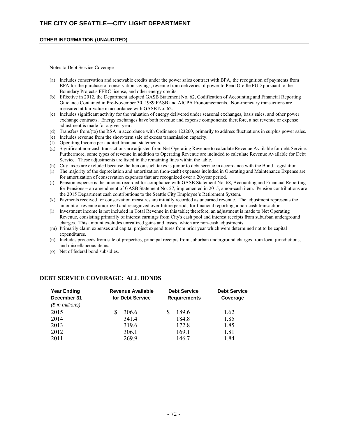Notes to Debt Service Coverage

- (a) Includes conservation and renewable credits under the power sales contract with BPA, the recognition of payments from BPA for the purchase of conservation savings, revenue from deliveries of power to Pend Oreille PUD pursuant to the Boundary Project's FERC license, and other energy credits.
- (b) Effective in 2012, the Department adopted GASB Statement No. 62, Codification of Accounting and Financial Reporting Guidance Contained in Pre-November 30, 1989 FASB and AICPA Pronouncements. Non-monetary transactions are measured at fair value in accordance with GASB No. 62.
- (c) Includes significant activity for the valuation of energy delivered under seasonal exchanges, basis sales, and other power exchange contracts. Energy exchanges have both revenue and expense components; therefore, a net revenue or expense adjustment is made for a given year.
- (d) Transfers from/(to) the RSA in accordance with Ordinance 123260, primarily to address fluctuations in surplus power sales.
- (e) Includes revenue from the short-term sale of excess transmission capacity.
- (f) Operating Income per audited financial statements.
- (g) Significant non-cash transactions are adjusted from Net Operating Revenue to calculate Revenue Available for debt Service. Furthermore, some types of revenue in addition to Operating Revenue are included to calculate Revenue Available for Debt Service. These adjustments are listed in the remaining lines within the table.
- (h) City taxes are excluded because the lien on such taxes is junior to debt service in accordance with the Bond Legislation.
- (i) The majority of the depreciation and amortization (non-cash) expenses included in Operating and Maintenance Expense are for amortization of conservation expenses that are recognized over a 20-year period.
- (j) Pension expense is the amount recorded for compliance with GASB Statement No. 68, Accounting and Financial Reporting for Pensions – an amendment of GASB Statement No. 27, implemented in 2015, a non-cash item. Pension contributions are the 2015 Department cash contributions to the Seattle City Employee's Retirement System.
- (k) Payments received for conservation measures are initially recorded as unearned revenue. The adjustment represents the amount of revenue amortized and recognized over future periods for financial reporting, a non-cash transaction.
- (l) Investment income is not included in Total Revenue in this table; therefore, an adjustment is made to Net Operating Revenue, consisting primarily of interest earnings from City's cash pool and interest receipts from suburban underground charges. This amount excludes unrealized gains and losses, which are non-cash adjustments.
- (m) Primarily claim expenses and capital project expenditures from prior year which were determined not to be capital expenditures.
- (n) Includes proceeds from sale of properties, principal receipts from suburban underground charges from local jurisdictions, and miscellaneous items.
- (o) Net of federal bond subsidies.

| Year Ending<br>December 31<br>$$$ in millions) | <b>Revenue Available</b><br>for Debt Service | <b>Debt Service</b><br><b>Requirements</b> | <b>Debt Service</b><br>Coverage |
|------------------------------------------------|----------------------------------------------|--------------------------------------------|---------------------------------|
| 2015                                           | \$<br>306.6                                  | 189.6<br>S                                 | 1.62                            |
| 2014                                           | 341.4                                        | 184.8                                      | 1.85                            |
| 2013                                           | 319.6                                        | 172.8                                      | 1.85                            |
| 2012                                           | 306.1                                        | 169.1                                      | 1.81                            |
| 2011                                           | 269.9                                        | 146.7                                      | 1.84                            |

### **DEBT SERVICE COVERAGE: ALL BONDS**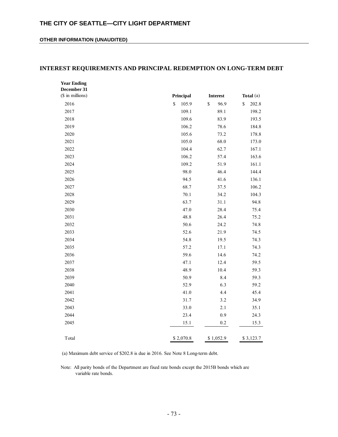### **OTHER INFORMATION (UNAUDITED)**

# **INTEREST REQUIREMENTS AND PRINCIPAL REDEMPTION ON LONG-TERM DEBT**

| <b>Year Ending</b><br>December 31 |             |            |             |  |  |  |
|-----------------------------------|-------------|------------|-------------|--|--|--|
| (\$ in millions)                  | Principal   | Interest   | Total (a)   |  |  |  |
| 2016                              | \$<br>105.9 | \$<br>96.9 | \$<br>202.8 |  |  |  |
| 2017                              | 109.1       | 89.1       | 198.2       |  |  |  |
| 2018                              | 109.6       | 83.9       | 193.5       |  |  |  |
| 2019                              | 106.2       | 78.6       | 184.8       |  |  |  |
| 2020                              | 105.6       | 73.2       | 178.8       |  |  |  |
| 2021                              | 105.0       | 68.0       | 173.0       |  |  |  |
| 2022                              | 104.4       | 62.7       | 167.1       |  |  |  |
| 2023                              | 106.2       | 57.4       | 163.6       |  |  |  |
| 2024                              | 109.2       | 51.9       | 161.1       |  |  |  |
| 2025                              | 98.0        | 46.4       | 144.4       |  |  |  |
| 2026                              | 94.5        | 41.6       | 136.1       |  |  |  |
| 2027                              | 68.7        | 37.5       | 106.2       |  |  |  |
| 2028                              | 70.1        | 34.2       | 104.3       |  |  |  |
| 2029                              | 63.7        | 31.1       | 94.8        |  |  |  |
| 2030                              | 47.0        | 28.4       | 75.4        |  |  |  |
| 2031                              | 48.8        | 26.4       | 75.2        |  |  |  |
| 2032                              | 50.6        | 24.2       | 74.8        |  |  |  |
| 2033                              | 52.6        | 21.9       | 74.5        |  |  |  |
| 2034                              | 54.8        | 19.5       | 74.3        |  |  |  |
| 2035                              | 57.2        | 17.1       | 74.3        |  |  |  |
| 2036                              | 59.6        | 14.6       | 74.2        |  |  |  |
| 2037                              | 47.1        | 12.4       | 59.5        |  |  |  |
| 2038                              | 48.9        | 10.4       | 59.3        |  |  |  |
| 2039                              | 50.9        | 8.4        | 59.3        |  |  |  |
| 2040                              | 52.9        | 6.3        | 59.2        |  |  |  |
| 2041                              | 41.0        | 4.4        | 45.4        |  |  |  |
| 2042                              | 31.7        | 3.2        | 34.9        |  |  |  |
| 2043                              | 33.0        | 2.1        | 35.1        |  |  |  |
| 2044                              | 23.4        | 0.9        | 24.3        |  |  |  |
| 2045                              | 15.1        | $0.2\,$    | 15.3        |  |  |  |
| Total                             | \$2,070.8   | \$1,052.9  | \$3,123.7   |  |  |  |

(a) Maximum debt service of \$202.8 is due in 2016. See Note 8 Long-term debt.

Note: All parity bonds of the Department are fixed rate bonds except the 2015B bonds which are variable rate bonds.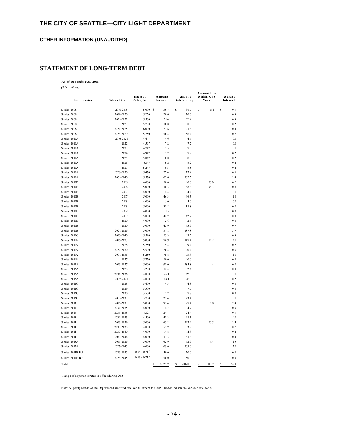## **STATEMENT OF LONG-TERM DEBT**

As of December 31, 2015

*(\$ in millions)*

| <b>Bond Series</b> | When Due  | Interest<br>Rate (%)     | Amount<br>Issued | Amount<br><b>Outstanding</b> | <b>Amount Due</b><br>Within One<br>Year | Accrued<br>Interest |
|--------------------|-----------|--------------------------|------------------|------------------------------|-----------------------------------------|---------------------|
| Series 2008        | 2016-2018 | 5.000 \$                 | 36.7             | s<br>36.7                    | \$<br>15.1                              | \$<br>0.5           |
| Series 2008        | 2019-2020 | 5.250                    | 20.6             | 20.6                         |                                         | 0.3                 |
| Series 2008        | 2021-2022 | 5.500                    | 21.4             | 21.4                         |                                         | 0.3                 |
| Series 2008        | 2023      | 5.750                    | 10.8             | 10.8                         |                                         | 0.2                 |
| Series 2008        | 2024-2025 | 6.000                    | 23.6             | 23.6                         |                                         | 0.4                 |
| Series 2008        | 2026-2029 | 5.750                    | 56.4             | 56.4                         |                                         | 0.7                 |
| Series 2010A       | 2016-2021 | 4.447                    | 4.6              | 4.6                          |                                         | 0.1                 |
| Series 2010A       | 2022      | 4.597                    | 7.2              | 7.2                          |                                         | 0.1                 |
| Series 2010A       | 2023      | 4.747                    | 7.5              | 7.5                          |                                         | 0.1                 |
| Series 2010A       | 2024      | 4.947                    | 7.7              | 7.7                          |                                         | 0.2                 |
| Series 2010A       | 2025      | 5.047                    | 8.0              | 8.0                          |                                         | 0.2                 |
| Series 2010A       | 2026      | 5.147                    | 8.2              | 8.2                          |                                         | 0.2                 |
| Series 2010A       | 2027      | 5.247                    | 8.5              | 8.5                          |                                         | 0.2                 |
| Series 2010A       | 2028-2030 | 5.470                    | 27.4             | 27.4                         |                                         | 0.6                 |
| Series 2010A       | 2031-2040 | 5.570                    | 102.6            | 102.5                        |                                         | 2.4                 |
| Series 2010B       | 2016      | 4.000                    | 10.0             | 10.0                         | 10.0                                    | 0.2                 |
| Series 2010B       | 2016      | 5.000                    | 38.3             | 38.3                         | 38.3                                    | 0.8                 |
| Series 2010B       | 2017      | 4.000                    | 4.4              | 4.4                          |                                         | 0.1                 |
| Series 2010B       | 2017      | 5.000                    | 46.3             | 46.3                         |                                         | $1.0\,$             |
| Series 2010B       | 2018      | 4.000                    | 5.0              | 5.0                          |                                         | 0.1                 |
| Series 2010B       | 2018      | 5.000                    | 38.8             | 38.8                         |                                         | 0.8                 |
| Series 2010B       | 2019      | 4.000                    | 1.5              | 1.5                          |                                         | 0.0                 |
| Series 2010B       | 2019      | 5.000                    | 42.7             | 42.7                         |                                         | 0.9                 |
| Series 2010B       | 2020      | 4.000                    | 2.6              | 2.6                          |                                         | 0.0                 |
| Series 2010B       | 2020      | 5.000                    | 43.9             | 43.9                         |                                         | 0.9                 |
| Series 2010B       | 2021-2026 | 5.000                    | 187.8            | 187.8                        |                                         | 3.9                 |
| Series 2010C       | 2016-2040 | 5.590                    | 13.3             | 13.3                         |                                         | 0.3                 |
| Series 2011A       | 2016-2027 | 5.000                    | 176.9            | 147.4                        | 13.2                                    | 3.1                 |
| Series 2011A       | 2028      | 5.250                    | 9.4              | 9.4                          |                                         | 0.2                 |
| Series 2011A       | 2029-2030 | 5.500                    | 20.4             | 20.4                         |                                         | 0.5                 |
| Series 2011A       | 2031-2036 | 5.250                    | 75.8             | 75.8                         |                                         | 1.6                 |
| Series 2011B       | 2027      | 5.750                    | 10.0             | 10.0                         |                                         | 0.2                 |
| Series 2012A       | 2016-2027 | 5.000                    | 198.0            | 185.8                        | 11.4                                    | 0.8                 |
| Series 2012A       | 2028      | 3.250                    | 12.4             | 12.4                         |                                         | 0.0                 |
| Series 2012A       | 2034-2036 | 4.000                    | 25.1             | 25.1                         |                                         | 0.1                 |
| Series 2012A       | 2037-2041 | 4.000                    | 49.1             | 49.1                         |                                         | 0.2                 |
| Series 2012C       | 2028      | 3.400                    | 4.3              | 4.3                          |                                         | 0.0                 |
| Series 2012C       | 2029      | 3.500                    | 7.7              | 7.7                          |                                         | 0.0                 |
| Series 2012C       | 2030      | 3.500                    | 7.7              | 7.7                          |                                         | 0.0                 |
| Series 2012C       | 2031-2033 | 3.750                    | 23.4             | 23.4                         |                                         | 0.1                 |
| Series 2013        | 2016-2033 | 5.000                    | 97.4             | 97.4                         | 3.0                                     | 2.4                 |
| Series 2013        | 2034-2035 | 4.000                    | 14.7             | 14.7                         |                                         | 0.3                 |
| Series 2013        | 2036-2038 | 4.125                    | 24.4             | 24.4                         |                                         | 0.5                 |
| Series 2013        | 2039-2043 | 4.500                    | 48.3             | 48.3                         |                                         | 1.1                 |
| Series 2014        | 2016-2029 | 5.000                    | 163.2            | 147.9                        | 10.5                                    | 2.5                 |
| Series 2014        | 2030-2038 | 4.000                    | 53.9             | 53.9                         |                                         | 0.7                 |
| Series 2014        | 2039-2040 | 4.000                    | 14.8             | 14.8                         |                                         | 0.2                 |
| Series 2014        | 2041-2044 | 4.000                    | 33.3             | 33.3                         |                                         | 0.4                 |
| Series 2015A       | 2016-2026 | 5.000                    | 62.9             | 62.9                         | 4.4                                     | 1.5                 |
| Series 2015A       | 2027-2045 | 4.000                    | 109.0            | 109.0                        |                                         | 2.1                 |
| Series 2015B B.1   | 2026-2045 | $0.69 - 0.71^{\circ}$    | 50.0             | 50.0                         |                                         | 0.0                 |
| Series 2015B B.2   | 2026-2045 | $0.69 - 0.71^{\text{A}}$ | 50.0             | 50.0                         |                                         | 0.0                 |
| Total              |           |                          | 2,127.9<br>\$    | 2,070.8<br>\$                | 105.9<br>\$                             | \$<br>34.0          |

A Range of adjustable rates in effect during 2015.

Note: All parity bonds of the Department are fixed rate bonds except the 2015B bonds, which are variable rate bonds.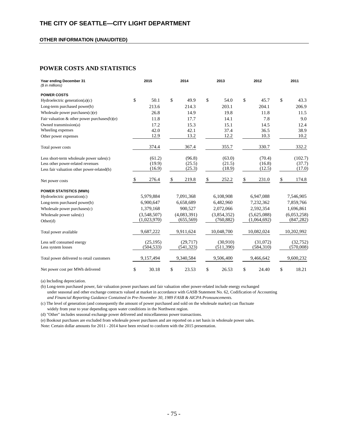## **POWER COSTS AND STATISTICS**

| Year ending December 31<br>(\$ in millions)       | 2015        |    | 2014        |    | 2013        |    | 2012        | 2011 |             |
|---------------------------------------------------|-------------|----|-------------|----|-------------|----|-------------|------|-------------|
| <b>POWER COSTS</b>                                |             |    |             |    |             |    |             |      |             |
| Hydroelectric generation(a) $(c)$                 | \$<br>50.1  | \$ | 49.9        | \$ | 54.0        | \$ | 45.7        | \$   | 43.3        |
| Long-term purchased power(b)                      | 213.6       |    | 214.3       |    | 203.1       |    | 204.1       |      | 206.9       |
| Wholesale power purchases $(c)(e)$                | 26.8        |    | 14.9        |    | 19.8        |    | 11.8        |      | 11.5        |
| Fair valuation $&$ other power purchases $(b)(e)$ | 11.8        |    | 17.7        |    | 14.1        |    | 7.8         |      | 9.0         |
| Owned transmission(a)                             | 17.2        |    | 15.3        |    | 15.1        |    | 14.5        |      | 12.4        |
| Wheeling expenses                                 | 42.0        |    | 42.1        |    | 37.4        |    | 36.5        |      | 38.9        |
| Other power expenses                              | 12.9        |    | 13.2        |    | 12.2        |    | 10.3        |      | 10.2        |
| Total power costs                                 | 374.4       |    | 367.4       |    | 355.7       |    | 330.7       |      | 332.2       |
| Less short-term wholesale power sales(c)          | (61.2)      |    | (96.8)      |    | (63.0)      |    | (70.4)      |      | (102.7)     |
| Less other power-related revenues                 | (19.9)      |    | (25.5)      |    | (21.5)      |    | (16.8)      |      | (37.7)      |
| Less fair valuation other power-related(b)        | (16.9)      |    | (25.3)      |    | (18.9)      |    | (12.5)      |      | (17.0)      |
| Net power costs                                   | \$<br>276.4 | \$ | 219.8       | \$ | 252.2       | \$ | 231.0       | \$   | 174.8       |
| <b>POWER STATISTICS (MWh)</b>                     |             |    |             |    |             |    |             |      |             |
| Hydroelectric generation(c)                       | 5,979,884   |    | 7,091,368   |    | 6,108,908   |    | 6,947,088   |      | 7,546,905   |
| Long-term purchased power(b)                      | 6,900,647   |    | 6,658,689   |    | 6,482,960   |    | 7,232,362   |      | 7,859,766   |
| Wholesale power purchases(c)                      | 1,379,168   |    | 900,527     |    | 2,072,066   |    | 2,592,354   |      | 1,696,861   |
| Wholesale power sales(c)                          | (3,548,507) |    | (4,083,391) |    | (3,854,352) |    | (5,625,088) |      | (6,053,258) |
| Other(d)                                          | (1,023,970) |    | (655, 569)  |    | (760, 882)  |    | (1,064,692) |      | (847, 282)  |
| Total power available                             | 9,687,222   |    | 9,911,624   |    | 10,048,700  |    | 10,082,024  |      | 10,202,992  |
| Less self consumed energy                         | (25, 195)   |    | (29,717)    |    | (30,910)    |    | (31,072)    |      | (32, 752)   |
| Less system losses                                | (504, 533)  |    | (541, 323)  |    | (511,390)   |    | (584,310)   |      | (570,008)   |
| Total power delivered to retail customers         | 9,157,494   |    | 9,340,584   |    | 9,506,400   |    | 9,466,642   |      | 9,600,232   |
| Net power cost per MWh delivered                  | \$<br>30.18 | \$ | 23.53       | \$ | 26.53       | \$ | 24.40       | \$   | 18.21       |

(a) Including depreciation.

(b) Long-term purchased power, fair valuation power purchases and fair valuation other power-related include energy exchanged

 under seasonal and other exchange contracts valued at market in accordance with GASB Statement No. 62, Codification of Accounting  *and Financial Reporting Guidance Contained in Pre-November 30, 1989 FASB & AICPA Pronouncements.*

(c) The level of generation (and consequently the amount of power purchased and sold on the wholesale market) can fluctuate widely from year to year depending upon water conditions in the Northwest region.

(d) "Other" includes seasonal exchange power delivered and miscellaneous power transactions.

(e) Bookout purchases are excluded from wholesale power purchases and are reported on a net basis in wholesale power sales.

Note: Certain dollar amounts for 2011 - 2014 have been revised to conform with the 2015 presentation.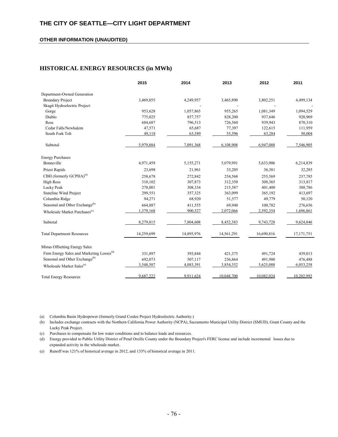### **OTHER INFORMATION (UNAUDITED)**

## **HISTORICAL ENERGY RESOURCES (in MWh)**

|                                                       | 2015       | 2014       | 2013       | 2012       | 2011         |
|-------------------------------------------------------|------------|------------|------------|------------|--------------|
| Department-Owned Generation                           |            |            |            |            |              |
| <b>Boundary Project</b>                               | 3,469,855  | 4,249,957  | 3,465,890  | 3,802,251  | 4,499,134    |
| Skagit Hydroelectric Project:                         |            |            |            |            |              |
| Gorge                                                 | 953,628    | 1,057,865  | 955,265    | 1,081,349  | 1,094,529    |
| Diablo                                                | 775,025    | 857,757    | 828,200    | 937,646    | 920,969      |
| Ross                                                  | 684,687    | 796,513    | 726,560    | 939,943    | 870,310      |
| Cedar Falls/Newhalem                                  | 47,571     | 65,687     | 77,397     | 122,615    | 111,959      |
| South Fork Tolt                                       | 49,118     | 63,589     | 55,596     | 63,284     | 50,004       |
| Subtotal                                              | 5,979,884  | 7,091,368  | 6,108,908  | 6,947,088  | 7,546,905    |
| <b>Energy Purchases</b>                               |            |            |            |            |              |
| Bonneville                                            | 4,971,459  | 5,155,271  | 5,079,991  | 5,633,906  | 6,214,839    |
| Priest Rapids                                         | 23,698     | 21,961     | 33,205     | 36,381     | 32,285       |
| CBH (formerly GCPHA) <sup>(a)</sup>                   | 258,678    | 272,842    | 254,568    | 255,569    | 237,785      |
| <b>High Ross</b>                                      | 310,102    | 307,873    | 312,350    | 308,365    | 313,817      |
| Lucky Peak                                            | 278,001    | 308,334    | 215,587    | 401,400    | 388,786      |
| Stateline Wind Project                                | 299,551    | 357,325    | 363,099    | 365,192    | 413,697      |
| Columbia Ridge                                        | 94,271     | 68,920     | 51,577     | 49,779     | 50,120       |
| Seasonal and Other Exchange <sup>(b)</sup>            | 664,887    | 411,555    | 69,940     | 100,782    | 276,656      |
| Wholesale Market Purchases <sup>(c)</sup>             | 1,379,168  | 900,527    | 2,072,066  | 2,592,354  | 1,696,861    |
| Subtotal                                              | 8,279,815  | 7,804,608  | 8,452,383  | 9,743,728  | 9,624,846    |
| <b>Total Department Resources</b>                     | 14,259,699 | 14,895,976 | 14,561,291 | 16,690,816 | 17, 171, 751 |
| Minus Offsetting Energy Sales                         |            |            |            |            |              |
| Firm Energy Sales and Marketing Losses <sup>(d)</sup> | 331,897    | 393,844    | 421,375    | 491,724    | 439,013      |
| Seasonal and Other Exchange <sup>(b)</sup>            | 692,073    | 507,117    | 236,864    | 491,980    | 476,488      |
| Wholesale Market Sales <sup>(e)</sup>                 | 3,548,507  | 4,083,391  | 3,854,352  | 5,625,088  | 6,053,258    |
| <b>Total Energy Resources</b>                         | 9,687,222  | 9,911,624  | 10,048,700 | 10,082,024 | 10,202,992   |

(a) Columbia Basin Hydropower (formerly Grand Coulee Project Hydroelectric Authority.)

(b) Includes exchange contracts with the Northern California Power Authority (NCPA), Sacramento Municipal Utility District (SMUD), Grant County and the Lucky Peak Project.

(c) Purchases to compensate for low water conditions and to balance loads and resources.

(d) Energy provided to Public Utility District of Pend Oreille County under the Boundary Project's FERC license and include incremental losses due to expanded activity in the wholesale market.

(e) Runoff was 121% of historical average in 2012, and 133% of historical average in 2011.